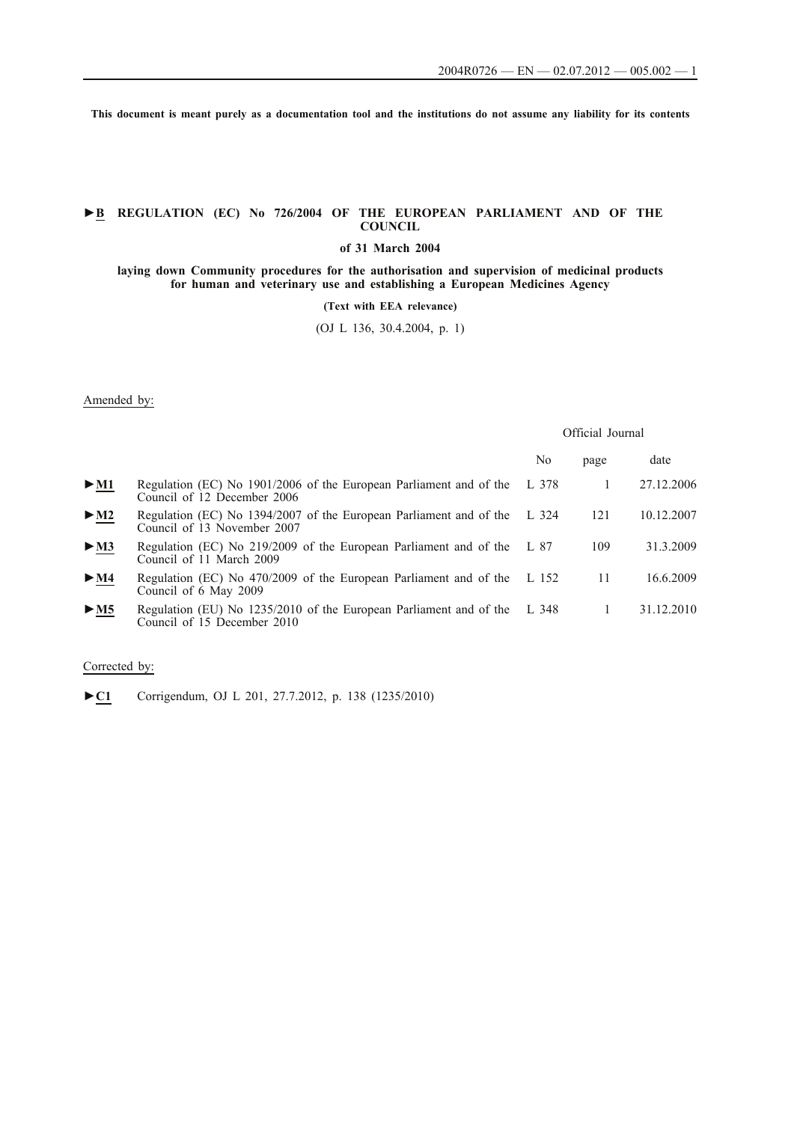**This document is meant purely as a documentation tool and the institutions do not assume any liability for its contents**

# **►B REGULATION (EC) No 726/2004 OF THE EUROPEAN PARLIAMENT AND OF THE COUNCIL**

## **of 31 March 2004**

**laying down Community procedures for the authorisation and supervision of medicinal products for human and veterinary use and establishing a European Medicines Agency**

**(Text with EEA relevance)**

(OJ L 136, 30.4.2004, p. 1)

## Amended by:

|                            |                                                                                                   | Official Journal |              |            |
|----------------------------|---------------------------------------------------------------------------------------------------|------------------|--------------|------------|
|                            |                                                                                                   | No               | page         | date       |
| $\blacktriangleright$ M1   | Regulation (EC) No 1901/2006 of the European Parliament and of the<br>Council of 12 December 2006 | L 378            | $\mathbf{1}$ | 27.12.2006 |
| $\triangleright$ <u>M2</u> | Regulation (EC) No 1394/2007 of the European Parliament and of the<br>Council of 13 November 2007 | L $324$          | 121          | 10.12.2007 |
| > M3                       | Regulation (EC) No 219/2009 of the European Parliament and of the<br>Council of 11 March 2009     | L 87             | 109          | 31.3.2009  |
| $\triangleright$ <u>M4</u> | Regulation (EC) No 470/2009 of the European Parliament and of the<br>Council of 6 May 2009        | L 152            | 11           | 16.6.2009  |
| > M5                       | Regulation (EU) No 1235/2010 of the European Parliament and of the<br>Council of 15 December 2010 | L 348            | $\mathbf{1}$ | 31.12.2010 |

## Corrected by:

►**C1** Corrigendum, OJ L 201, 27.7.2012, p. 138 (1235/2010)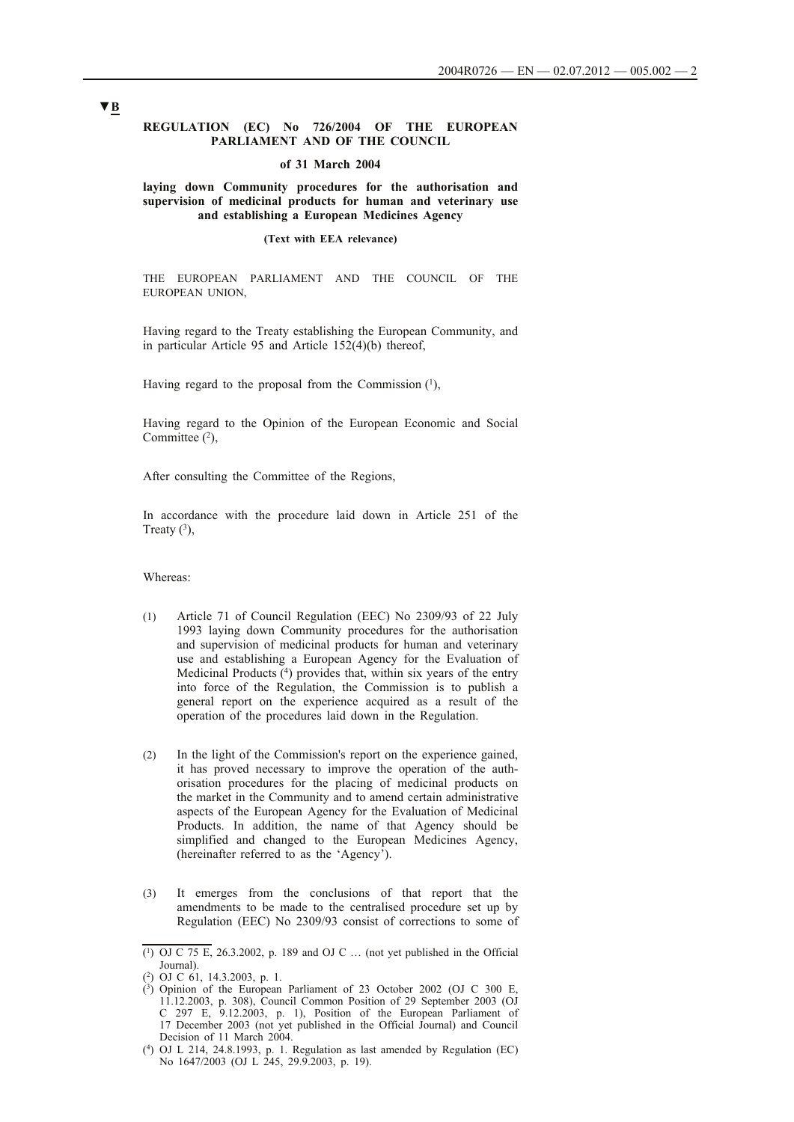### **REGULATION (EC) No 726/2004 OF THE EUROPEAN PARLIAMENT AND OF THE COUNCIL**

#### **of 31 March 2004**

### **laying down Community procedures for the authorisation and supervision of medicinal products for human and veterinary use and establishing a European Medicines Agency**

#### **(Text with EEA relevance)**

THE EUROPEAN PARLIAMENT AND THE COUNCIL OF THE EUROPEAN UNION,

Having regard to the Treaty establishing the European Community, and in particular Article 95 and Article 152(4)(b) thereof,

Having regard to the proposal from the Commission  $(1)$ ,

Having regard to the Opinion of the European Economic and Social Committee  $(2)$ ,

After consulting the Committee of the Regions,

In accordance with the procedure laid down in Article 251 of the Treaty  $(3)$ ,

## Whereas:

- (1) Article 71 of Council Regulation (EEC) No 2309/93 of 22 July 1993 laying down Community procedures for the authorisation and supervision of medicinal products for human and veterinary use and establishing a European Agency for the Evaluation of Medicinal Products (4) provides that, within six years of the entry into force of the Regulation, the Commission is to publish a general report on the experience acquired as a result of the operation of the procedures laid down in the Regulation.
- (2) In the light of the Commission's report on the experience gained, it has proved necessary to improve the operation of the authorisation procedures for the placing of medicinal products on the market in the Community and to amend certain administrative aspects of the European Agency for the Evaluation of Medicinal Products. In addition, the name of that Agency should be simplified and changed to the European Medicines Agency, (hereinafter referred to as the 'Agency').
- (3) It emerges from the conclusions of that report that the amendments to be made to the centralised procedure set up by Regulation (EEC) No 2309/93 consist of corrections to some of

 $(1)$  OJ C 75 E, 26.3.2002, p. 189 and OJ C ... (not yet published in the Official Journal).

<sup>(2)</sup> OJ C 61, 14.3.2003, p. 1.

<sup>(3)</sup> Opinion of the European Parliament of 23 October 2002 (OJ C 300 E, 11.12.2003, p. 308), Council Common Position of 29 September 2003 (OJ C 297 E,  $9.12.2003$ , p. 1), Position of the European Parliament of 17 December 2003 (not yet published in the Official Journal) and Council Decision of 11 March 2004.

<sup>(4)</sup> OJ L 214, 24.8.1993, p. 1. Regulation as last amended by Regulation (EC) No 1647/2003 (OJ L 245, 29.9.2003, p. 19).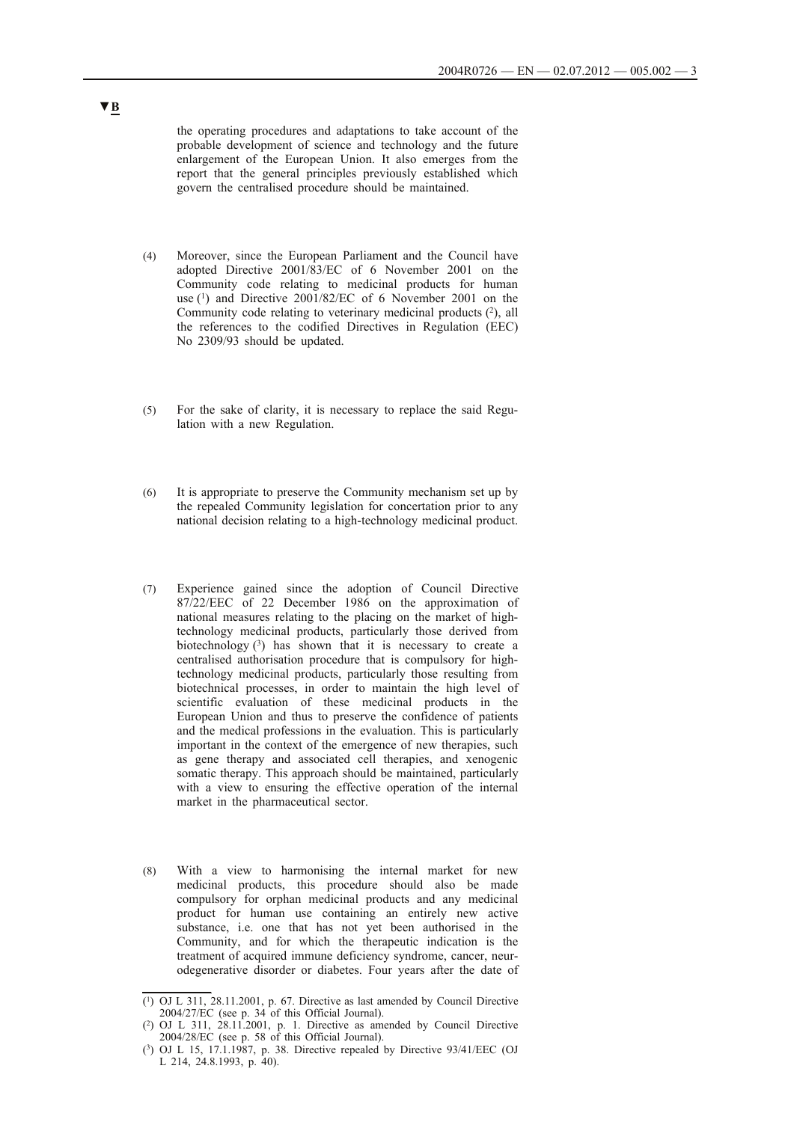the operating procedures and adaptations to take account of the probable development of science and technology and the future enlargement of the European Union. It also emerges from the report that the general principles previously established which govern the centralised procedure should be maintained.

- (4) Moreover, since the European Parliament and the Council have adopted Directive 2001/83/EC of 6 November 2001 on the Community code relating to medicinal products for human use (1) and Directive 2001/82/EC of 6 November 2001 on the Community code relating to veterinary medicinal products  $(2)$ , all the references to the codified Directives in Regulation (EEC) No 2309/93 should be updated.
- (5) For the sake of clarity, it is necessary to replace the said Regulation with a new Regulation.
- (6) It is appropriate to preserve the Community mechanism set up by the repealed Community legislation for concertation prior to any national decision relating to a high-technology medicinal product.
- (7) Experience gained since the adoption of Council Directive 87/22/EEC of 22 December 1986 on the approximation of national measures relating to the placing on the market of hightechnology medicinal products, particularly those derived from biotechnology  $(3)$  has shown that it is necessary to create a centralised authorisation procedure that is compulsory for hightechnology medicinal products, particularly those resulting from biotechnical processes, in order to maintain the high level of scientific evaluation of these medicinal products in the European Union and thus to preserve the confidence of patients and the medical professions in the evaluation. This is particularly important in the context of the emergence of new therapies, such as gene therapy and associated cell therapies, and xenogenic somatic therapy. This approach should be maintained, particularly with a view to ensuring the effective operation of the internal market in the pharmaceutical sector.
- (8) With a view to harmonising the internal market for new medicinal products, this procedure should also be made compulsory for orphan medicinal products and any medicinal product for human use containing an entirely new active substance, i.e. one that has not yet been authorised in the Community, and for which the therapeutic indication is the treatment of acquired immune deficiency syndrome, cancer, neurodegenerative disorder or diabetes. Four years after the date of

<sup>(1)</sup> OJ L 311, 28.11.2001, p. 67. Directive as last amended by Council Directive 2004/27/EC (see p. 34 of this Official Journal).

<sup>(2)</sup> OJ L 311, 28.11.2001, p. 1. Directive as amended by Council Directive 2004/28/EC (see p. 58 of this Official Journal).

<sup>(3)</sup> OJ L 15, 17.1.1987, p. 38. Directive repealed by Directive 93/41/EEC (OJ L 214, 24.8.1993, p. 40).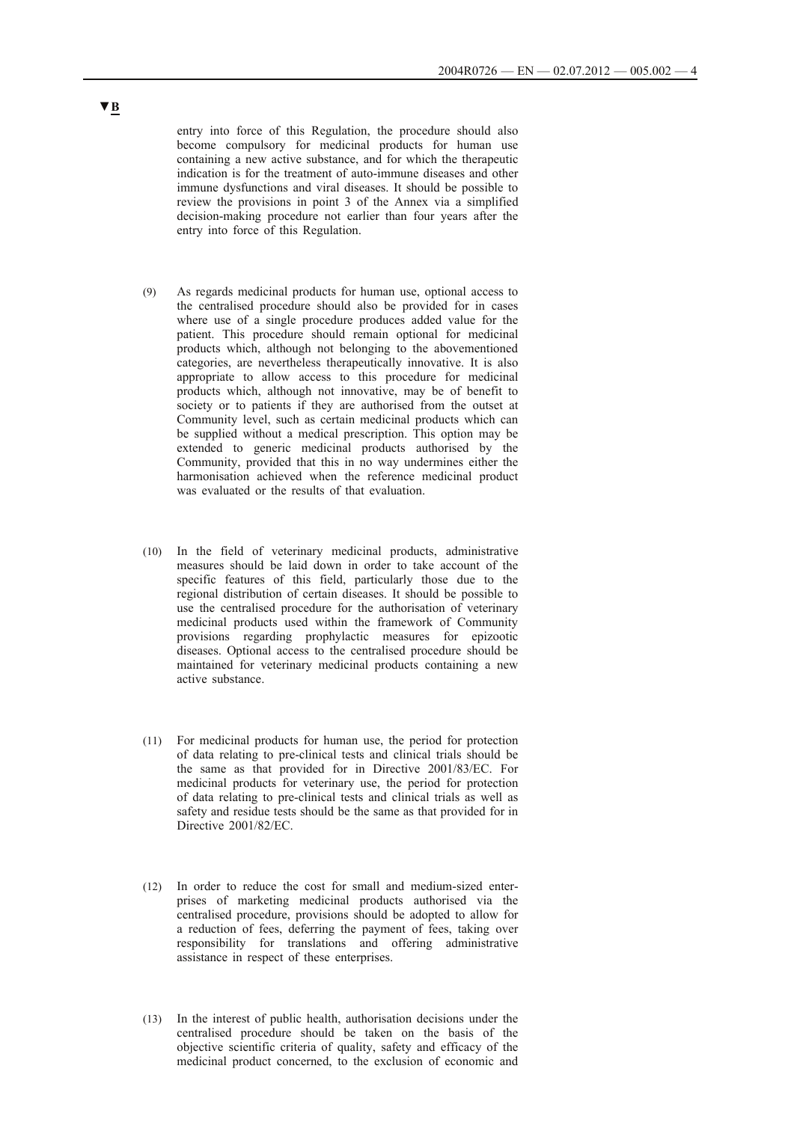entry into force of this Regulation, the procedure should also become compulsory for medicinal products for human use containing a new active substance, and for which the therapeutic indication is for the treatment of auto-immune diseases and other immune dysfunctions and viral diseases. It should be possible to review the provisions in point 3 of the Annex via a simplified decision-making procedure not earlier than four years after the entry into force of this Regulation.

- (9) As regards medicinal products for human use, optional access to the centralised procedure should also be provided for in cases where use of a single procedure produces added value for the patient. This procedure should remain optional for medicinal products which, although not belonging to the abovementioned categories, are nevertheless therapeutically innovative. It is also appropriate to allow access to this procedure for medicinal products which, although not innovative, may be of benefit to society or to patients if they are authorised from the outset at Community level, such as certain medicinal products which can be supplied without a medical prescription. This option may be extended to generic medicinal products authorised by the Community, provided that this in no way undermines either the harmonisation achieved when the reference medicinal product was evaluated or the results of that evaluation.
- (10) In the field of veterinary medicinal products, administrative measures should be laid down in order to take account of the specific features of this field, particularly those due to the regional distribution of certain diseases. It should be possible to use the centralised procedure for the authorisation of veterinary medicinal products used within the framework of Community provisions regarding prophylactic measures for epizootic diseases. Optional access to the centralised procedure should be maintained for veterinary medicinal products containing a new active substance.
- (11) For medicinal products for human use, the period for protection of data relating to pre-clinical tests and clinical trials should be the same as that provided for in Directive 2001/83/EC. For medicinal products for veterinary use, the period for protection of data relating to pre-clinical tests and clinical trials as well as safety and residue tests should be the same as that provided for in Directive 2001/82/EC.
- (12) In order to reduce the cost for small and medium-sized enterprises of marketing medicinal products authorised via the centralised procedure, provisions should be adopted to allow for a reduction of fees, deferring the payment of fees, taking over responsibility for translations and offering administrative assistance in respect of these enterprises.
- (13) In the interest of public health, authorisation decisions under the centralised procedure should be taken on the basis of the objective scientific criteria of quality, safety and efficacy of the medicinal product concerned, to the exclusion of economic and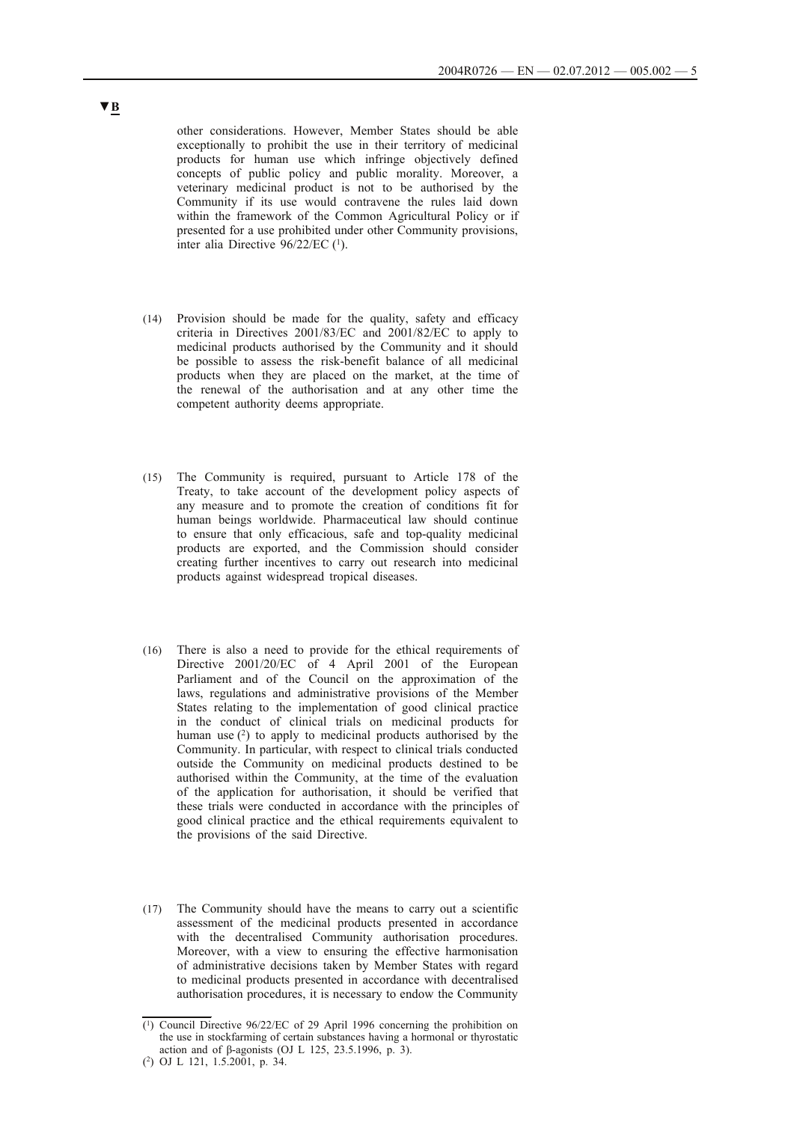other considerations. However, Member States should be able exceptionally to prohibit the use in their territory of medicinal products for human use which infringe objectively defined concepts of public policy and public morality. Moreover, a veterinary medicinal product is not to be authorised by the Community if its use would contravene the rules laid down within the framework of the Common Agricultural Policy or if presented for a use prohibited under other Community provisions, inter alia Directive  $96/22/EC$  (<sup>1</sup>).

- (14) Provision should be made for the quality, safety and efficacy criteria in Directives 2001/83/EC and 2001/82/EC to apply to medicinal products authorised by the Community and it should be possible to assess the risk-benefit balance of all medicinal products when they are placed on the market, at the time of the renewal of the authorisation and at any other time the competent authority deems appropriate.
- (15) The Community is required, pursuant to Article 178 of the Treaty, to take account of the development policy aspects of any measure and to promote the creation of conditions fit for human beings worldwide. Pharmaceutical law should continue to ensure that only efficacious, safe and top-quality medicinal products are exported, and the Commission should consider creating further incentives to carry out research into medicinal products against widespread tropical diseases.
- (16) There is also a need to provide for the ethical requirements of Directive 2001/20/EC of 4 April 2001 of the European Parliament and of the Council on the approximation of the laws, regulations and administrative provisions of the Member States relating to the implementation of good clinical practice in the conduct of clinical trials on medicinal products for human use  $(2)$  to apply to medicinal products authorised by the Community. In particular, with respect to clinical trials conducted outside the Community on medicinal products destined to be authorised within the Community, at the time of the evaluation of the application for authorisation, it should be verified that these trials were conducted in accordance with the principles of good clinical practice and the ethical requirements equivalent to the provisions of the said Directive.
- (17) The Community should have the means to carry out a scientific assessment of the medicinal products presented in accordance with the decentralised Community authorisation procedures. Moreover, with a view to ensuring the effective harmonisation of administrative decisions taken by Member States with regard to medicinal products presented in accordance with decentralised authorisation procedures, it is necessary to endow the Community

<sup>(1)</sup> Council Directive 96/22/EC of 29 April 1996 concerning the prohibition on the use in stockfarming of certain substances having a hormonal or thyrostatic action and of β-agonists (OJ L 125, 23.5.1996, p. 3).

<sup>(2)</sup> OJ L 121, 1.5.2001, p. 34.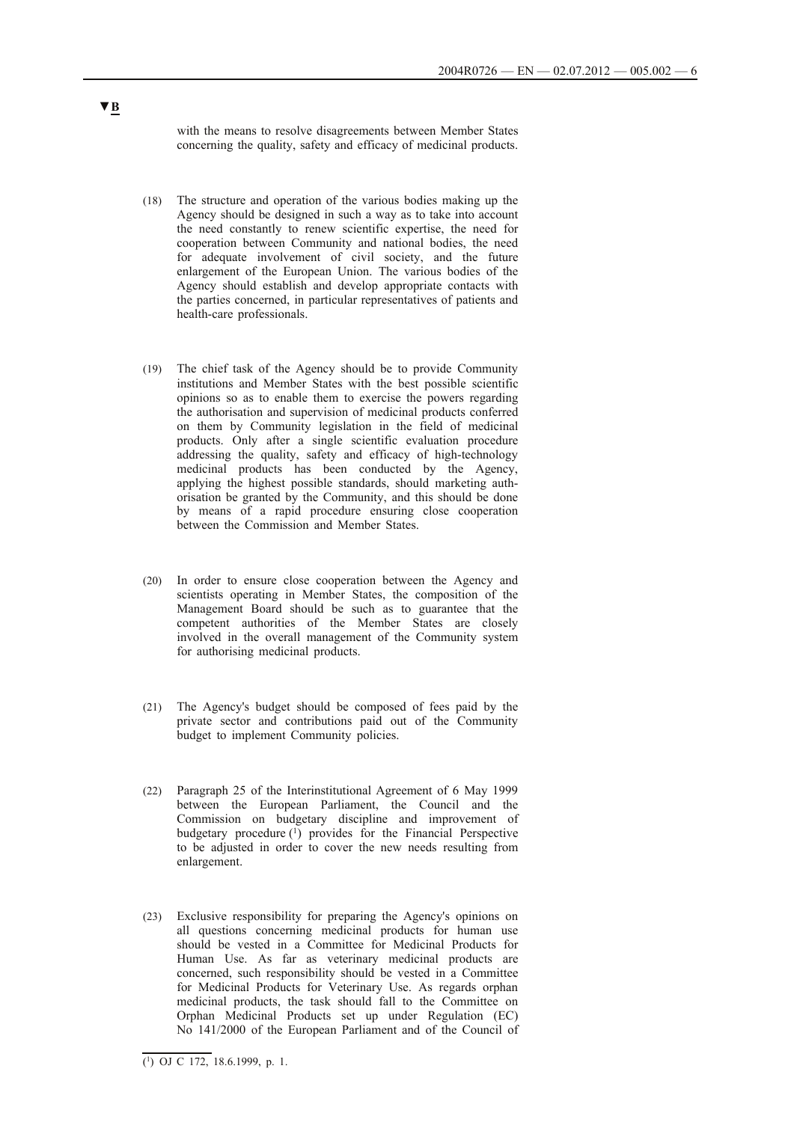with the means to resolve disagreements between Member States concerning the quality, safety and efficacy of medicinal products.

- (18) The structure and operation of the various bodies making up the Agency should be designed in such a way as to take into account the need constantly to renew scientific expertise, the need for cooperation between Community and national bodies, the need for adequate involvement of civil society, and the future enlargement of the European Union. The various bodies of the Agency should establish and develop appropriate contacts with the parties concerned, in particular representatives of patients and health-care professionals.
- (19) The chief task of the Agency should be to provide Community institutions and Member States with the best possible scientific opinions so as to enable them to exercise the powers regarding the authorisation and supervision of medicinal products conferred on them by Community legislation in the field of medicinal products. Only after a single scientific evaluation procedure addressing the quality, safety and efficacy of high-technology medicinal products has been conducted by the Agency, applying the highest possible standards, should marketing authorisation be granted by the Community, and this should be done by means of a rapid procedure ensuring close cooperation between the Commission and Member States.
- (20) In order to ensure close cooperation between the Agency and scientists operating in Member States, the composition of the Management Board should be such as to guarantee that the competent authorities of the Member States are closely involved in the overall management of the Community system for authorising medicinal products.
- (21) The Agency's budget should be composed of fees paid by the private sector and contributions paid out of the Community budget to implement Community policies.
- (22) Paragraph 25 of the Interinstitutional Agreement of 6 May 1999 between the European Parliament, the Council and the Commission on budgetary discipline and improvement of budgetary procedure (1) provides for the Financial Perspective to be adjusted in order to cover the new needs resulting from enlargement.
- (23) Exclusive responsibility for preparing the Agency's opinions on all questions concerning medicinal products for human use should be vested in a Committee for Medicinal Products for Human Use. As far as veterinary medicinal products are concerned, such responsibility should be vested in a Committee for Medicinal Products for Veterinary Use. As regards orphan medicinal products, the task should fall to the Committee on Orphan Medicinal Products set up under Regulation (EC) No 141/2000 of the European Parliament and of the Council of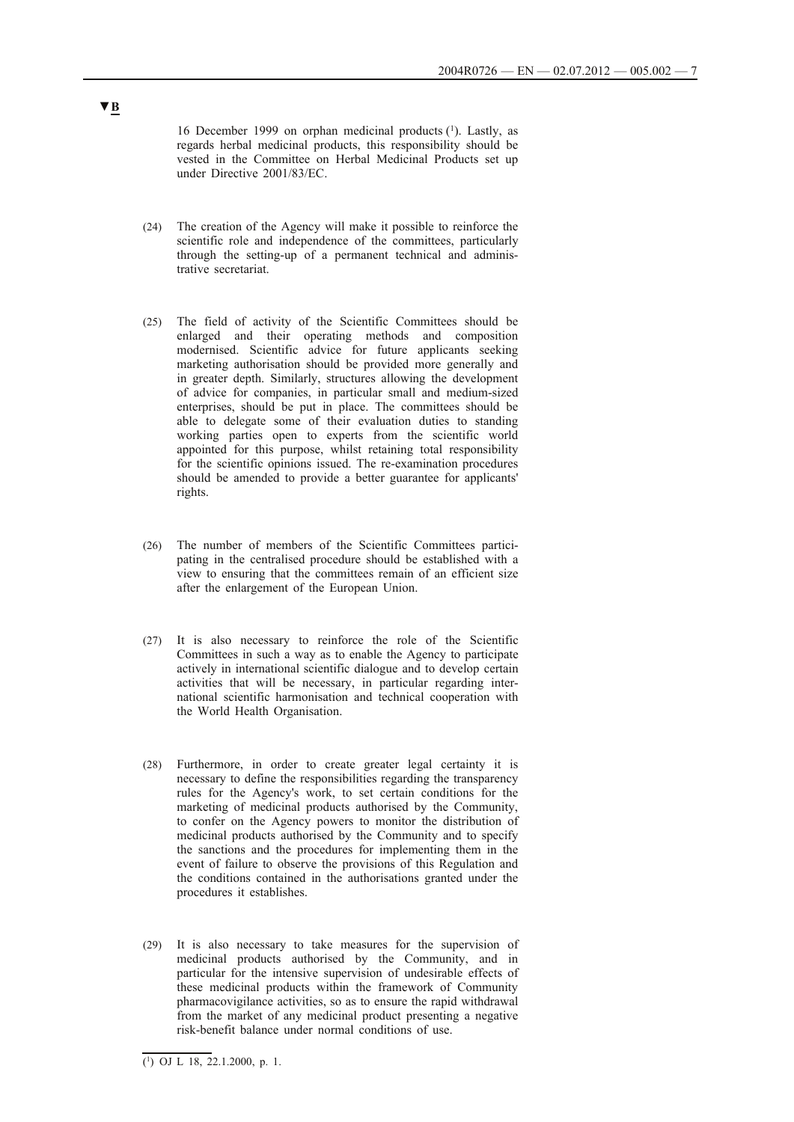16 December 1999 on orphan medicinal products (1). Lastly, as regards herbal medicinal products, this responsibility should be vested in the Committee on Herbal Medicinal Products set up under Directive 2001/83/EC.

- (24) The creation of the Agency will make it possible to reinforce the scientific role and independence of the committees, particularly through the setting-up of a permanent technical and administrative secretariat.
- (25) The field of activity of the Scientific Committees should be enlarged and their operating methods and composition modernised. Scientific advice for future applicants seeking marketing authorisation should be provided more generally and in greater depth. Similarly, structures allowing the development of advice for companies, in particular small and medium-sized enterprises, should be put in place. The committees should be able to delegate some of their evaluation duties to standing working parties open to experts from the scientific world appointed for this purpose, whilst retaining total responsibility for the scientific opinions issued. The re-examination procedures should be amended to provide a better guarantee for applicants' rights.
- (26) The number of members of the Scientific Committees participating in the centralised procedure should be established with a view to ensuring that the committees remain of an efficient size after the enlargement of the European Union.
- (27) It is also necessary to reinforce the role of the Scientific Committees in such a way as to enable the Agency to participate actively in international scientific dialogue and to develop certain activities that will be necessary, in particular regarding international scientific harmonisation and technical cooperation with the World Health Organisation.
- (28) Furthermore, in order to create greater legal certainty it is necessary to define the responsibilities regarding the transparency rules for the Agency's work, to set certain conditions for the marketing of medicinal products authorised by the Community, to confer on the Agency powers to monitor the distribution of medicinal products authorised by the Community and to specify the sanctions and the procedures for implementing them in the event of failure to observe the provisions of this Regulation and the conditions contained in the authorisations granted under the procedures it establishes.
- (29) It is also necessary to take measures for the supervision of medicinal products authorised by the Community, and in particular for the intensive supervision of undesirable effects of these medicinal products within the framework of Community pharmacovigilance activities, so as to ensure the rapid withdrawal from the market of any medicinal product presenting a negative risk-benefit balance under normal conditions of use.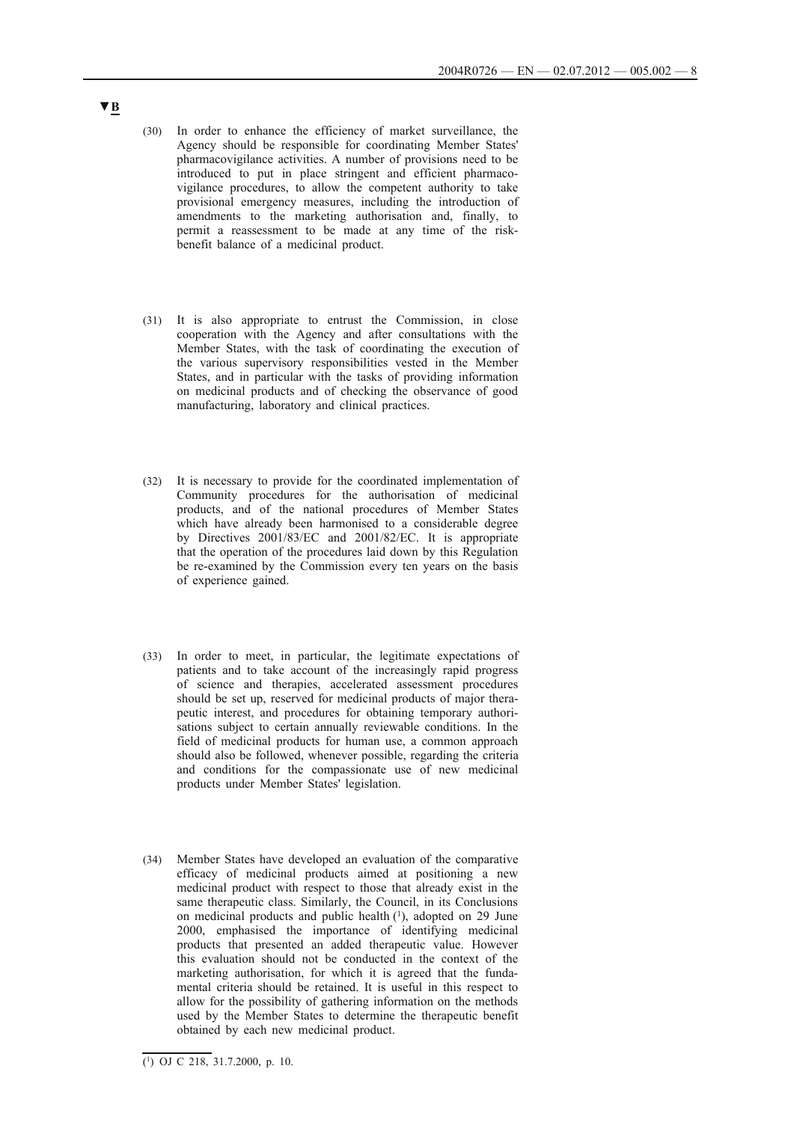- (30) In order to enhance the efficiency of market surveillance, the Agency should be responsible for coordinating Member States' pharmacovigilance activities. A number of provisions need to be introduced to put in place stringent and efficient pharmacovigilance procedures, to allow the competent authority to take provisional emergency measures, including the introduction of amendments to the marketing authorisation and, finally, to permit a reassessment to be made at any time of the riskbenefit balance of a medicinal product.
- (31) It is also appropriate to entrust the Commission, in close cooperation with the Agency and after consultations with the Member States, with the task of coordinating the execution of the various supervisory responsibilities vested in the Member States, and in particular with the tasks of providing information on medicinal products and of checking the observance of good manufacturing, laboratory and clinical practices.
- (32) It is necessary to provide for the coordinated implementation of Community procedures for the authorisation of medicinal products, and of the national procedures of Member States which have already been harmonised to a considerable degree by Directives 2001/83/EC and 2001/82/EC. It is appropriate that the operation of the procedures laid down by this Regulation be re-examined by the Commission every ten years on the basis of experience gained.
- (33) In order to meet, in particular, the legitimate expectations of patients and to take account of the increasingly rapid progress of science and therapies, accelerated assessment procedures should be set up, reserved for medicinal products of major therapeutic interest, and procedures for obtaining temporary authorisations subject to certain annually reviewable conditions. In the field of medicinal products for human use, a common approach should also be followed, whenever possible, regarding the criteria and conditions for the compassionate use of new medicinal products under Member States' legislation.
- (34) Member States have developed an evaluation of the comparative efficacy of medicinal products aimed at positioning a new medicinal product with respect to those that already exist in the same therapeutic class. Similarly, the Council, in its Conclusions on medicinal products and public health  $(1)$ , adopted on 29 June 2000, emphasised the importance of identifying medicinal products that presented an added therapeutic value. However this evaluation should not be conducted in the context of the marketing authorisation, for which it is agreed that the fundamental criteria should be retained. It is useful in this respect to allow for the possibility of gathering information on the methods used by the Member States to determine the therapeutic benefit obtained by each new medicinal product.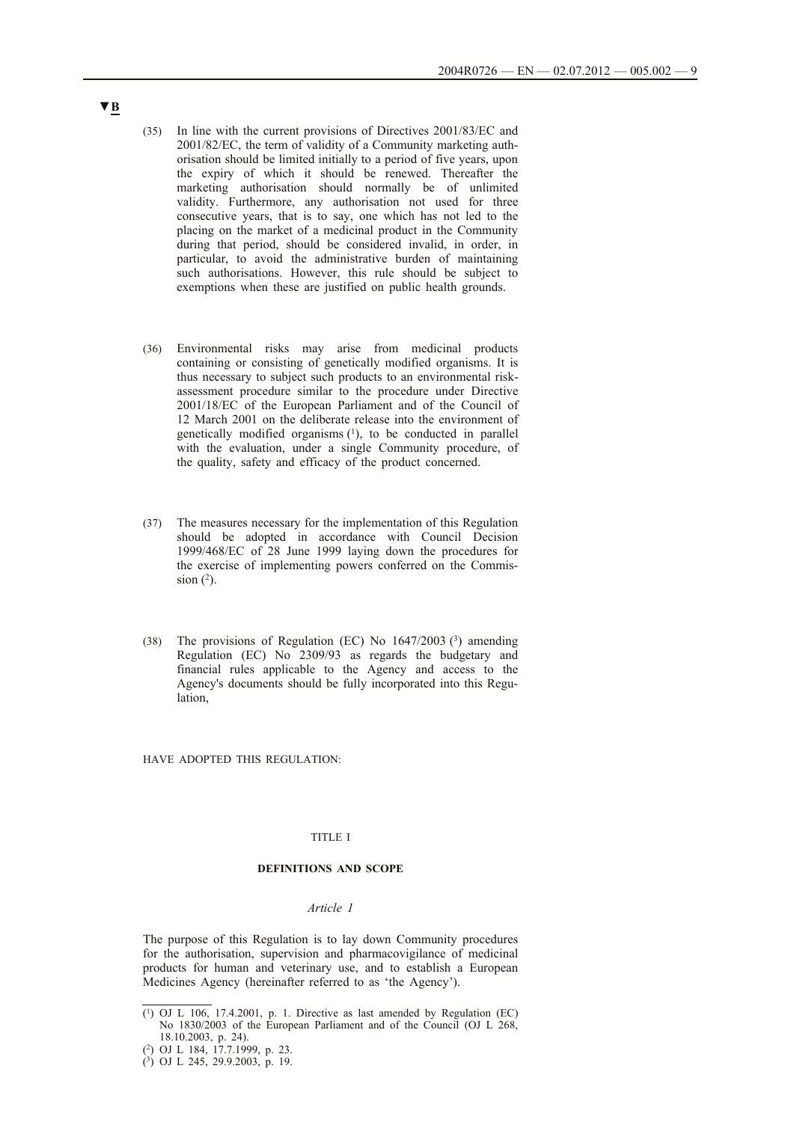- (35) In line with the current provisions of Directives 2001/83/EC and 2001/82/EC, the term of validity of a Community marketing authorisation should be limited initially to a period of five years, upon the expiry of which it should be renewed. Thereafter the marketing authorisation should normally be of unlimited validity. Furthermore, any authorisation not used for three consecutive years, that is to say, one which has not led to the placing on the market of a medicinal product in the Community during that period, should be considered invalid, in order, in particular, to avoid the administrative burden of maintaining such authorisations. However, this rule should be subject to exemptions when these are justified on public health grounds.
- (36) Environmental risks may arise from medicinal products containing or consisting of genetically modified organisms. It is thus necessary to subject such products to an environmental riskassessment procedure similar to the procedure under Directive 2001/18/EC of the European Parliament and of the Council of 12 March 2001 on the deliberate release into the environment of genetically modified organisms (1), to be conducted in parallel with the evaluation, under a single Community procedure, of the quality, safety and efficacy of the product concerned.
- (37) The measures necessary for the implementation of this Regulation should be adopted in accordance with Council Decision 1999/468/EC of 28 June 1999 laying down the procedures for the exercise of implementing powers conferred on the Commission  $(2)$ .
- (38) The provisions of Regulation (EC) No  $1647/2003$  (3) amending Regulation (EC) No 2309/93 as regards the budgetary and financial rules applicable to the Agency and access to the Agency's documents should be fully incorporated into this Regulation,

HAVE ADOPTED THIS REGULATION:

### TITLE I

## **DEFINITIONS AND SCOPE**

#### *Article 1*

The purpose of this Regulation is to lay down Community procedures for the authorisation, supervision and pharmacovigilance of medicinal products for human and veterinary use, and to establish a European Medicines Agency (hereinafter referred to as 'the Agency').

 $(1)$  OJ L 106, 17.4.2001, p. 1. Directive as last amended by Regulation (EC) No 1830/2003 of the European Parliament and of the Council (OJ L 268, 18.10.2003, p. 24).

<sup>(2)</sup> OJ L 184, 17.7.1999, p. 23.

<sup>(3)</sup> OJ L 245, 29.9.2003, p. 19.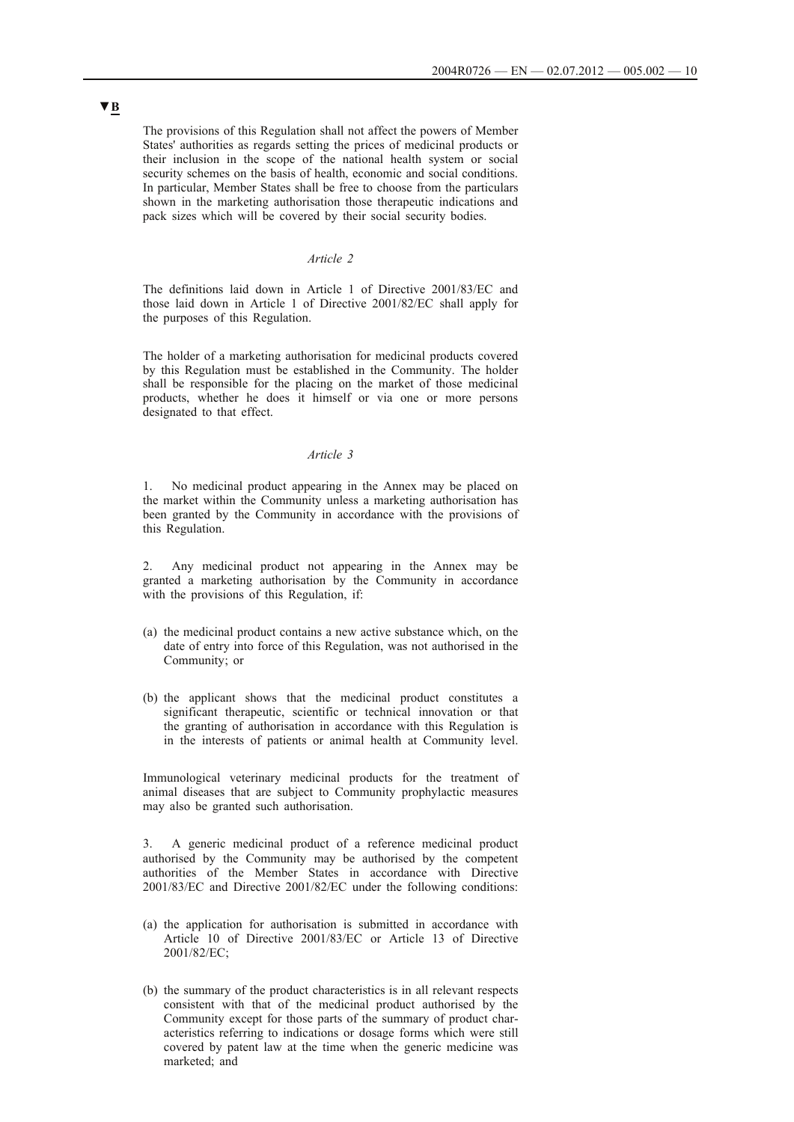The provisions of this Regulation shall not affect the powers of Member States' authorities as regards setting the prices of medicinal products or their inclusion in the scope of the national health system or social security schemes on the basis of health, economic and social conditions. In particular, Member States shall be free to choose from the particulars shown in the marketing authorisation those therapeutic indications and pack sizes which will be covered by their social security bodies.

# *Article 2*

The definitions laid down in Article 1 of Directive 2001/83/EC and those laid down in Article 1 of Directive 2001/82/EC shall apply for the purposes of this Regulation.

The holder of a marketing authorisation for medicinal products covered by this Regulation must be established in the Community. The holder shall be responsible for the placing on the market of those medicinal products, whether he does it himself or via one or more persons designated to that effect.

### *Article 3*

1. No medicinal product appearing in the Annex may be placed on the market within the Community unless a marketing authorisation has been granted by the Community in accordance with the provisions of this Regulation.

2. Any medicinal product not appearing in the Annex may be granted a marketing authorisation by the Community in accordance with the provisions of this Regulation, if:

- (a) the medicinal product contains a new active substance which, on the date of entry into force of this Regulation, was not authorised in the Community; or
- (b) the applicant shows that the medicinal product constitutes a significant therapeutic, scientific or technical innovation or that the granting of authorisation in accordance with this Regulation is in the interests of patients or animal health at Community level.

Immunological veterinary medicinal products for the treatment of animal diseases that are subject to Community prophylactic measures may also be granted such authorisation.

3. A generic medicinal product of a reference medicinal product authorised by the Community may be authorised by the competent authorities of the Member States in accordance with Directive 2001/83/EC and Directive 2001/82/EC under the following conditions:

- (a) the application for authorisation is submitted in accordance with Article 10 of Directive 2001/83/EC or Article 13 of Directive 2001/82/EC;
- (b) the summary of the product characteristics is in all relevant respects consistent with that of the medicinal product authorised by the Community except for those parts of the summary of product characteristics referring to indications or dosage forms which were still covered by patent law at the time when the generic medicine was marketed; and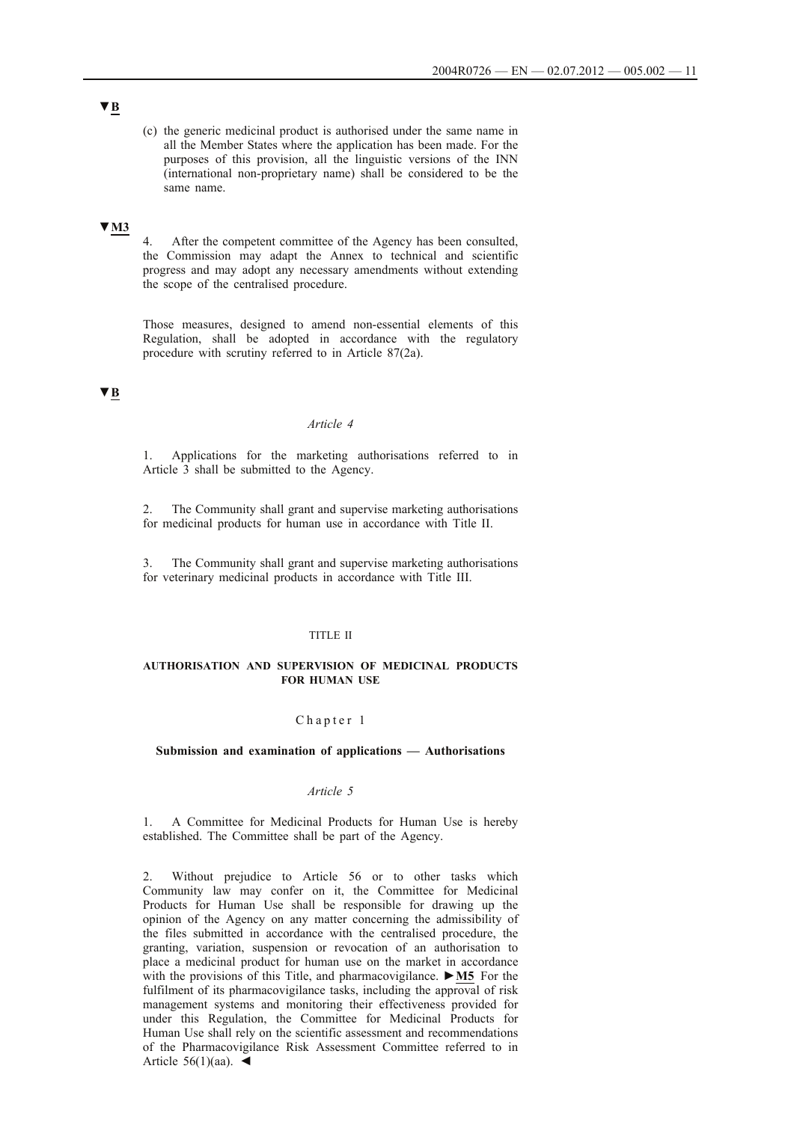(c) the generic medicinal product is authorised under the same name in all the Member States where the application has been made. For the purposes of this provision, all the linguistic versions of the INN (international non-proprietary name) shall be considered to be the same name.

### **▼M3**

4. After the competent committee of the Agency has been consulted, the Commission may adapt the Annex to technical and scientific progress and may adopt any necessary amendments without extending the scope of the centralised procedure.

Those measures, designed to amend non-essential elements of this Regulation, shall be adopted in accordance with the regulatory procedure with scrutiny referred to in Article 87(2a).

# **▼B**

### *Article 4*

1. Applications for the marketing authorisations referred to in Article 3 shall be submitted to the Agency.

2. The Community shall grant and supervise marketing authorisations for medicinal products for human use in accordance with Title II.

3. The Community shall grant and supervise marketing authorisations for veterinary medicinal products in accordance with Title III.

### TITLE II

### **AUTHORISATION AND SUPERVISION OF MEDICINAL PRODUCTS FOR HUMAN USE**

### Chapter 1

#### **Submission and examination of applications — Authorisations**

#### *Article 5*

1. A Committee for Medicinal Products for Human Use is hereby established. The Committee shall be part of the Agency.

2. Without prejudice to Article 56 or to other tasks which Community law may confer on it, the Committee for Medicinal Products for Human Use shall be responsible for drawing up the opinion of the Agency on any matter concerning the admissibility of the files submitted in accordance with the centralised procedure, the granting, variation, suspension or revocation of an authorisation to place a medicinal product for human use on the market in accordance with the provisions of this Title, and pharmacovigilance. **►M5** For the fulfilment of its pharmacovigilance tasks, including the approval of risk management systems and monitoring their effectiveness provided for under this Regulation, the Committee for Medicinal Products for Human Use shall rely on the scientific assessment and recommendations of the Pharmacovigilance Risk Assessment Committee referred to in Article  $56(1)(aa)$ .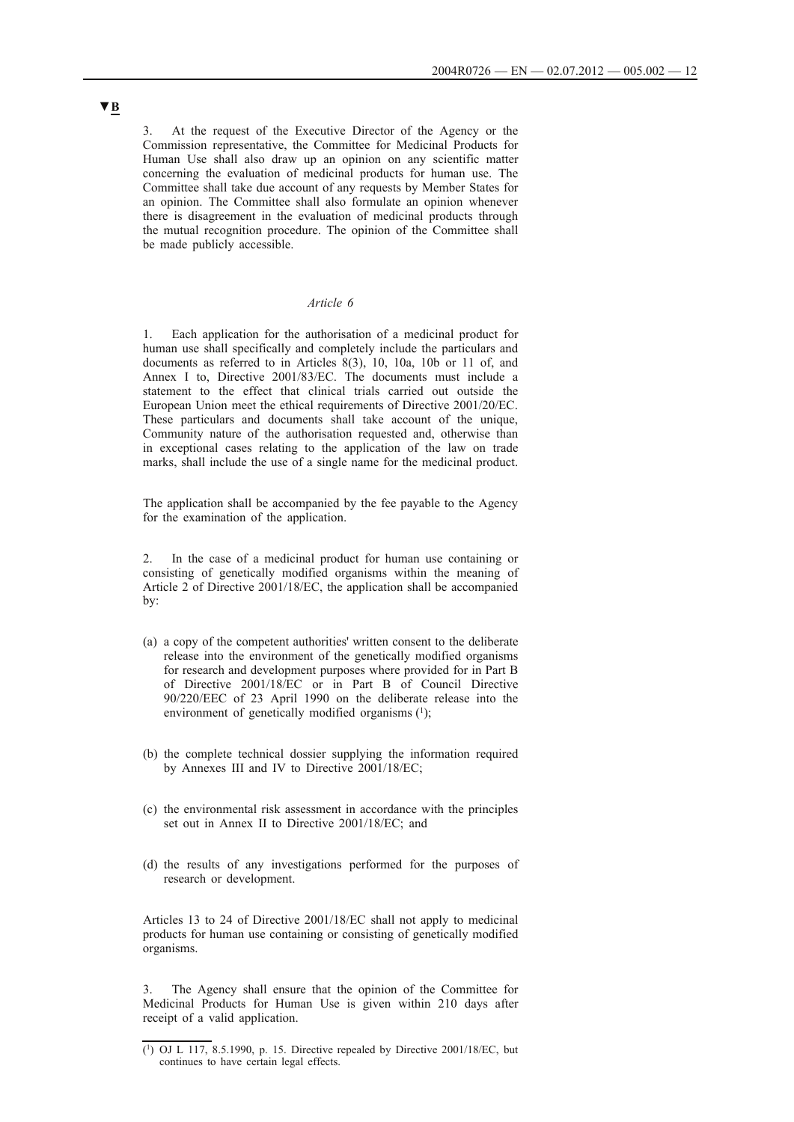3. At the request of the Executive Director of the Agency or the Commission representative, the Committee for Medicinal Products for Human Use shall also draw up an opinion on any scientific matter concerning the evaluation of medicinal products for human use. The Committee shall take due account of any requests by Member States for an opinion. The Committee shall also formulate an opinion whenever there is disagreement in the evaluation of medicinal products through the mutual recognition procedure. The opinion of the Committee shall be made publicly accessible.

## *Article 6*

1. Each application for the authorisation of a medicinal product for human use shall specifically and completely include the particulars and documents as referred to in Articles 8(3), 10, 10a, 10b or 11 of, and Annex I to, Directive 2001/83/EC. The documents must include a statement to the effect that clinical trials carried out outside the European Union meet the ethical requirements of Directive 2001/20/EC. These particulars and documents shall take account of the unique, Community nature of the authorisation requested and, otherwise than in exceptional cases relating to the application of the law on trade marks, shall include the use of a single name for the medicinal product.

The application shall be accompanied by the fee payable to the Agency for the examination of the application.

2. In the case of a medicinal product for human use containing or consisting of genetically modified organisms within the meaning of Article 2 of Directive 2001/18/EC, the application shall be accompanied by:

- (a) a copy of the competent authorities' written consent to the deliberate release into the environment of the genetically modified organisms for research and development purposes where provided for in Part B of Directive 2001/18/EC or in Part B of Council Directive 90/220/EEC of 23 April 1990 on the deliberate release into the environment of genetically modified organisms  $(1)$ ;
- (b) the complete technical dossier supplying the information required by Annexes III and IV to Directive 2001/18/EC;
- (c) the environmental risk assessment in accordance with the principles set out in Annex II to Directive 2001/18/EC; and
- (d) the results of any investigations performed for the purposes of research or development.

Articles 13 to 24 of Directive 2001/18/EC shall not apply to medicinal products for human use containing or consisting of genetically modified organisms.

The Agency shall ensure that the opinion of the Committee for Medicinal Products for Human Use is given within 210 days after receipt of a valid application.

 $(1)$  OJ L 117, 8.5.1990, p. 15. Directive repealed by Directive 2001/18/EC, but continues to have certain legal effects.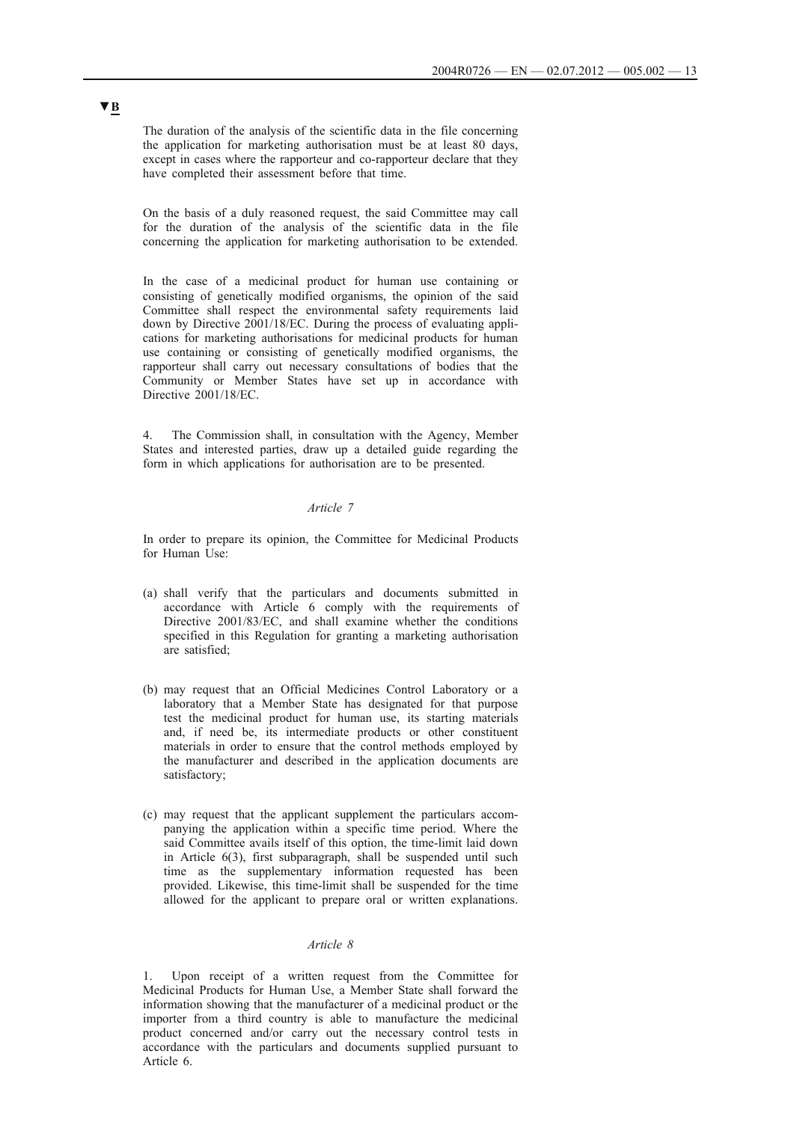The duration of the analysis of the scientific data in the file concerning the application for marketing authorisation must be at least 80 days, except in cases where the rapporteur and co-rapporteur declare that they have completed their assessment before that time.

On the basis of a duly reasoned request, the said Committee may call for the duration of the analysis of the scientific data in the file concerning the application for marketing authorisation to be extended.

In the case of a medicinal product for human use containing or consisting of genetically modified organisms, the opinion of the said Committee shall respect the environmental safety requirements laid down by Directive 2001/18/EC. During the process of evaluating applications for marketing authorisations for medicinal products for human use containing or consisting of genetically modified organisms, the rapporteur shall carry out necessary consultations of bodies that the Community or Member States have set up in accordance with Directive 2001/18/EC.

4. The Commission shall, in consultation with the Agency, Member States and interested parties, draw up a detailed guide regarding the form in which applications for authorisation are to be presented.

### *Article 7*

In order to prepare its opinion, the Committee for Medicinal Products for Human Use:

- (a) shall verify that the particulars and documents submitted in accordance with Article 6 comply with the requirements of Directive 2001/83/EC, and shall examine whether the conditions specified in this Regulation for granting a marketing authorisation are satisfied;
- (b) may request that an Official Medicines Control Laboratory or a laboratory that a Member State has designated for that purpose test the medicinal product for human use, its starting materials and, if need be, its intermediate products or other constituent materials in order to ensure that the control methods employed by the manufacturer and described in the application documents are satisfactory;
- (c) may request that the applicant supplement the particulars accompanying the application within a specific time period. Where the said Committee avails itself of this option, the time-limit laid down in Article 6(3), first subparagraph, shall be suspended until such time as the supplementary information requested has been provided. Likewise, this time-limit shall be suspended for the time allowed for the applicant to prepare oral or written explanations.

### *Article 8*

Upon receipt of a written request from the Committee for Medicinal Products for Human Use, a Member State shall forward the information showing that the manufacturer of a medicinal product or the importer from a third country is able to manufacture the medicinal product concerned and/or carry out the necessary control tests in accordance with the particulars and documents supplied pursuant to Article 6.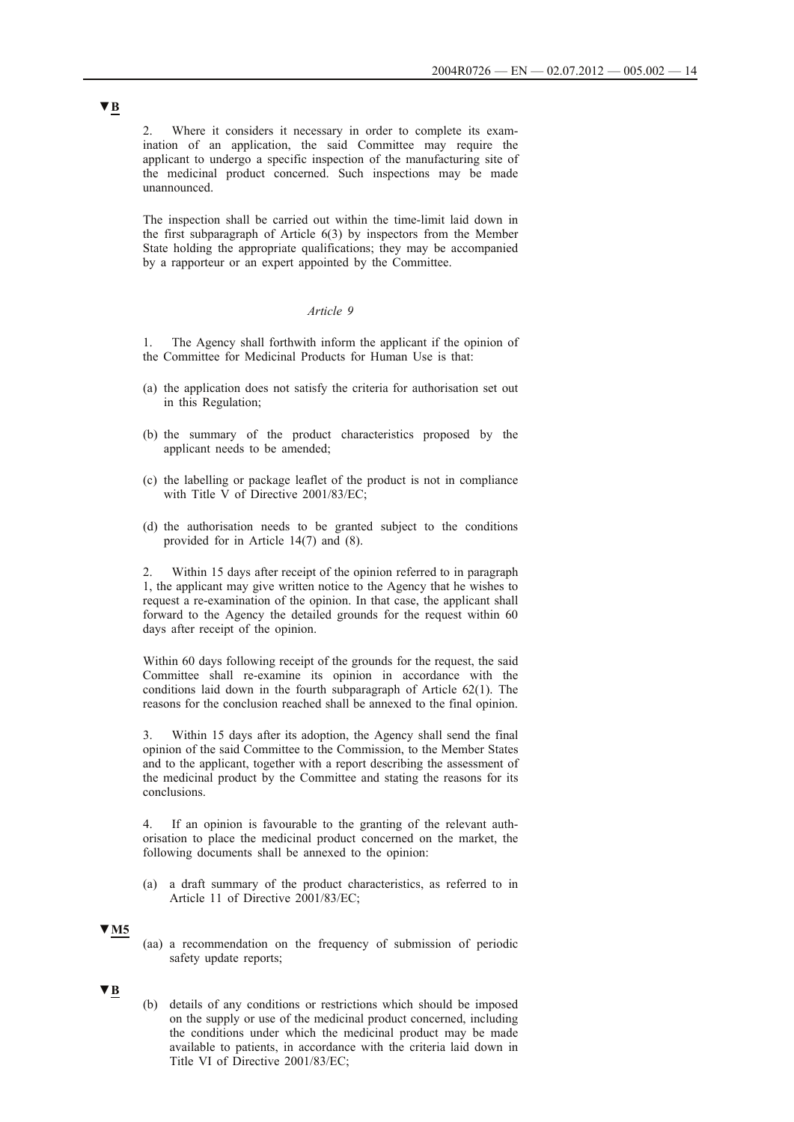2. Where it considers it necessary in order to complete its examination of an application, the said Committee may require the applicant to undergo a specific inspection of the manufacturing site of the medicinal product concerned. Such inspections may be made unannounced.

The inspection shall be carried out within the time-limit laid down in the first subparagraph of Article 6(3) by inspectors from the Member State holding the appropriate qualifications; they may be accompanied by a rapporteur or an expert appointed by the Committee.

### *Article 9*

The Agency shall forthwith inform the applicant if the opinion of the Committee for Medicinal Products for Human Use is that:

- (a) the application does not satisfy the criteria for authorisation set out in this Regulation;
- (b) the summary of the product characteristics proposed by the applicant needs to be amended;
- (c) the labelling or package leaflet of the product is not in compliance with Title V of Directive 2001/83/EC;
- (d) the authorisation needs to be granted subject to the conditions provided for in Article 14(7) and (8).

2. Within 15 days after receipt of the opinion referred to in paragraph 1, the applicant may give written notice to the Agency that he wishes to request a re-examination of the opinion. In that case, the applicant shall forward to the Agency the detailed grounds for the request within 60 days after receipt of the opinion.

Within 60 days following receipt of the grounds for the request, the said Committee shall re-examine its opinion in accordance with the conditions laid down in the fourth subparagraph of Article 62(1). The reasons for the conclusion reached shall be annexed to the final opinion.

3. Within 15 days after its adoption, the Agency shall send the final opinion of the said Committee to the Commission, to the Member States and to the applicant, together with a report describing the assessment of the medicinal product by the Committee and stating the reasons for its conclusions.

4. If an opinion is favourable to the granting of the relevant authorisation to place the medicinal product concerned on the market, the following documents shall be annexed to the opinion:

(a) a draft summary of the product characteristics, as referred to in Article 11 of Directive 2001/83/EC;

#### **▼M5**

(aa) a recommendation on the frequency of submission of periodic safety update reports;

### **▼B**

(b) details of any conditions or restrictions which should be imposed on the supply or use of the medicinal product concerned, including the conditions under which the medicinal product may be made available to patients, in accordance with the criteria laid down in Title VI of Directive 2001/83/EC;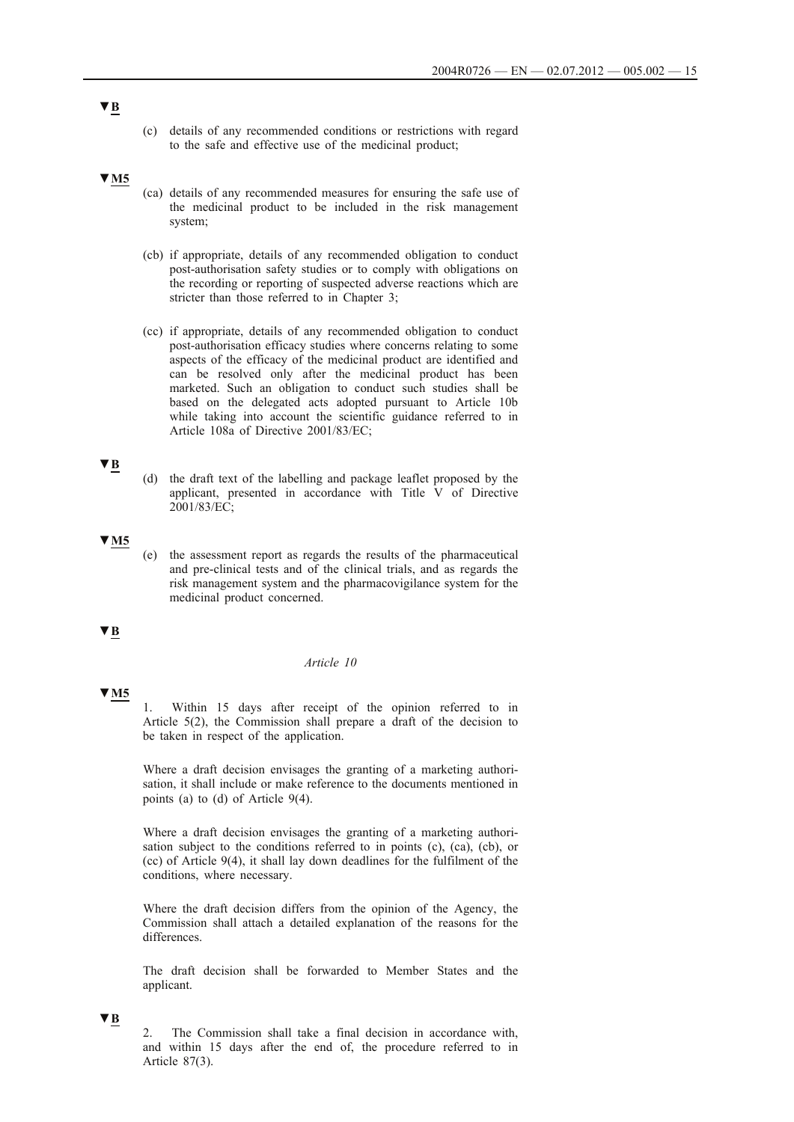(c) details of any recommended conditions or restrictions with regard to the safe and effective use of the medicinal product;

### **▼M5**

- (ca) details of any recommended measures for ensuring the safe use of the medicinal product to be included in the risk management system;
- (cb) if appropriate, details of any recommended obligation to conduct post-authorisation safety studies or to comply with obligations on the recording or reporting of suspected adverse reactions which are stricter than those referred to in Chapter 3;
- (cc) if appropriate, details of any recommended obligation to conduct post-authorisation efficacy studies where concerns relating to some aspects of the efficacy of the medicinal product are identified and can be resolved only after the medicinal product has been marketed. Such an obligation to conduct such studies shall be based on the delegated acts adopted pursuant to Article 10b while taking into account the scientific guidance referred to in Article 108a of Directive 2001/83/EC;

# **▼B**

(d) the draft text of the labelling and package leaflet proposed by the applicant, presented in accordance with Title V of Directive 2001/83/EC;

### **▼M5**

(e) the assessment report as regards the results of the pharmaceutical and pre-clinical tests and of the clinical trials, and as regards the risk management system and the pharmacovigilance system for the medicinal product concerned.

### **▼B**

## *Article 10*

# **▼M5**

1. Within 15 days after receipt of the opinion referred to in Article 5(2), the Commission shall prepare a draft of the decision to be taken in respect of the application.

Where a draft decision envisages the granting of a marketing authorisation, it shall include or make reference to the documents mentioned in points (a) to (d) of Article 9(4).

Where a draft decision envisages the granting of a marketing authorisation subject to the conditions referred to in points (c), (ca), (cb), or (cc) of Article 9(4), it shall lay down deadlines for the fulfilment of the conditions, where necessary.

Where the draft decision differs from the opinion of the Agency, the Commission shall attach a detailed explanation of the reasons for the differences.

The draft decision shall be forwarded to Member States and the applicant.

#### **▼B**

2. The Commission shall take a final decision in accordance with, and within 15 days after the end of, the procedure referred to in Article 87(3).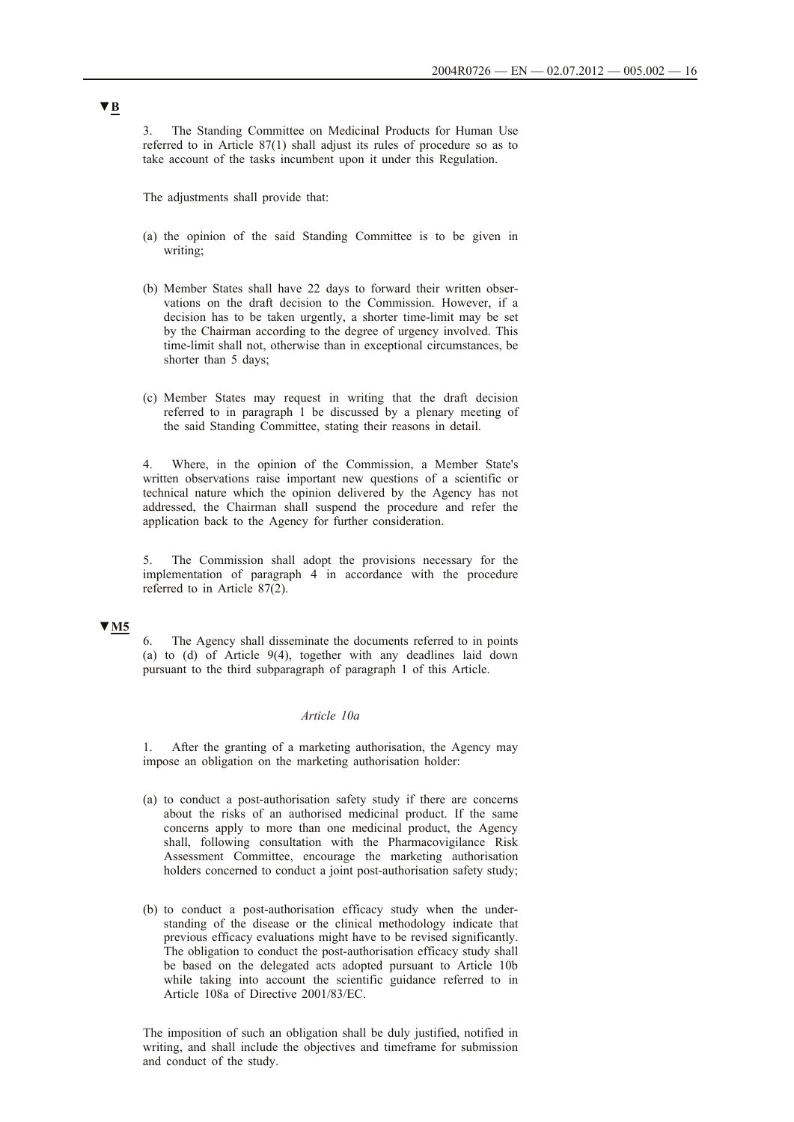3. The Standing Committee on Medicinal Products for Human Use referred to in Article 87(1) shall adjust its rules of procedure so as to take account of the tasks incumbent upon it under this Regulation.

The adjustments shall provide that:

- (a) the opinion of the said Standing Committee is to be given in writing;
- (b) Member States shall have 22 days to forward their written observations on the draft decision to the Commission. However, if a decision has to be taken urgently, a shorter time-limit may be set by the Chairman according to the degree of urgency involved. This time-limit shall not, otherwise than in exceptional circumstances, be shorter than 5 days;
- (c) Member States may request in writing that the draft decision referred to in paragraph 1 be discussed by a plenary meeting of the said Standing Committee, stating their reasons in detail.

4. Where, in the opinion of the Commission, a Member State's written observations raise important new questions of a scientific or technical nature which the opinion delivered by the Agency has not addressed, the Chairman shall suspend the procedure and refer the application back to the Agency for further consideration.

5. The Commission shall adopt the provisions necessary for the implementation of paragraph 4 in accordance with the procedure referred to in Article 87(2).

## **▼M5**

6. The Agency shall disseminate the documents referred to in points (a) to (d) of Article 9(4), together with any deadlines laid down pursuant to the third subparagraph of paragraph 1 of this Article.

### *Article 10a*

1. After the granting of a marketing authorisation, the Agency may impose an obligation on the marketing authorisation holder:

- (a) to conduct a post-authorisation safety study if there are concerns about the risks of an authorised medicinal product. If the same concerns apply to more than one medicinal product, the Agency shall, following consultation with the Pharmacovigilance Risk Assessment Committee, encourage the marketing authorisation holders concerned to conduct a joint post-authorisation safety study;
- (b) to conduct a post-authorisation efficacy study when the understanding of the disease or the clinical methodology indicate that previous efficacy evaluations might have to be revised significantly. The obligation to conduct the post-authorisation efficacy study shall be based on the delegated acts adopted pursuant to Article 10b while taking into account the scientific guidance referred to in Article 108a of Directive 2001/83/EC.

The imposition of such an obligation shall be duly justified, notified in writing, and shall include the objectives and timeframe for submission and conduct of the study.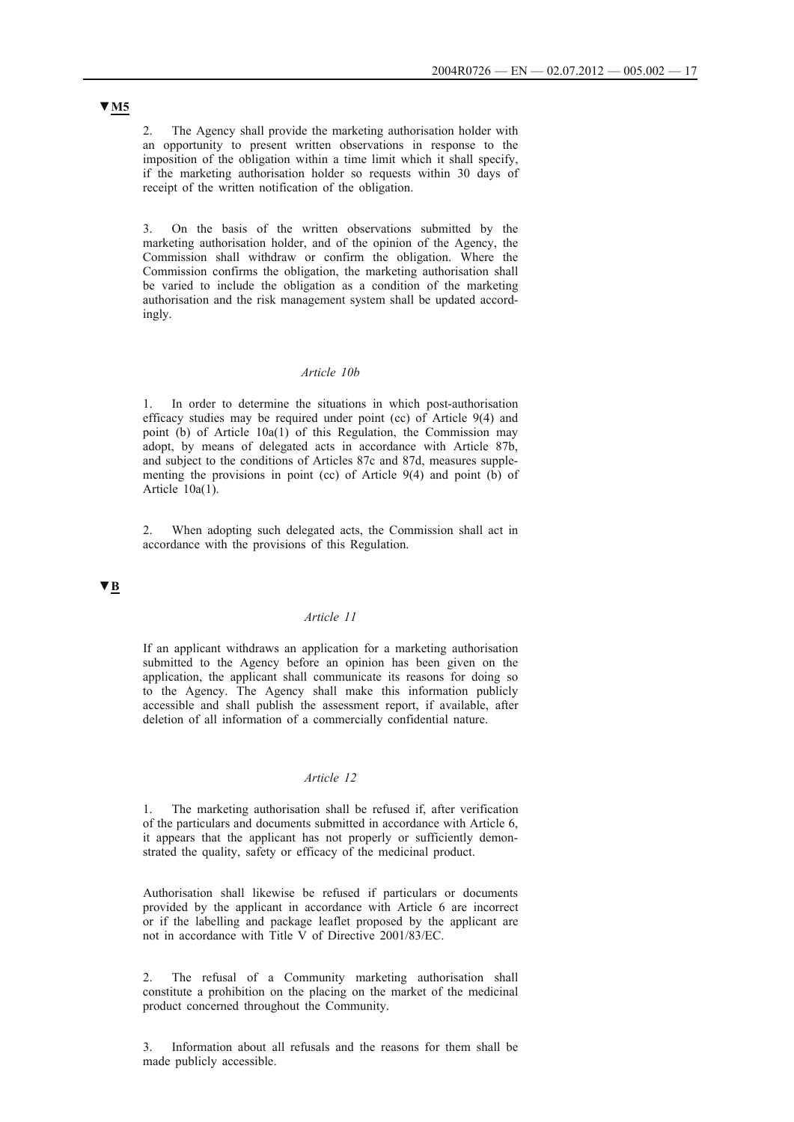2. The Agency shall provide the marketing authorisation holder with an opportunity to present written observations in response to the imposition of the obligation within a time limit which it shall specify, if the marketing authorisation holder so requests within 30 days of receipt of the written notification of the obligation.

3. On the basis of the written observations submitted by the marketing authorisation holder, and of the opinion of the Agency, the Commission shall withdraw or confirm the obligation. Where the Commission confirms the obligation, the marketing authorisation shall be varied to include the obligation as a condition of the marketing authorisation and the risk management system shall be updated accordingly.

## *Article 10b*

1. In order to determine the situations in which post-authorisation efficacy studies may be required under point (cc) of Article 9(4) and point (b) of Article 10a(1) of this Regulation, the Commission may adopt, by means of delegated acts in accordance with Article 87b, and subject to the conditions of Articles 87c and 87d, measures supplementing the provisions in point (cc) of Article  $9(4)$  and point (b) of Article 10a(1).

2. When adopting such delegated acts, the Commission shall act in accordance with the provisions of this Regulation.

## **▼B**

### *Article 11*

If an applicant withdraws an application for a marketing authorisation submitted to the Agency before an opinion has been given on the application, the applicant shall communicate its reasons for doing so to the Agency. The Agency shall make this information publicly accessible and shall publish the assessment report, if available, after deletion of all information of a commercially confidential nature.

## *Article 12*

1. The marketing authorisation shall be refused if, after verification of the particulars and documents submitted in accordance with Article 6, it appears that the applicant has not properly or sufficiently demonstrated the quality, safety or efficacy of the medicinal product.

Authorisation shall likewise be refused if particulars or documents provided by the applicant in accordance with Article 6 are incorrect or if the labelling and package leaflet proposed by the applicant are not in accordance with Title V of Directive 2001/83/EC.

2. The refusal of a Community marketing authorisation shall constitute a prohibition on the placing on the market of the medicinal product concerned throughout the Community.

3. Information about all refusals and the reasons for them shall be made publicly accessible.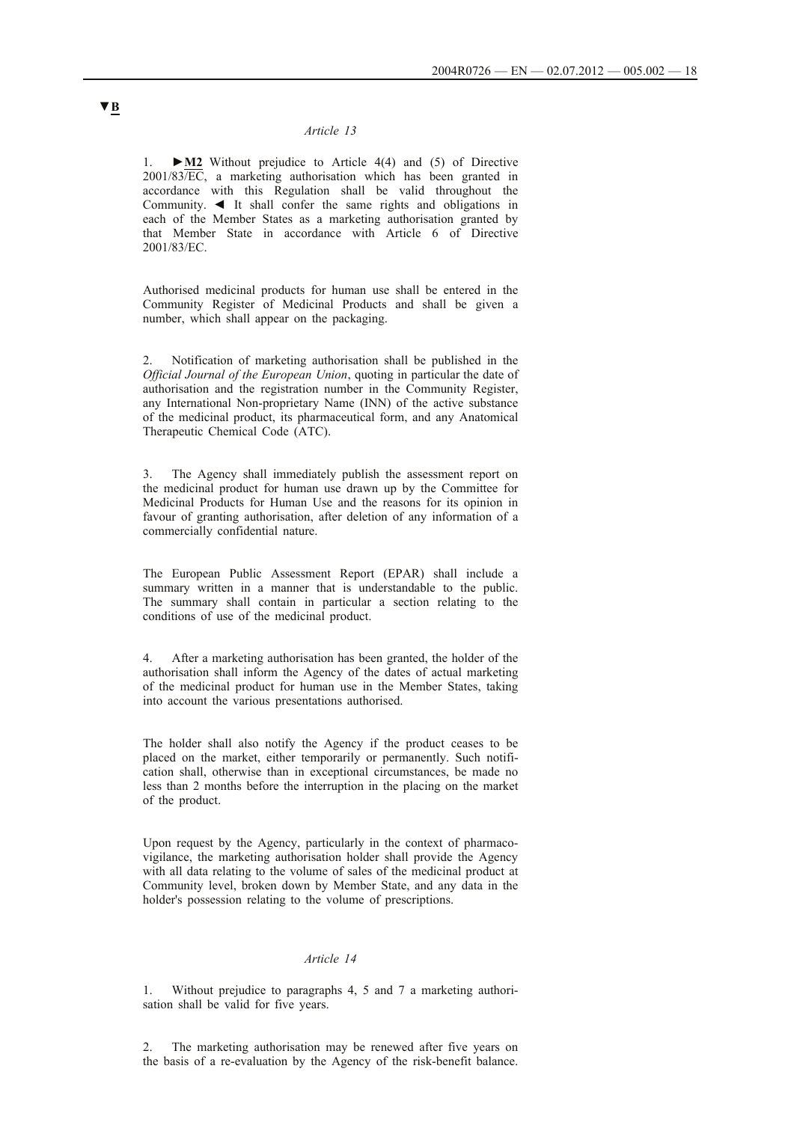### *Article 13*

1. **►M2** Without prejudice to Article 4(4) and (5) of Directive 2001/83/EC, a marketing authorisation which has been granted in accordance with this Regulation shall be valid throughout the Community. ◄ It shall confer the same rights and obligations in each of the Member States as a marketing authorisation granted by that Member State in accordance with Article 6 of Directive 2001/83/EC.

Authorised medicinal products for human use shall be entered in the Community Register of Medicinal Products and shall be given a number, which shall appear on the packaging.

2. Notification of marketing authorisation shall be published in the *Official Journal of the European Union*, quoting in particular the date of authorisation and the registration number in the Community Register, any International Non-proprietary Name (INN) of the active substance of the medicinal product, its pharmaceutical form, and any Anatomical Therapeutic Chemical Code (ATC).

3. The Agency shall immediately publish the assessment report on the medicinal product for human use drawn up by the Committee for Medicinal Products for Human Use and the reasons for its opinion in favour of granting authorisation, after deletion of any information of a commercially confidential nature.

The European Public Assessment Report (EPAR) shall include a summary written in a manner that is understandable to the public. The summary shall contain in particular a section relating to the conditions of use of the medicinal product.

4. After a marketing authorisation has been granted, the holder of the authorisation shall inform the Agency of the dates of actual marketing of the medicinal product for human use in the Member States, taking into account the various presentations authorised.

The holder shall also notify the Agency if the product ceases to be placed on the market, either temporarily or permanently. Such notification shall, otherwise than in exceptional circumstances, be made no less than 2 months before the interruption in the placing on the market of the product.

Upon request by the Agency, particularly in the context of pharmacovigilance, the marketing authorisation holder shall provide the Agency with all data relating to the volume of sales of the medicinal product at Community level, broken down by Member State, and any data in the holder's possession relating to the volume of prescriptions.

### *Article 14*

1. Without prejudice to paragraphs 4, 5 and 7 a marketing authorisation shall be valid for five years.

2. The marketing authorisation may be renewed after five years on the basis of a re-evaluation by the Agency of the risk-benefit balance.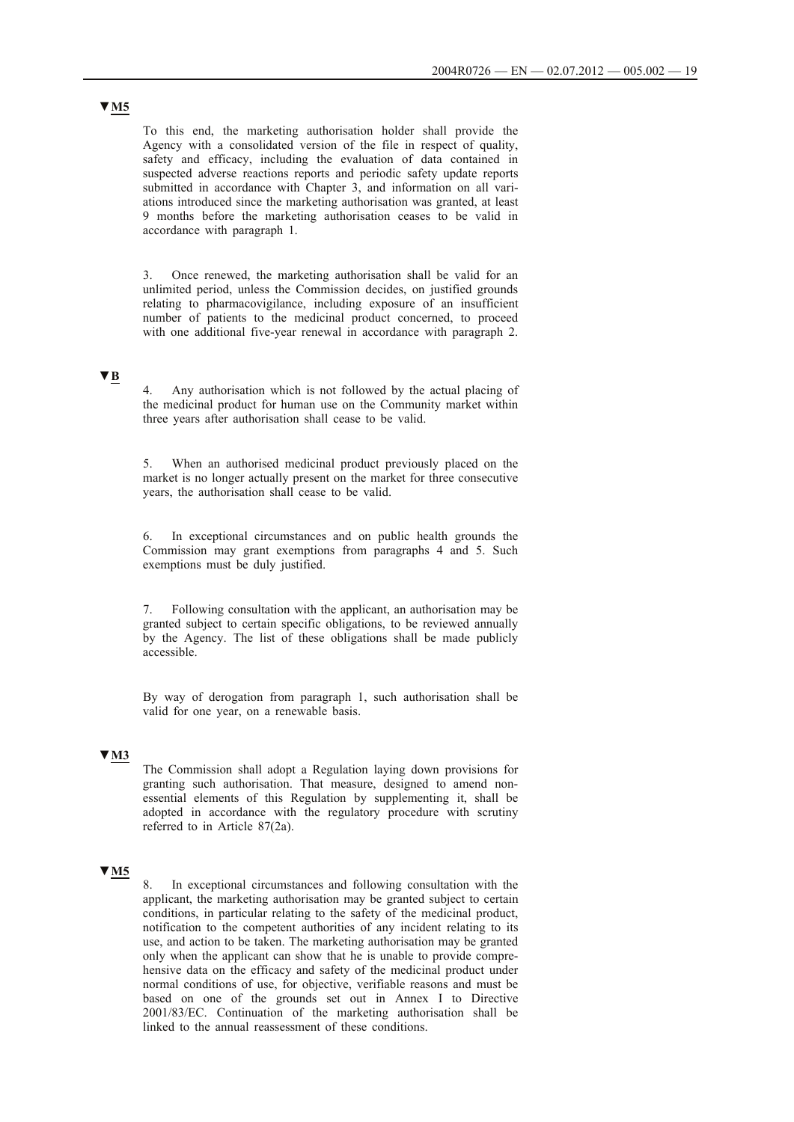To this end, the marketing authorisation holder shall provide the Agency with a consolidated version of the file in respect of quality, safety and efficacy, including the evaluation of data contained in suspected adverse reactions reports and periodic safety update reports submitted in accordance with Chapter 3, and information on all variations introduced since the marketing authorisation was granted, at least 9 months before the marketing authorisation ceases to be valid in accordance with paragraph 1.

3. Once renewed, the marketing authorisation shall be valid for an unlimited period, unless the Commission decides, on justified grounds relating to pharmacovigilance, including exposure of an insufficient number of patients to the medicinal product concerned, to proceed with one additional five-year renewal in accordance with paragraph 2.

# **▼B**

4. Any authorisation which is not followed by the actual placing of the medicinal product for human use on the Community market within three years after authorisation shall cease to be valid.

5. When an authorised medicinal product previously placed on the market is no longer actually present on the market for three consecutive years, the authorisation shall cease to be valid.

6. In exceptional circumstances and on public health grounds the Commission may grant exemptions from paragraphs 4 and 5. Such exemptions must be duly justified.

7. Following consultation with the applicant, an authorisation may be granted subject to certain specific obligations, to be reviewed annually by the Agency. The list of these obligations shall be made publicly accessible.

By way of derogation from paragraph 1, such authorisation shall be valid for one year, on a renewable basis.

## **▼M3**

The Commission shall adopt a Regulation laying down provisions for granting such authorisation. That measure, designed to amend nonessential elements of this Regulation by supplementing it, shall be adopted in accordance with the regulatory procedure with scrutiny referred to in Article 87(2a).

# **▼M5**

8. In exceptional circumstances and following consultation with the applicant, the marketing authorisation may be granted subject to certain conditions, in particular relating to the safety of the medicinal product, notification to the competent authorities of any incident relating to its use, and action to be taken. The marketing authorisation may be granted only when the applicant can show that he is unable to provide comprehensive data on the efficacy and safety of the medicinal product under normal conditions of use, for objective, verifiable reasons and must be based on one of the grounds set out in Annex I to Directive 2001/83/EC. Continuation of the marketing authorisation shall be linked to the annual reassessment of these conditions.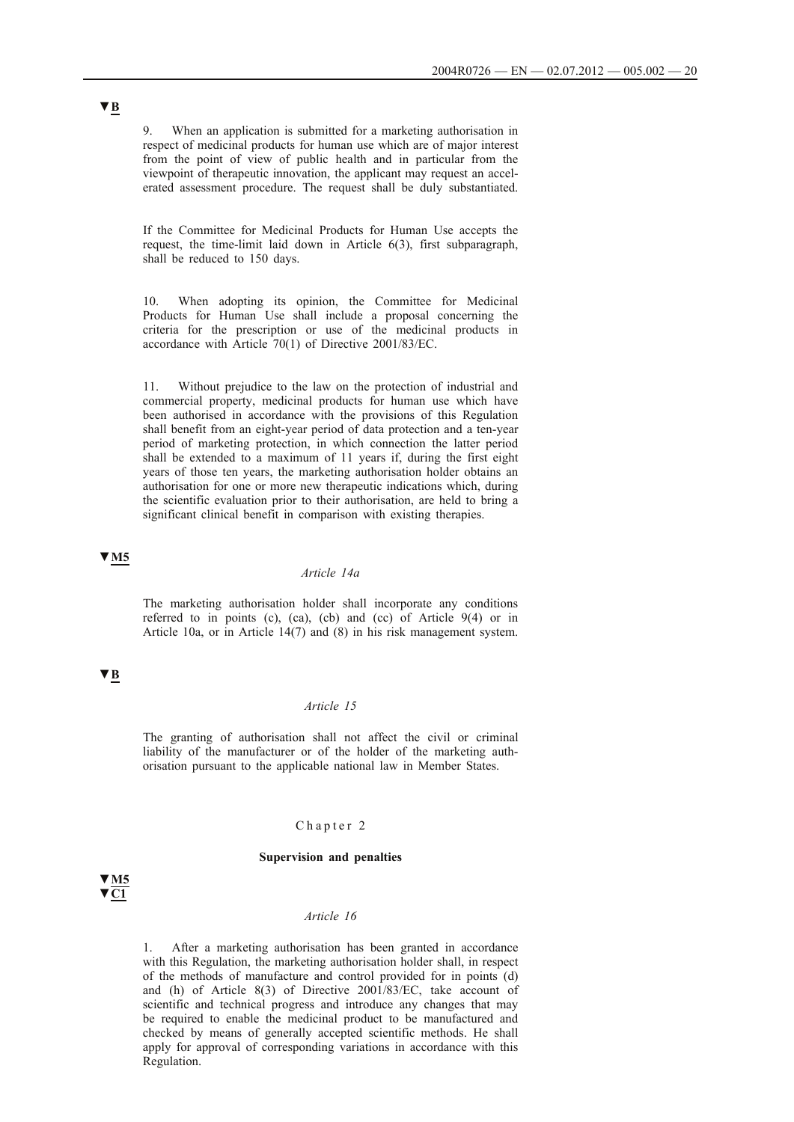9. When an application is submitted for a marketing authorisation in respect of medicinal products for human use which are of major interest from the point of view of public health and in particular from the viewpoint of therapeutic innovation, the applicant may request an accelerated assessment procedure. The request shall be duly substantiated.

If the Committee for Medicinal Products for Human Use accepts the request, the time-limit laid down in Article 6(3), first subparagraph, shall be reduced to 150 days.

10. When adopting its opinion, the Committee for Medicinal Products for Human Use shall include a proposal concerning the criteria for the prescription or use of the medicinal products in accordance with Article 70(1) of Directive 2001/83/EC.

11. Without prejudice to the law on the protection of industrial and commercial property, medicinal products for human use which have been authorised in accordance with the provisions of this Regulation shall benefit from an eight-year period of data protection and a ten-year period of marketing protection, in which connection the latter period shall be extended to a maximum of 11 years if, during the first eight years of those ten years, the marketing authorisation holder obtains an authorisation for one or more new therapeutic indications which, during the scientific evaluation prior to their authorisation, are held to bring a significant clinical benefit in comparison with existing therapies.

## **▼M5**

### *Article 14a*

The marketing authorisation holder shall incorporate any conditions referred to in points (c), (ca), (cb) and (cc) of Article 9(4) or in Article 10a, or in Article 14(7) and (8) in his risk management system.

## **▼B**

#### *Article 15*

The granting of authorisation shall not affect the civil or criminal liability of the manufacturer or of the holder of the marketing authorisation pursuant to the applicable national law in Member States.

## Chapter 2

#### **Supervision and penalties**

# **▼M5 ▼C1**

#### *Article 16*

1. After a marketing authorisation has been granted in accordance with this Regulation, the marketing authorisation holder shall, in respect of the methods of manufacture and control provided for in points (d) and (h) of Article 8(3) of Directive 2001/83/EC, take account of scientific and technical progress and introduce any changes that may be required to enable the medicinal product to be manufactured and checked by means of generally accepted scientific methods. He shall apply for approval of corresponding variations in accordance with this Regulation.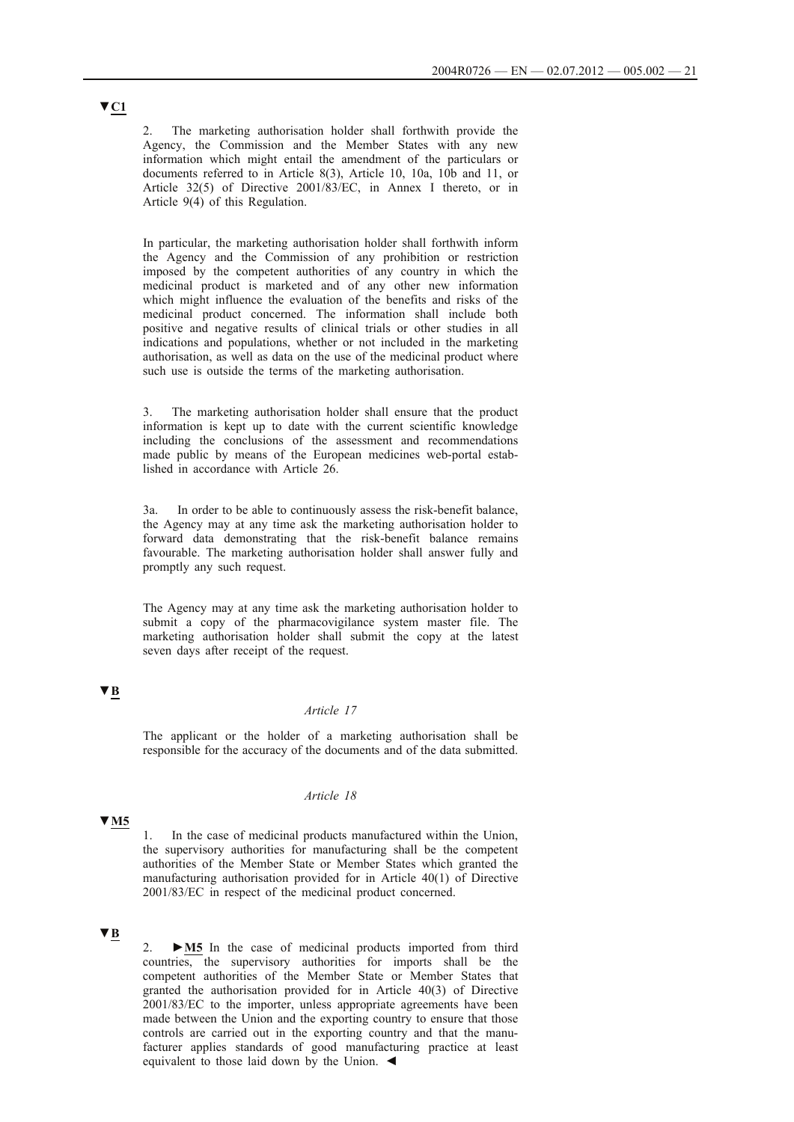2. The marketing authorisation holder shall forthwith provide the Agency, the Commission and the Member States with any new information which might entail the amendment of the particulars or documents referred to in Article 8(3), Article 10, 10a, 10b and 11, or Article 32(5) of Directive 2001/83/EC, in Annex I thereto, or in Article 9(4) of this Regulation.

In particular, the marketing authorisation holder shall forthwith inform the Agency and the Commission of any prohibition or restriction imposed by the competent authorities of any country in which the medicinal product is marketed and of any other new information which might influence the evaluation of the benefits and risks of the medicinal product concerned. The information shall include both positive and negative results of clinical trials or other studies in all indications and populations, whether or not included in the marketing authorisation, as well as data on the use of the medicinal product where such use is outside the terms of the marketing authorisation.

3. The marketing authorisation holder shall ensure that the product information is kept up to date with the current scientific knowledge including the conclusions of the assessment and recommendations made public by means of the European medicines web-portal established in accordance with Article 26.

3a. In order to be able to continuously assess the risk-benefit balance, the Agency may at any time ask the marketing authorisation holder to forward data demonstrating that the risk-benefit balance remains favourable. The marketing authorisation holder shall answer fully and promptly any such request.

The Agency may at any time ask the marketing authorisation holder to submit a copy of the pharmacovigilance system master file. The marketing authorisation holder shall submit the copy at the latest seven days after receipt of the request.

# **▼B**

### *Article 17*

The applicant or the holder of a marketing authorisation shall be responsible for the accuracy of the documents and of the data submitted.

#### *Article 18*

# **▼M5**

1. In the case of medicinal products manufactured within the Union, the supervisory authorities for manufacturing shall be the competent authorities of the Member State or Member States which granted the manufacturing authorisation provided for in Article 40(1) of Directive 2001/83/EC in respect of the medicinal product concerned.

## **▼B**

2. **►M5** In the case of medicinal products imported from third countries, the supervisory authorities for imports shall be the competent authorities of the Member State or Member States that granted the authorisation provided for in Article 40(3) of Directive 2001/83/EC to the importer, unless appropriate agreements have been made between the Union and the exporting country to ensure that those controls are carried out in the exporting country and that the manufacturer applies standards of good manufacturing practice at least equivalent to those laid down by the Union. ◄

# **▼C1**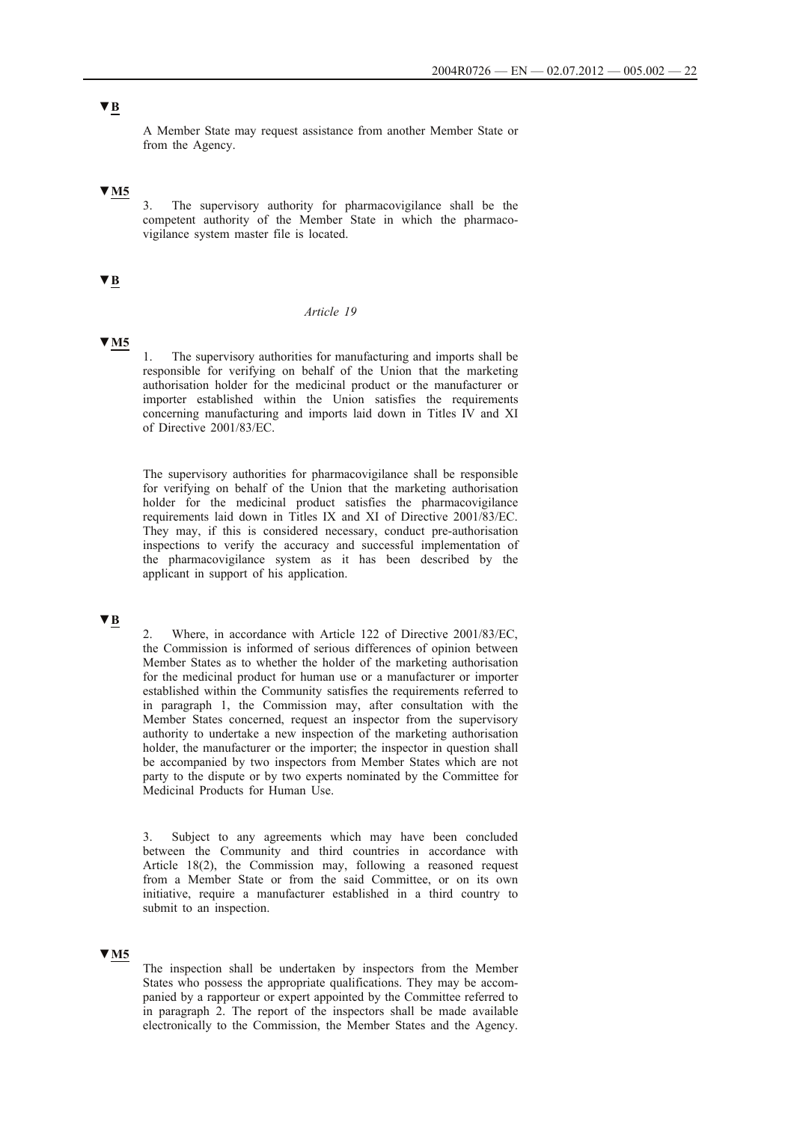# **▼B**

A Member State may request assistance from another Member State or from the Agency.

# **▼M5**

3. The supervisory authority for pharmacovigilance shall be the competent authority of the Member State in which the pharmacovigilance system master file is located.

# **▼B**

### *Article 19*

### **▼M5**

1. The supervisory authorities for manufacturing and imports shall be responsible for verifying on behalf of the Union that the marketing authorisation holder for the medicinal product or the manufacturer or importer established within the Union satisfies the requirements concerning manufacturing and imports laid down in Titles IV and XI of Directive 2001/83/EC.

The supervisory authorities for pharmacovigilance shall be responsible for verifying on behalf of the Union that the marketing authorisation holder for the medicinal product satisfies the pharmacovigilance requirements laid down in Titles IX and XI of Directive 2001/83/EC. They may, if this is considered necessary, conduct pre-authorisation inspections to verify the accuracy and successful implementation of the pharmacovigilance system as it has been described by the applicant in support of his application.

## **▼B**

2. Where, in accordance with Article 122 of Directive 2001/83/EC, the Commission is informed of serious differences of opinion between Member States as to whether the holder of the marketing authorisation for the medicinal product for human use or a manufacturer or importer established within the Community satisfies the requirements referred to in paragraph 1, the Commission may, after consultation with the Member States concerned, request an inspector from the supervisory authority to undertake a new inspection of the marketing authorisation holder, the manufacturer or the importer; the inspector in question shall be accompanied by two inspectors from Member States which are not party to the dispute or by two experts nominated by the Committee for Medicinal Products for Human Use.

Subject to any agreements which may have been concluded between the Community and third countries in accordance with Article 18(2), the Commission may, following a reasoned request from a Member State or from the said Committee, or on its own initiative, require a manufacturer established in a third country to submit to an inspection.

## **▼M5**

The inspection shall be undertaken by inspectors from the Member States who possess the appropriate qualifications. They may be accompanied by a rapporteur or expert appointed by the Committee referred to in paragraph 2. The report of the inspectors shall be made available electronically to the Commission, the Member States and the Agency.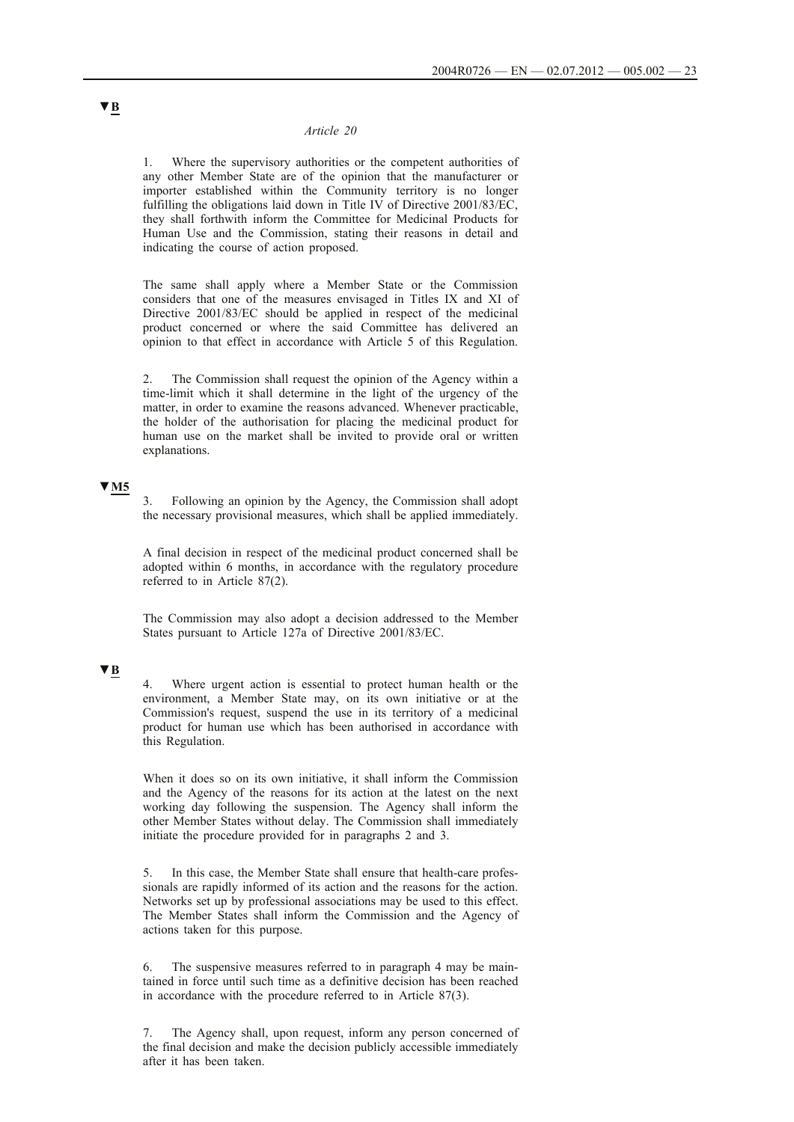#### *Article 20*

1. Where the supervisory authorities or the competent authorities of any other Member State are of the opinion that the manufacturer or importer established within the Community territory is no longer fulfilling the obligations laid down in Title IV of Directive 2001/83/EC, they shall forthwith inform the Committee for Medicinal Products for Human Use and the Commission, stating their reasons in detail and indicating the course of action proposed.

The same shall apply where a Member State or the Commission considers that one of the measures envisaged in Titles IX and XI of Directive 2001/83/EC should be applied in respect of the medicinal product concerned or where the said Committee has delivered an opinion to that effect in accordance with Article 5 of this Regulation.

2. The Commission shall request the opinion of the Agency within a time-limit which it shall determine in the light of the urgency of the matter, in order to examine the reasons advanced. Whenever practicable, the holder of the authorisation for placing the medicinal product for human use on the market shall be invited to provide oral or written explanations.

## **▼M5**

3. Following an opinion by the Agency, the Commission shall adopt the necessary provisional measures, which shall be applied immediately.

A final decision in respect of the medicinal product concerned shall be adopted within 6 months, in accordance with the regulatory procedure referred to in Article 87(2).

The Commission may also adopt a decision addressed to the Member States pursuant to Article 127a of Directive 2001/83/EC.

### **▼B**

4. Where urgent action is essential to protect human health or the environment, a Member State may, on its own initiative or at the Commission's request, suspend the use in its territory of a medicinal product for human use which has been authorised in accordance with this Regulation.

When it does so on its own initiative, it shall inform the Commission and the Agency of the reasons for its action at the latest on the next working day following the suspension. The Agency shall inform the other Member States without delay. The Commission shall immediately initiate the procedure provided for in paragraphs 2 and 3.

5. In this case, the Member State shall ensure that health-care professionals are rapidly informed of its action and the reasons for the action. Networks set up by professional associations may be used to this effect. The Member States shall inform the Commission and the Agency of actions taken for this purpose.

6. The suspensive measures referred to in paragraph 4 may be maintained in force until such time as a definitive decision has been reached in accordance with the procedure referred to in Article 87(3).

7. The Agency shall, upon request, inform any person concerned of the final decision and make the decision publicly accessible immediately after it has been taken.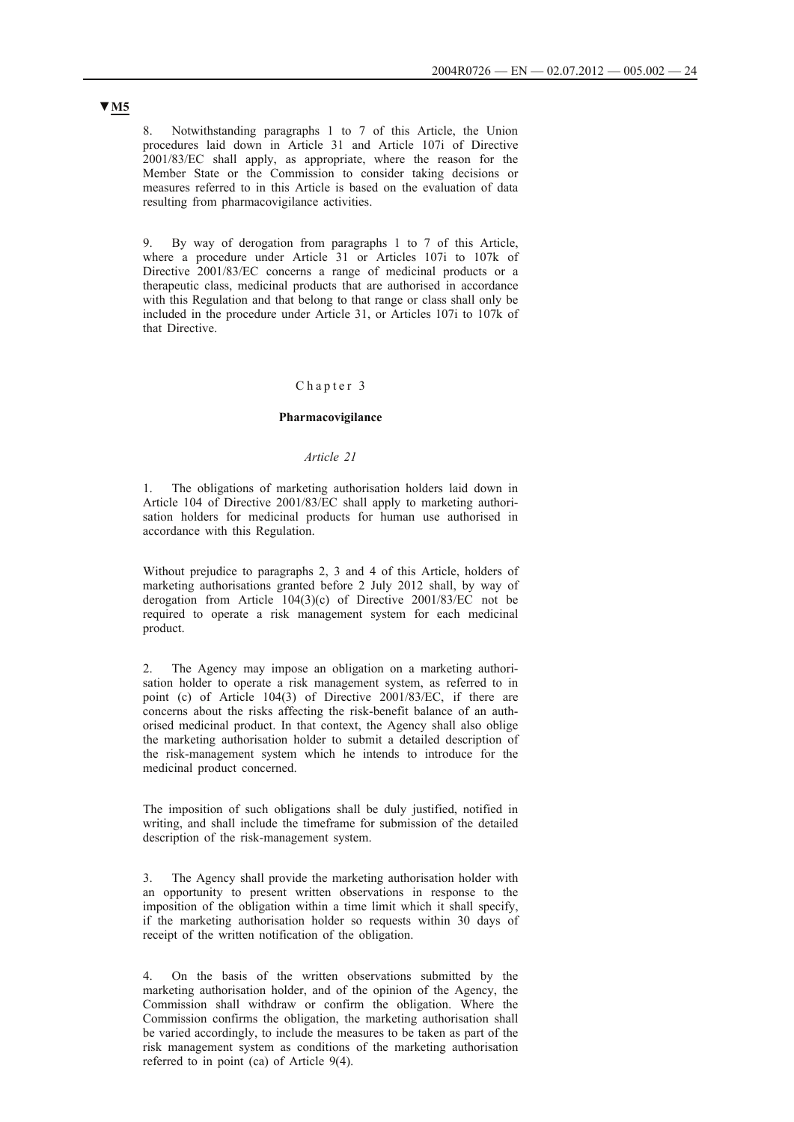8. Notwithstanding paragraphs 1 to 7 of this Article, the Union procedures laid down in Article 31 and Article 107i of Directive 2001/83/EC shall apply, as appropriate, where the reason for the Member State or the Commission to consider taking decisions or measures referred to in this Article is based on the evaluation of data resulting from pharmacovigilance activities.

9. By way of derogation from paragraphs 1 to 7 of this Article, where a procedure under Article 31 or Articles 107i to 107k of Directive 2001/83/EC concerns a range of medicinal products or a therapeutic class, medicinal products that are authorised in accordance with this Regulation and that belong to that range or class shall only be included in the procedure under Article 31, or Articles 107i to 107k of that Directive.

### Chapter 3

#### **Pharmacovigilance**

#### *Article 21*

1. The obligations of marketing authorisation holders laid down in Article 104 of Directive 2001/83/EC shall apply to marketing authorisation holders for medicinal products for human use authorised in accordance with this Regulation.

Without prejudice to paragraphs 2, 3 and 4 of this Article, holders of marketing authorisations granted before 2 July 2012 shall, by way of derogation from Article 104(3)(c) of Directive 2001/83/EC not be required to operate a risk management system for each medicinal product.

2. The Agency may impose an obligation on a marketing authorisation holder to operate a risk management system, as referred to in point (c) of Article 104(3) of Directive 2001/83/EC, if there are concerns about the risks affecting the risk-benefit balance of an authorised medicinal product. In that context, the Agency shall also oblige the marketing authorisation holder to submit a detailed description of the risk-management system which he intends to introduce for the medicinal product concerned.

The imposition of such obligations shall be duly justified, notified in writing, and shall include the timeframe for submission of the detailed description of the risk-management system.

3. The Agency shall provide the marketing authorisation holder with an opportunity to present written observations in response to the imposition of the obligation within a time limit which it shall specify, if the marketing authorisation holder so requests within 30 days of receipt of the written notification of the obligation.

4. On the basis of the written observations submitted by the marketing authorisation holder, and of the opinion of the Agency, the Commission shall withdraw or confirm the obligation. Where the Commission confirms the obligation, the marketing authorisation shall be varied accordingly, to include the measures to be taken as part of the risk management system as conditions of the marketing authorisation referred to in point (ca) of Article 9(4).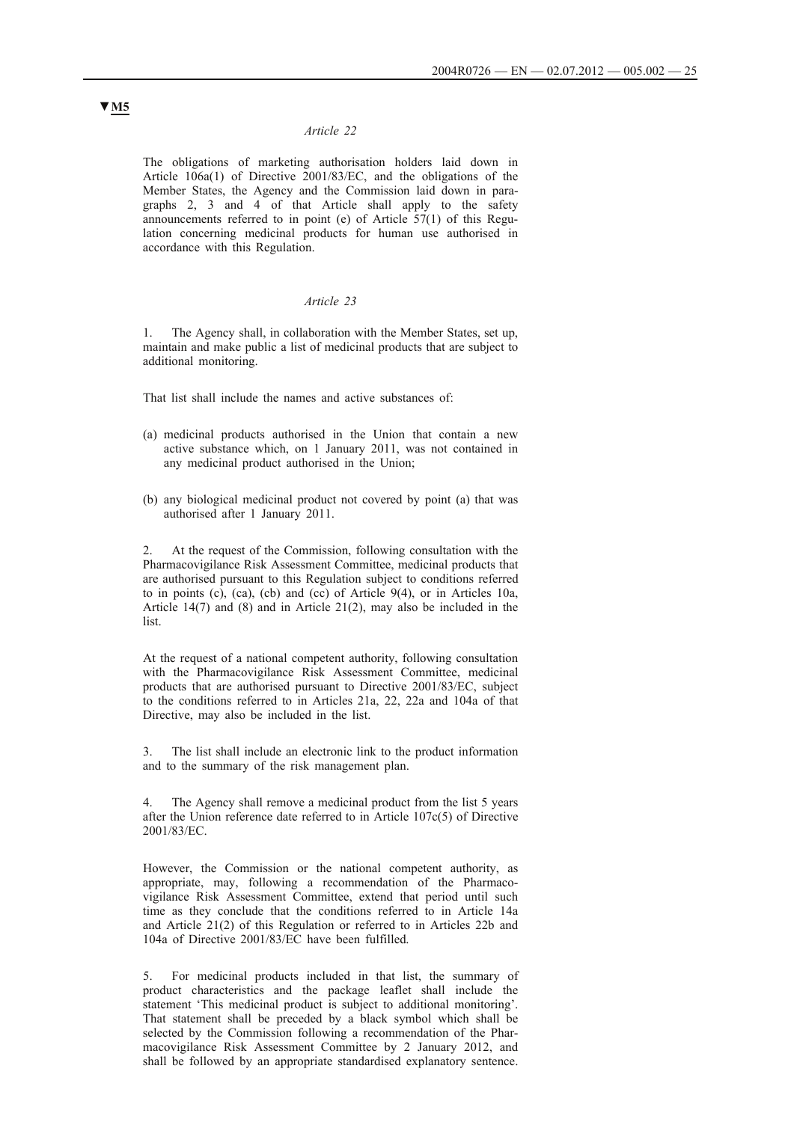#### *Article 22*

The obligations of marketing authorisation holders laid down in Article 106a(1) of Directive 2001/83/EC, and the obligations of the Member States, the Agency and the Commission laid down in paragraphs 2, 3 and 4 of that Article shall apply to the safety announcements referred to in point (e) of Article 57(1) of this Regulation concerning medicinal products for human use authorised in accordance with this Regulation.

#### *Article 23*

The Agency shall, in collaboration with the Member States, set up, maintain and make public a list of medicinal products that are subject to additional monitoring.

That list shall include the names and active substances of:

- (a) medicinal products authorised in the Union that contain a new active substance which, on 1 January 2011, was not contained in any medicinal product authorised in the Union;
- (b) any biological medicinal product not covered by point (a) that was authorised after 1 January 2011.

2. At the request of the Commission, following consultation with the Pharmacovigilance Risk Assessment Committee, medicinal products that are authorised pursuant to this Regulation subject to conditions referred to in points (c), (ca), (cb) and (cc) of Article 9(4), or in Articles 10a, Article 14(7) and (8) and in Article 21(2), may also be included in the list.

At the request of a national competent authority, following consultation with the Pharmacovigilance Risk Assessment Committee, medicinal products that are authorised pursuant to Directive 2001/83/EC, subject to the conditions referred to in Articles 21a, 22, 22a and 104a of that Directive, may also be included in the list.

The list shall include an electronic link to the product information and to the summary of the risk management plan.

The Agency shall remove a medicinal product from the list 5 years after the Union reference date referred to in Article 107c(5) of Directive 2001/83/EC.

However, the Commission or the national competent authority, as appropriate, may, following a recommendation of the Pharmacovigilance Risk Assessment Committee, extend that period until such time as they conclude that the conditions referred to in Article 14a and Article 21(2) of this Regulation or referred to in Articles 22b and 104a of Directive 2001/83/EC have been fulfilled.

5. For medicinal products included in that list, the summary of product characteristics and the package leaflet shall include the statement 'This medicinal product is subject to additional monitoring'. That statement shall be preceded by a black symbol which shall be selected by the Commission following a recommendation of the Pharmacovigilance Risk Assessment Committee by 2 January 2012, and shall be followed by an appropriate standardised explanatory sentence.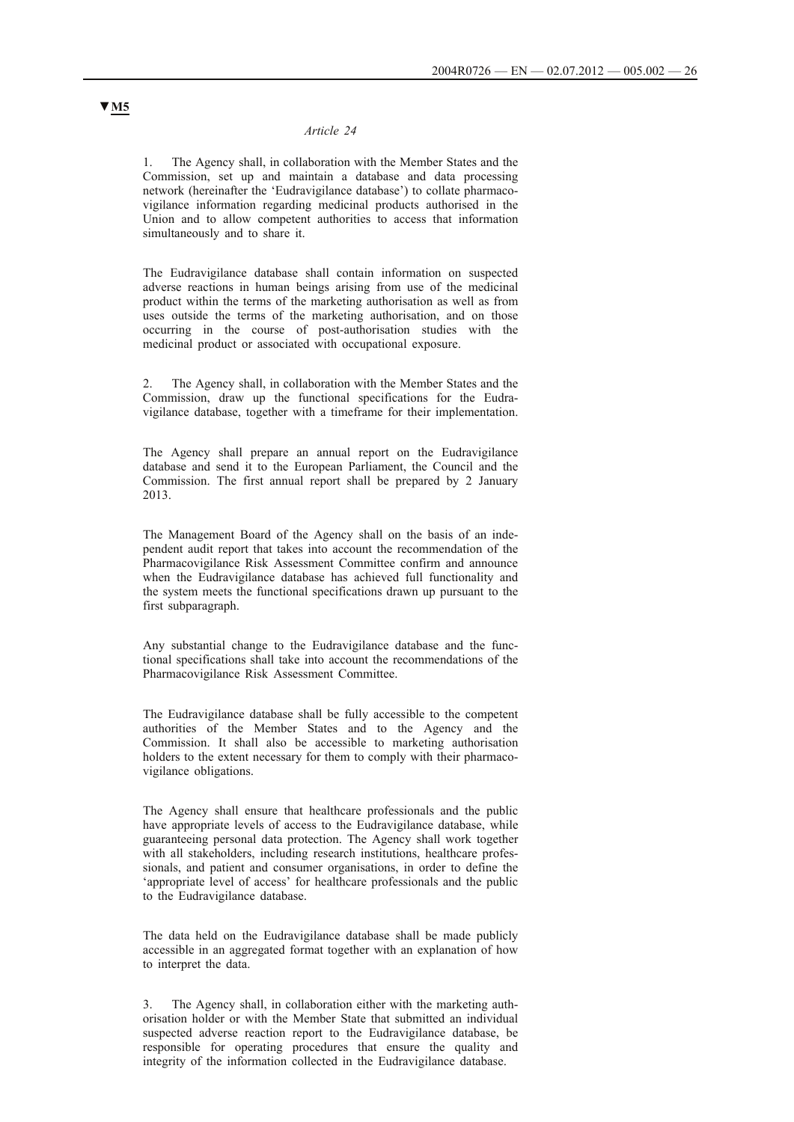### *Article 24*

1. The Agency shall, in collaboration with the Member States and the Commission, set up and maintain a database and data processing network (hereinafter the 'Eudravigilance database') to collate pharmacovigilance information regarding medicinal products authorised in the Union and to allow competent authorities to access that information simultaneously and to share it.

The Eudravigilance database shall contain information on suspected adverse reactions in human beings arising from use of the medicinal product within the terms of the marketing authorisation as well as from uses outside the terms of the marketing authorisation, and on those occurring in the course of post-authorisation studies with the medicinal product or associated with occupational exposure.

The Agency shall, in collaboration with the Member States and the Commission, draw up the functional specifications for the Eudravigilance database, together with a timeframe for their implementation.

The Agency shall prepare an annual report on the Eudravigilance database and send it to the European Parliament, the Council and the Commission. The first annual report shall be prepared by 2 January 2013.

The Management Board of the Agency shall on the basis of an independent audit report that takes into account the recommendation of the Pharmacovigilance Risk Assessment Committee confirm and announce when the Eudravigilance database has achieved full functionality and the system meets the functional specifications drawn up pursuant to the first subparagraph.

Any substantial change to the Eudravigilance database and the functional specifications shall take into account the recommendations of the Pharmacovigilance Risk Assessment Committee.

The Eudravigilance database shall be fully accessible to the competent authorities of the Member States and to the Agency and the Commission. It shall also be accessible to marketing authorisation holders to the extent necessary for them to comply with their pharmacovigilance obligations.

The Agency shall ensure that healthcare professionals and the public have appropriate levels of access to the Eudravigilance database, while guaranteeing personal data protection. The Agency shall work together with all stakeholders, including research institutions, healthcare professionals, and patient and consumer organisations, in order to define the 'appropriate level of access' for healthcare professionals and the public to the Eudravigilance database.

The data held on the Eudravigilance database shall be made publicly accessible in an aggregated format together with an explanation of how to interpret the data.

3. The Agency shall, in collaboration either with the marketing authorisation holder or with the Member State that submitted an individual suspected adverse reaction report to the Eudravigilance database, be responsible for operating procedures that ensure the quality and integrity of the information collected in the Eudravigilance database.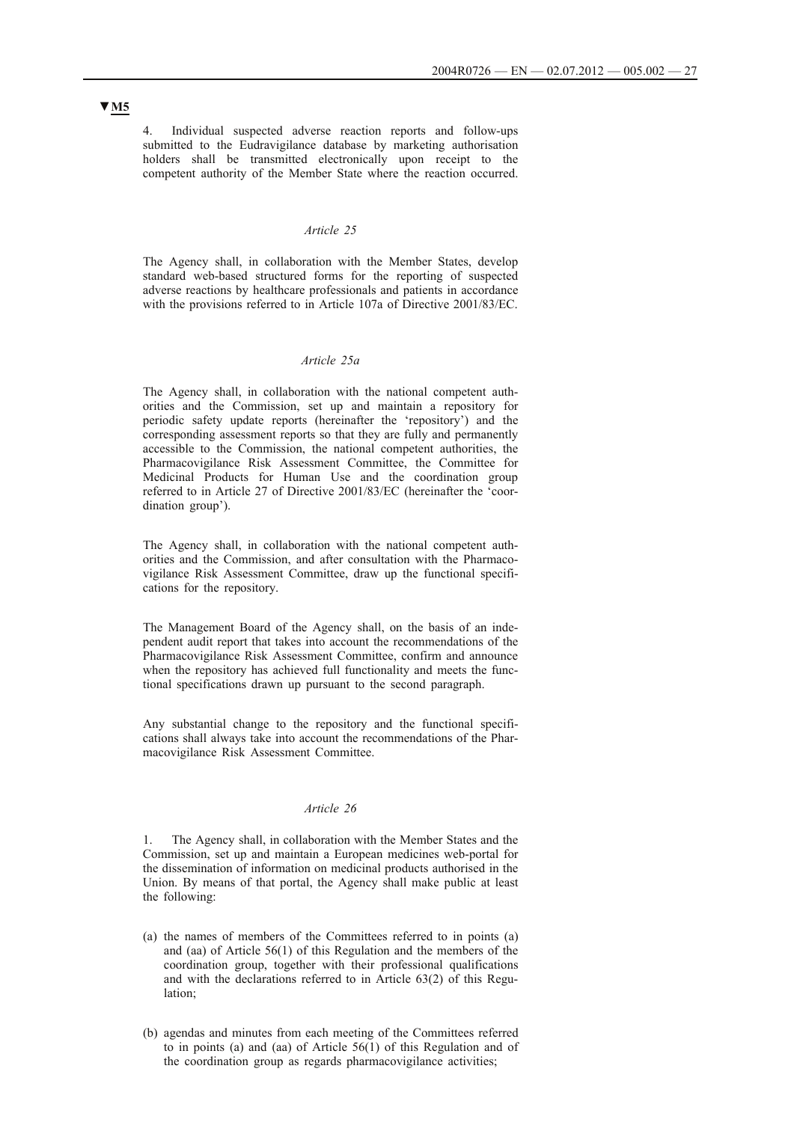4. Individual suspected adverse reaction reports and follow-ups submitted to the Eudravigilance database by marketing authorisation holders shall be transmitted electronically upon receipt to the competent authority of the Member State where the reaction occurred.

## *Article 25*

The Agency shall, in collaboration with the Member States, develop standard web-based structured forms for the reporting of suspected adverse reactions by healthcare professionals and patients in accordance with the provisions referred to in Article 107a of Directive 2001/83/EC.

### *Article 25a*

The Agency shall, in collaboration with the national competent authorities and the Commission, set up and maintain a repository for periodic safety update reports (hereinafter the 'repository') and the corresponding assessment reports so that they are fully and permanently accessible to the Commission, the national competent authorities, the Pharmacovigilance Risk Assessment Committee, the Committee for Medicinal Products for Human Use and the coordination group referred to in Article 27 of Directive 2001/83/EC (hereinafter the 'coordination group').

The Agency shall, in collaboration with the national competent authorities and the Commission, and after consultation with the Pharmacovigilance Risk Assessment Committee, draw up the functional specifications for the repository.

The Management Board of the Agency shall, on the basis of an independent audit report that takes into account the recommendations of the Pharmacovigilance Risk Assessment Committee, confirm and announce when the repository has achieved full functionality and meets the functional specifications drawn up pursuant to the second paragraph.

Any substantial change to the repository and the functional specifications shall always take into account the recommendations of the Pharmacovigilance Risk Assessment Committee.

## *Article 26*

1. The Agency shall, in collaboration with the Member States and the Commission, set up and maintain a European medicines web-portal for the dissemination of information on medicinal products authorised in the Union. By means of that portal, the Agency shall make public at least the following:

- (a) the names of members of the Committees referred to in points (a) and (aa) of Article 56(1) of this Regulation and the members of the coordination group, together with their professional qualifications and with the declarations referred to in Article 63(2) of this Regulation;
- (b) agendas and minutes from each meeting of the Committees referred to in points (a) and (aa) of Article 56(1) of this Regulation and of the coordination group as regards pharmacovigilance activities;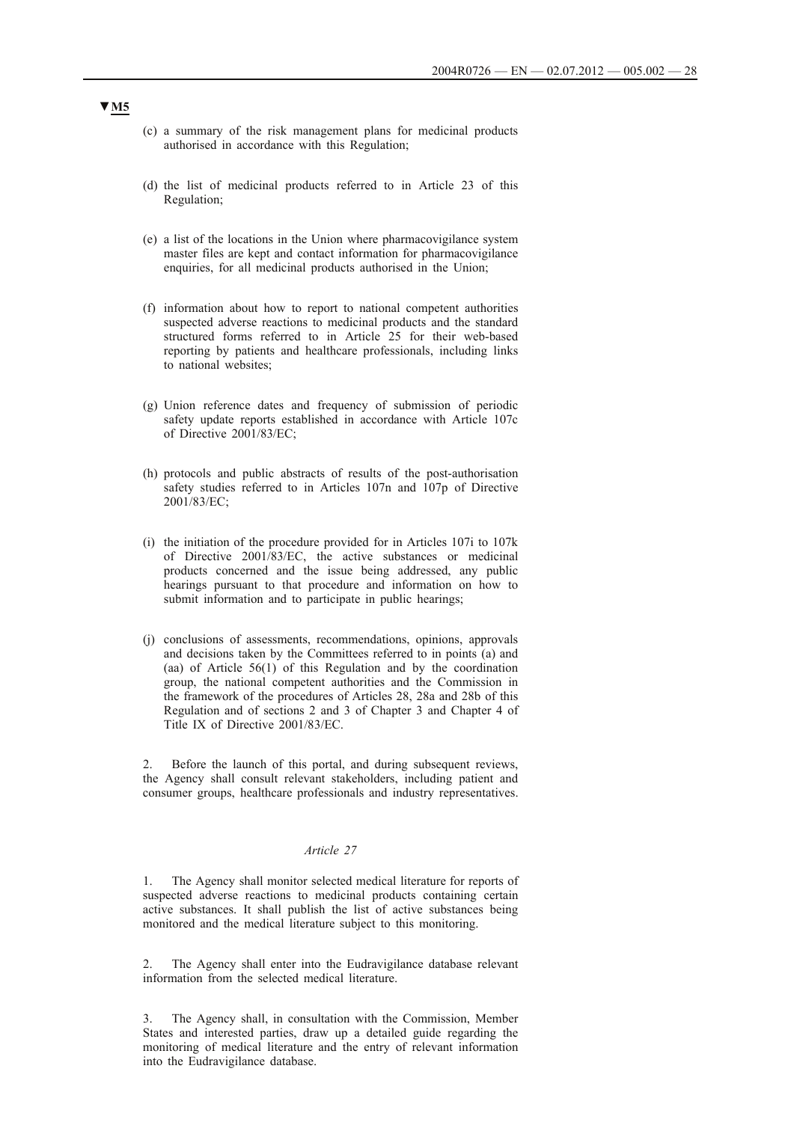- (c) a summary of the risk management plans for medicinal products authorised in accordance with this Regulation;
- (d) the list of medicinal products referred to in Article 23 of this Regulation;
- (e) a list of the locations in the Union where pharmacovigilance system master files are kept and contact information for pharmacovigilance enquiries, for all medicinal products authorised in the Union;
- (f) information about how to report to national competent authorities suspected adverse reactions to medicinal products and the standard structured forms referred to in Article 25 for their web-based reporting by patients and healthcare professionals, including links to national websites;
- (g) Union reference dates and frequency of submission of periodic safety update reports established in accordance with Article 107c of Directive 2001/83/EC;
- (h) protocols and public abstracts of results of the post-authorisation safety studies referred to in Articles 107n and 107p of Directive 2001/83/EC;
- (i) the initiation of the procedure provided for in Articles 107i to 107k of Directive 2001/83/EC, the active substances or medicinal products concerned and the issue being addressed, any public hearings pursuant to that procedure and information on how to submit information and to participate in public hearings;
- (j) conclusions of assessments, recommendations, opinions, approvals and decisions taken by the Committees referred to in points (a) and (aa) of Article 56(1) of this Regulation and by the coordination group, the national competent authorities and the Commission in the framework of the procedures of Articles 28, 28a and 28b of this Regulation and of sections 2 and 3 of Chapter 3 and Chapter 4 of Title IX of Directive 2001/83/EC.

2. Before the launch of this portal, and during subsequent reviews, the Agency shall consult relevant stakeholders, including patient and consumer groups, healthcare professionals and industry representatives.

### *Article 27*

1. The Agency shall monitor selected medical literature for reports of suspected adverse reactions to medicinal products containing certain active substances. It shall publish the list of active substances being monitored and the medical literature subject to this monitoring.

The Agency shall enter into the Eudravigilance database relevant information from the selected medical literature.

3. The Agency shall, in consultation with the Commission, Member States and interested parties, draw up a detailed guide regarding the monitoring of medical literature and the entry of relevant information into the Eudravigilance database.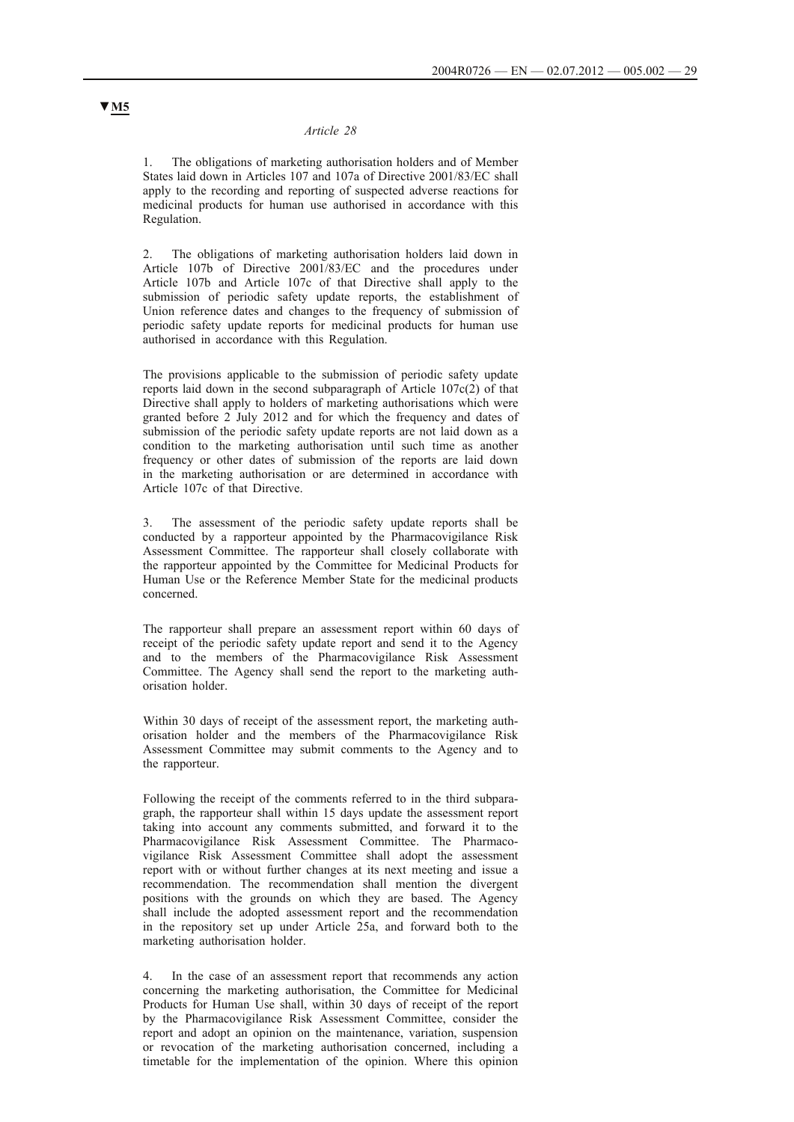#### *Article 28*

1. The obligations of marketing authorisation holders and of Member States laid down in Articles 107 and 107a of Directive 2001/83/EC shall apply to the recording and reporting of suspected adverse reactions for medicinal products for human use authorised in accordance with this Regulation.

The obligations of marketing authorisation holders laid down in Article 107b of Directive 2001/83/EC and the procedures under Article 107b and Article 107c of that Directive shall apply to the submission of periodic safety update reports, the establishment of Union reference dates and changes to the frequency of submission of periodic safety update reports for medicinal products for human use authorised in accordance with this Regulation.

The provisions applicable to the submission of periodic safety update reports laid down in the second subparagraph of Article 107c(2) of that Directive shall apply to holders of marketing authorisations which were granted before 2 July 2012 and for which the frequency and dates of submission of the periodic safety update reports are not laid down as a condition to the marketing authorisation until such time as another frequency or other dates of submission of the reports are laid down in the marketing authorisation or are determined in accordance with Article 107c of that Directive.

3. The assessment of the periodic safety update reports shall be conducted by a rapporteur appointed by the Pharmacovigilance Risk Assessment Committee. The rapporteur shall closely collaborate with the rapporteur appointed by the Committee for Medicinal Products for Human Use or the Reference Member State for the medicinal products concerned.

The rapporteur shall prepare an assessment report within 60 days of receipt of the periodic safety update report and send it to the Agency and to the members of the Pharmacovigilance Risk Assessment Committee. The Agency shall send the report to the marketing authorisation holder.

Within 30 days of receipt of the assessment report, the marketing authorisation holder and the members of the Pharmacovigilance Risk Assessment Committee may submit comments to the Agency and to the rapporteur.

Following the receipt of the comments referred to in the third subparagraph, the rapporteur shall within 15 days update the assessment report taking into account any comments submitted, and forward it to the Pharmacovigilance Risk Assessment Committee. The Pharmacovigilance Risk Assessment Committee shall adopt the assessment report with or without further changes at its next meeting and issue a recommendation. The recommendation shall mention the divergent positions with the grounds on which they are based. The Agency shall include the adopted assessment report and the recommendation in the repository set up under Article 25a, and forward both to the marketing authorisation holder.

In the case of an assessment report that recommends any action concerning the marketing authorisation, the Committee for Medicinal Products for Human Use shall, within 30 days of receipt of the report by the Pharmacovigilance Risk Assessment Committee, consider the report and adopt an opinion on the maintenance, variation, suspension or revocation of the marketing authorisation concerned, including a timetable for the implementation of the opinion. Where this opinion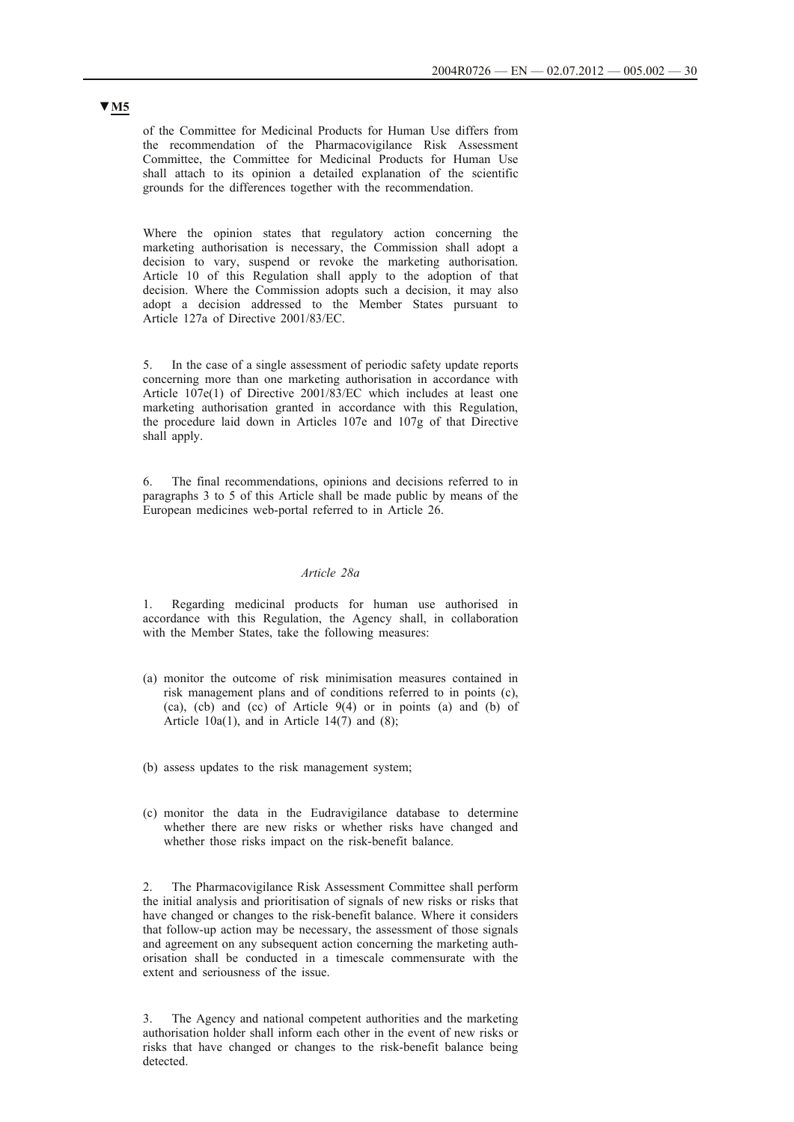of the Committee for Medicinal Products for Human Use differs from the recommendation of the Pharmacovigilance Risk Assessment Committee, the Committee for Medicinal Products for Human Use shall attach to its opinion a detailed explanation of the scientific grounds for the differences together with the recommendation.

Where the opinion states that regulatory action concerning the marketing authorisation is necessary, the Commission shall adopt a decision to vary, suspend or revoke the marketing authorisation. Article 10 of this Regulation shall apply to the adoption of that decision. Where the Commission adopts such a decision, it may also adopt a decision addressed to the Member States pursuant to Article 127a of Directive 2001/83/EC.

5. In the case of a single assessment of periodic safety update reports concerning more than one marketing authorisation in accordance with Article 107e(1) of Directive 2001/83/EC which includes at least one marketing authorisation granted in accordance with this Regulation, the procedure laid down in Articles 107e and 107g of that Directive shall apply.

6. The final recommendations, opinions and decisions referred to in paragraphs 3 to 5 of this Article shall be made public by means of the European medicines web-portal referred to in Article 26.

#### *Article 28a*

1. Regarding medicinal products for human use authorised in accordance with this Regulation, the Agency shall, in collaboration with the Member States, take the following measures:

- (a) monitor the outcome of risk minimisation measures contained in risk management plans and of conditions referred to in points (c),  $(ca)$ ,  $(cb)$  and  $(cc)$  of Article  $9(4)$  or in points  $(a)$  and  $(b)$  of Article  $10a(1)$ , and in Article  $14(7)$  and  $(8)$ ;
- (b) assess updates to the risk management system;
- (c) monitor the data in the Eudravigilance database to determine whether there are new risks or whether risks have changed and whether those risks impact on the risk-benefit balance.

2. The Pharmacovigilance Risk Assessment Committee shall perform the initial analysis and prioritisation of signals of new risks or risks that have changed or changes to the risk-benefit balance. Where it considers that follow-up action may be necessary, the assessment of those signals and agreement on any subsequent action concerning the marketing authorisation shall be conducted in a timescale commensurate with the extent and seriousness of the issue.

3. The Agency and national competent authorities and the marketing authorisation holder shall inform each other in the event of new risks or risks that have changed or changes to the risk-benefit balance being detected.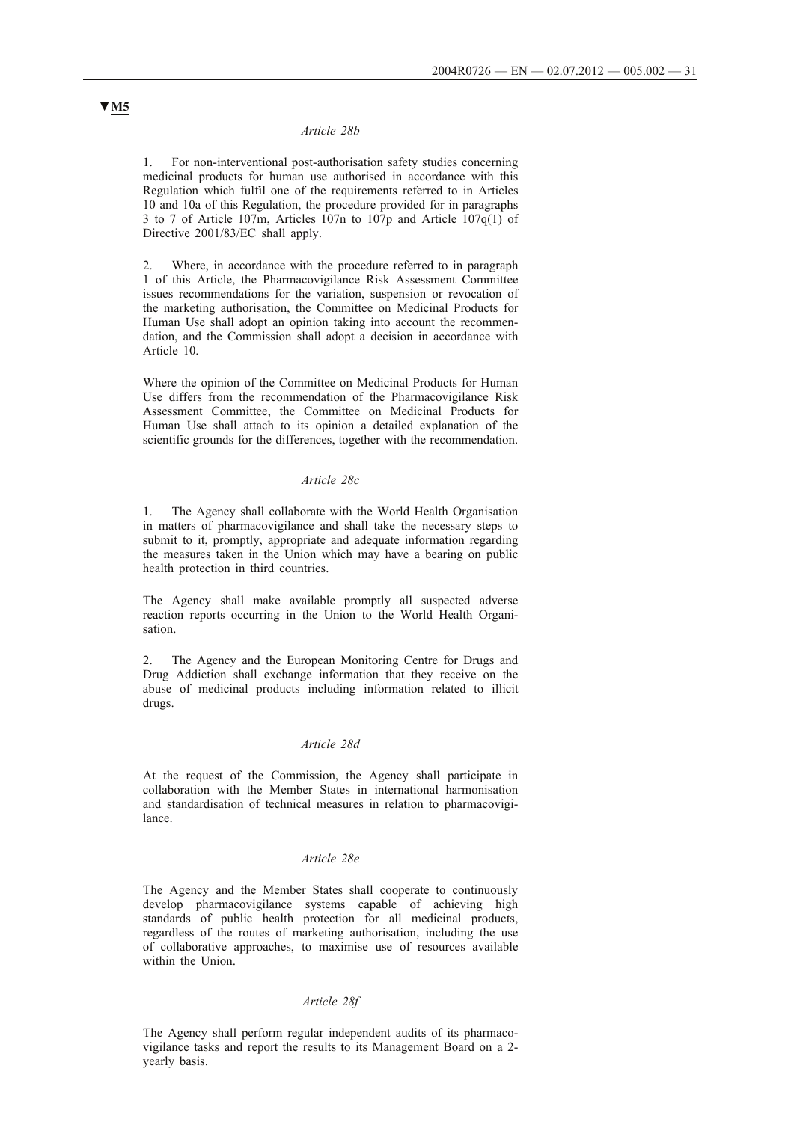### *Article 28b*

1. For non-interventional post-authorisation safety studies concerning medicinal products for human use authorised in accordance with this Regulation which fulfil one of the requirements referred to in Articles 10 and 10a of this Regulation, the procedure provided for in paragraphs 3 to 7 of Article 107m, Articles 107n to 107p and Article 107q(1) of Directive 2001/83/EC shall apply.

2. Where, in accordance with the procedure referred to in paragraph 1 of this Article, the Pharmacovigilance Risk Assessment Committee issues recommendations for the variation, suspension or revocation of the marketing authorisation, the Committee on Medicinal Products for Human Use shall adopt an opinion taking into account the recommendation, and the Commission shall adopt a decision in accordance with Article 10.

Where the opinion of the Committee on Medicinal Products for Human Use differs from the recommendation of the Pharmacovigilance Risk Assessment Committee, the Committee on Medicinal Products for Human Use shall attach to its opinion a detailed explanation of the scientific grounds for the differences, together with the recommendation.

### *Article 28c*

1. The Agency shall collaborate with the World Health Organisation in matters of pharmacovigilance and shall take the necessary steps to submit to it, promptly, appropriate and adequate information regarding the measures taken in the Union which may have a bearing on public health protection in third countries.

The Agency shall make available promptly all suspected adverse reaction reports occurring in the Union to the World Health Organisation.

The Agency and the European Monitoring Centre for Drugs and Drug Addiction shall exchange information that they receive on the abuse of medicinal products including information related to illicit drugs.

### *Article 28d*

At the request of the Commission, the Agency shall participate in collaboration with the Member States in international harmonisation and standardisation of technical measures in relation to pharmacovigilance.

#### *Article 28e*

The Agency and the Member States shall cooperate to continuously develop pharmacovigilance systems capable of achieving high standards of public health protection for all medicinal products, regardless of the routes of marketing authorisation, including the use of collaborative approaches, to maximise use of resources available within the Union.

## *Article 28f*

The Agency shall perform regular independent audits of its pharmacovigilance tasks and report the results to its Management Board on a 2 yearly basis.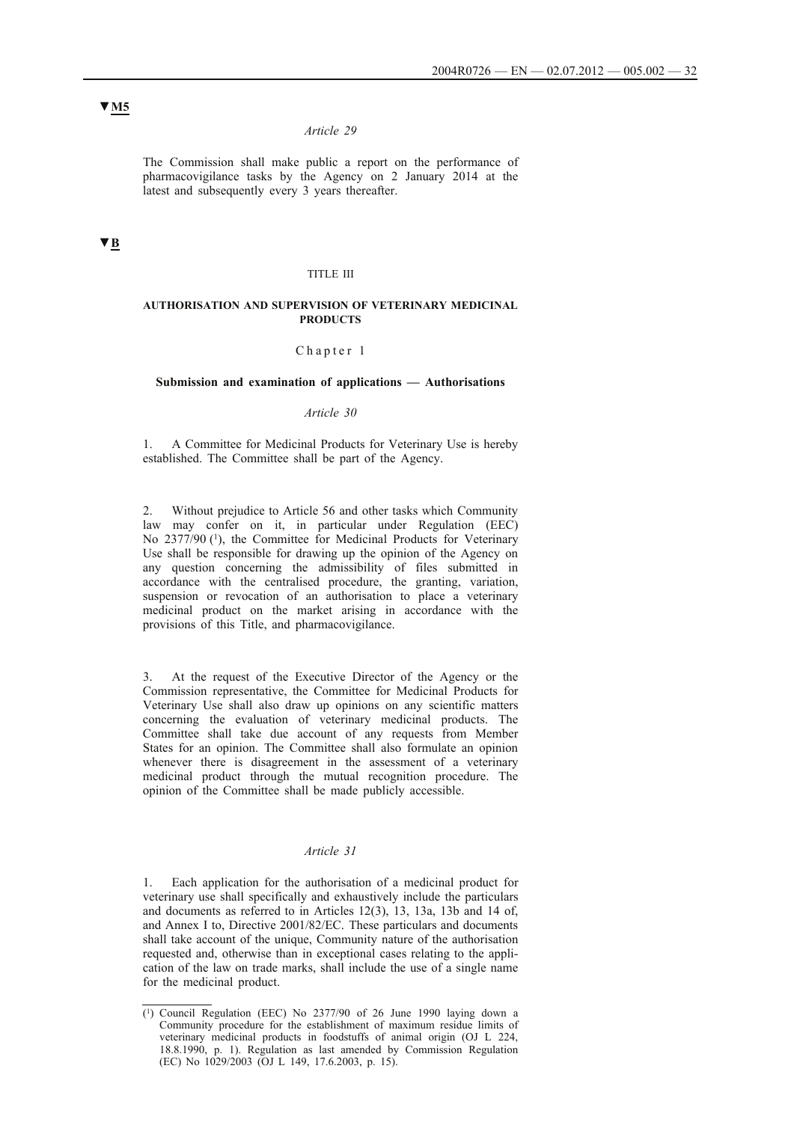## *Article 29*

The Commission shall make public a report on the performance of pharmacovigilance tasks by the Agency on 2 January 2014 at the latest and subsequently every 3 years thereafter.

# **▼B**

### TITLE III

#### **AUTHORISATION AND SUPERVISION OF VETERINARY MEDICINAL PRODUCTS**

#### Chapter 1

## **Submission and examination of applications — Authorisations**

#### *Article 30*

1. A Committee for Medicinal Products for Veterinary Use is hereby established. The Committee shall be part of the Agency.

2. Without prejudice to Article 56 and other tasks which Community law may confer on it, in particular under Regulation (EEC) No 2377/90<sup>(1)</sup>, the Committee for Medicinal Products for Veterinary Use shall be responsible for drawing up the opinion of the Agency on any question concerning the admissibility of files submitted in accordance with the centralised procedure, the granting, variation, suspension or revocation of an authorisation to place a veterinary medicinal product on the market arising in accordance with the provisions of this Title, and pharmacovigilance.

At the request of the Executive Director of the Agency or the Commission representative, the Committee for Medicinal Products for Veterinary Use shall also draw up opinions on any scientific matters concerning the evaluation of veterinary medicinal products. The Committee shall take due account of any requests from Member States for an opinion. The Committee shall also formulate an opinion whenever there is disagreement in the assessment of a veterinary medicinal product through the mutual recognition procedure. The opinion of the Committee shall be made publicly accessible.

## *Article 31*

Each application for the authorisation of a medicinal product for veterinary use shall specifically and exhaustively include the particulars and documents as referred to in Articles 12(3), 13, 13a, 13b and 14 of, and Annex I to, Directive 2001/82/EC. These particulars and documents shall take account of the unique, Community nature of the authorisation requested and, otherwise than in exceptional cases relating to the application of the law on trade marks, shall include the use of a single name for the medicinal product.

<sup>(1)</sup> Council Regulation (EEC) No 2377/90 of 26 June 1990 laying down a Community procedure for the establishment of maximum residue limits of veterinary medicinal products in foodstuffs of animal origin (OJ L 224, 18.8.1990, p. 1). Regulation as last amended by Commission Regulation (EC) No 1029/2003 (OJ L 149, 17.6.2003, p. 15).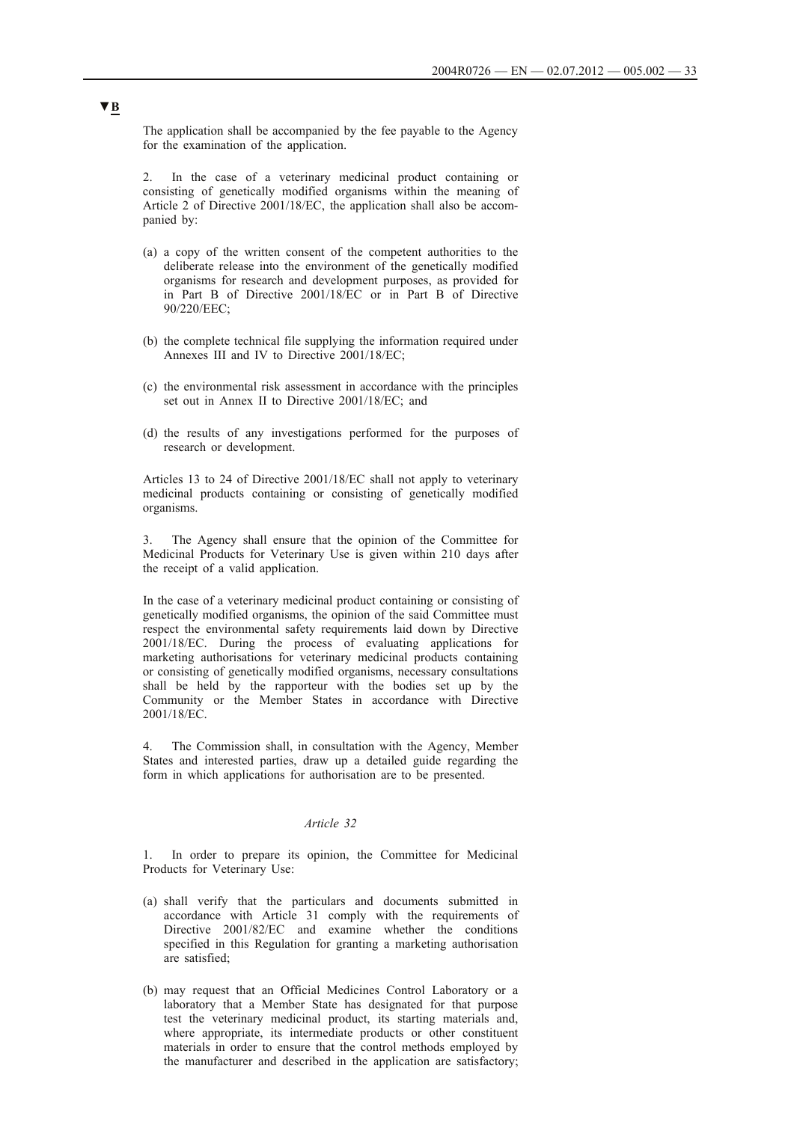The application shall be accompanied by the fee payable to the Agency for the examination of the application.

2. In the case of a veterinary medicinal product containing or consisting of genetically modified organisms within the meaning of Article 2 of Directive 2001/18/EC, the application shall also be accompanied by:

- (a) a copy of the written consent of the competent authorities to the deliberate release into the environment of the genetically modified organisms for research and development purposes, as provided for in Part B of Directive 2001/18/EC or in Part B of Directive 90/220/EEC;
- (b) the complete technical file supplying the information required under Annexes III and IV to Directive 2001/18/EC;
- (c) the environmental risk assessment in accordance with the principles set out in Annex II to Directive 2001/18/EC; and
- (d) the results of any investigations performed for the purposes of research or development.

Articles 13 to 24 of Directive 2001/18/EC shall not apply to veterinary medicinal products containing or consisting of genetically modified organisms.

3. The Agency shall ensure that the opinion of the Committee for Medicinal Products for Veterinary Use is given within 210 days after the receipt of a valid application.

In the case of a veterinary medicinal product containing or consisting of genetically modified organisms, the opinion of the said Committee must respect the environmental safety requirements laid down by Directive 2001/18/EC. During the process of evaluating applications for marketing authorisations for veterinary medicinal products containing or consisting of genetically modified organisms, necessary consultations shall be held by the rapporteur with the bodies set up by the Community or the Member States in accordance with Directive 2001/18/EC.

4. The Commission shall, in consultation with the Agency, Member States and interested parties, draw up a detailed guide regarding the form in which applications for authorisation are to be presented.

## *Article 32*

1. In order to prepare its opinion, the Committee for Medicinal Products for Veterinary Use:

- (a) shall verify that the particulars and documents submitted in accordance with Article 31 comply with the requirements of Directive 2001/82/EC and examine whether the conditions specified in this Regulation for granting a marketing authorisation are satisfied;
- (b) may request that an Official Medicines Control Laboratory or a laboratory that a Member State has designated for that purpose test the veterinary medicinal product, its starting materials and, where appropriate, its intermediate products or other constituent materials in order to ensure that the control methods employed by the manufacturer and described in the application are satisfactory;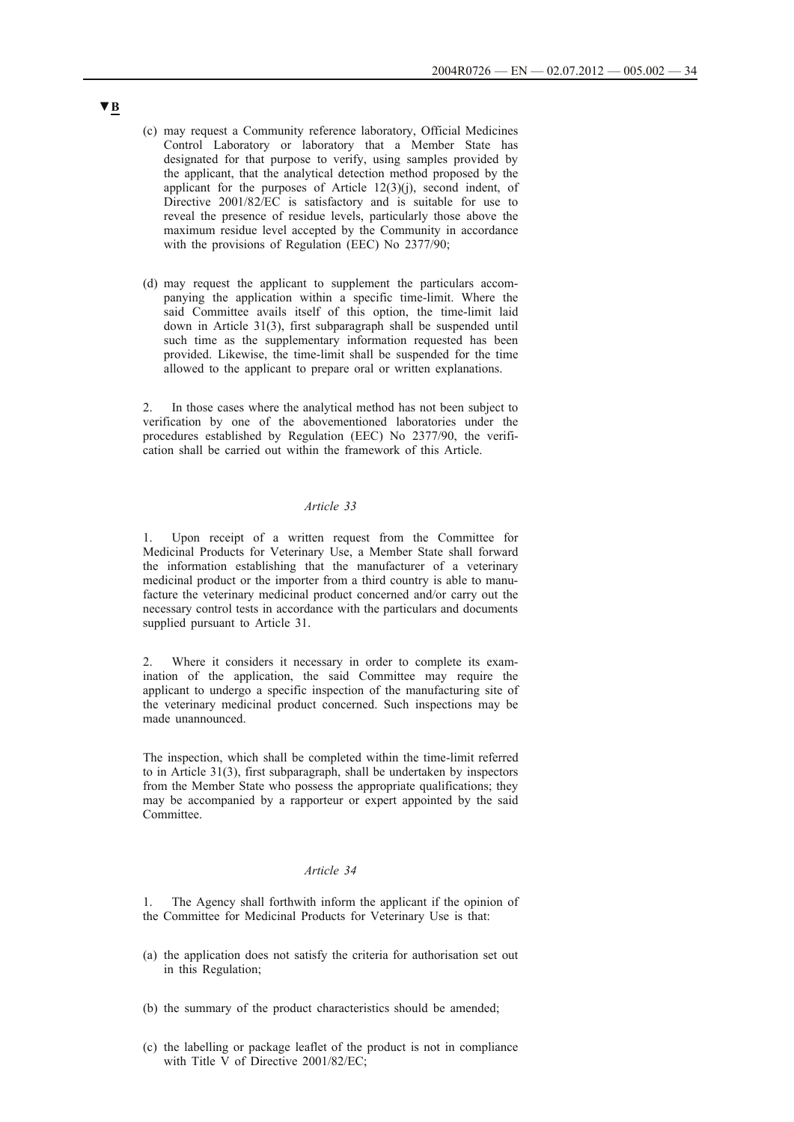- (c) may request a Community reference laboratory, Official Medicines Control Laboratory or laboratory that a Member State has designated for that purpose to verify, using samples provided by the applicant, that the analytical detection method proposed by the applicant for the purposes of Article 12(3)(j), second indent, of Directive 2001/82/EC is satisfactory and is suitable for use to reveal the presence of residue levels, particularly those above the maximum residue level accepted by the Community in accordance with the provisions of Regulation (EEC) No 2377/90;
- (d) may request the applicant to supplement the particulars accompanying the application within a specific time-limit. Where the said Committee avails itself of this option, the time-limit laid down in Article 31(3), first subparagraph shall be suspended until such time as the supplementary information requested has been provided. Likewise, the time-limit shall be suspended for the time allowed to the applicant to prepare oral or written explanations.

2. In those cases where the analytical method has not been subject to verification by one of the abovementioned laboratories under the procedures established by Regulation (EEC) No 2377/90, the verification shall be carried out within the framework of this Article.

## *Article 33*

1. Upon receipt of a written request from the Committee for Medicinal Products for Veterinary Use, a Member State shall forward the information establishing that the manufacturer of a veterinary medicinal product or the importer from a third country is able to manufacture the veterinary medicinal product concerned and/or carry out the necessary control tests in accordance with the particulars and documents supplied pursuant to Article 31.

2. Where it considers it necessary in order to complete its examination of the application, the said Committee may require the applicant to undergo a specific inspection of the manufacturing site of the veterinary medicinal product concerned. Such inspections may be made unannounced.

The inspection, which shall be completed within the time-limit referred to in Article 31(3), first subparagraph, shall be undertaken by inspectors from the Member State who possess the appropriate qualifications; they may be accompanied by a rapporteur or expert appointed by the said Committee.

## *Article 34*

1. The Agency shall forthwith inform the applicant if the opinion of the Committee for Medicinal Products for Veterinary Use is that:

- (a) the application does not satisfy the criteria for authorisation set out in this Regulation;
- (b) the summary of the product characteristics should be amended;
- (c) the labelling or package leaflet of the product is not in compliance with Title V of Directive 2001/82/EC;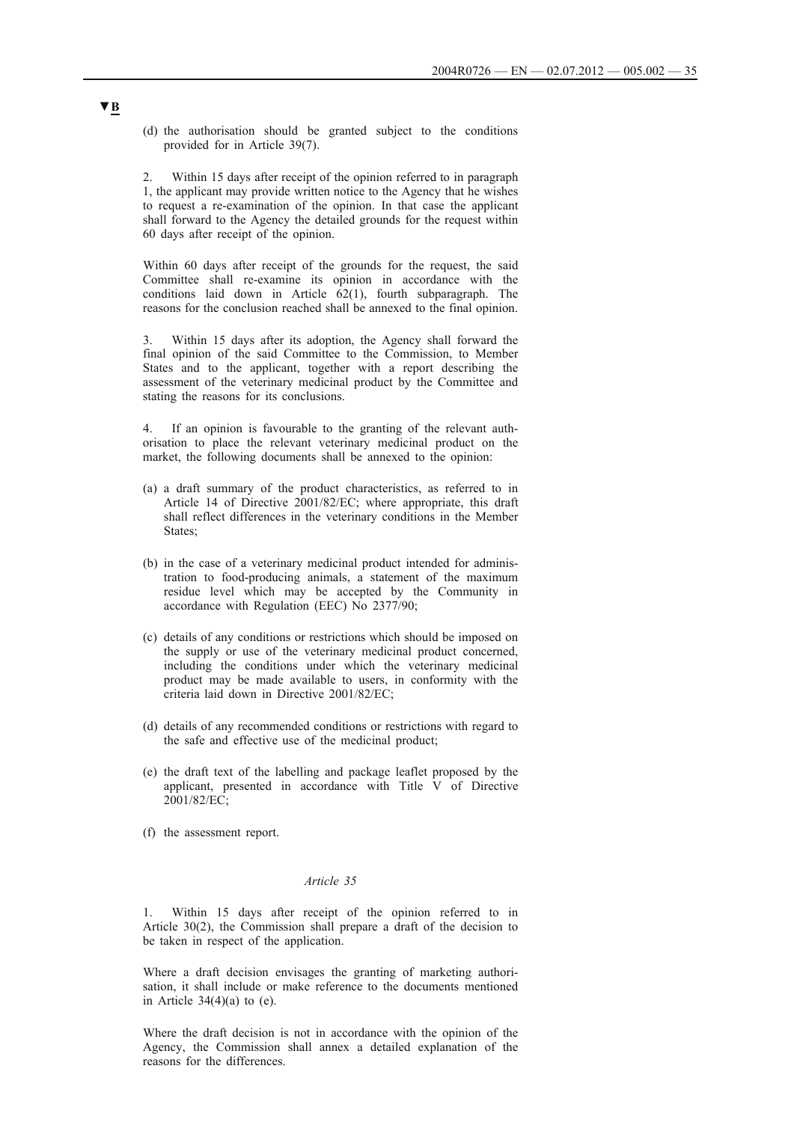(d) the authorisation should be granted subject to the conditions provided for in Article 39(7).

2. Within 15 days after receipt of the opinion referred to in paragraph 1, the applicant may provide written notice to the Agency that he wishes to request a re-examination of the opinion. In that case the applicant shall forward to the Agency the detailed grounds for the request within 60 days after receipt of the opinion.

Within 60 days after receipt of the grounds for the request, the said Committee shall re-examine its opinion in accordance with the conditions laid down in Article 62(1), fourth subparagraph. The reasons for the conclusion reached shall be annexed to the final opinion.

3. Within 15 days after its adoption, the Agency shall forward the final opinion of the said Committee to the Commission, to Member States and to the applicant, together with a report describing the assessment of the veterinary medicinal product by the Committee and stating the reasons for its conclusions.

4. If an opinion is favourable to the granting of the relevant authorisation to place the relevant veterinary medicinal product on the market, the following documents shall be annexed to the opinion:

- (a) a draft summary of the product characteristics, as referred to in Article 14 of Directive 2001/82/EC; where appropriate, this draft shall reflect differences in the veterinary conditions in the Member States;
- (b) in the case of a veterinary medicinal product intended for administration to food-producing animals, a statement of the maximum residue level which may be accepted by the Community in accordance with Regulation (EEC) No 2377/90;
- (c) details of any conditions or restrictions which should be imposed on the supply or use of the veterinary medicinal product concerned, including the conditions under which the veterinary medicinal product may be made available to users, in conformity with the criteria laid down in Directive 2001/82/EC;
- (d) details of any recommended conditions or restrictions with regard to the safe and effective use of the medicinal product;
- (e) the draft text of the labelling and package leaflet proposed by the applicant, presented in accordance with Title V of Directive 2001/82/EC;
- (f) the assessment report.

# *Article 35*

Within 15 days after receipt of the opinion referred to in Article 30(2), the Commission shall prepare a draft of the decision to be taken in respect of the application.

Where a draft decision envisages the granting of marketing authorisation, it shall include or make reference to the documents mentioned in Article  $34(4)(a)$  to (e).

Where the draft decision is not in accordance with the opinion of the Agency, the Commission shall annex a detailed explanation of the reasons for the differences.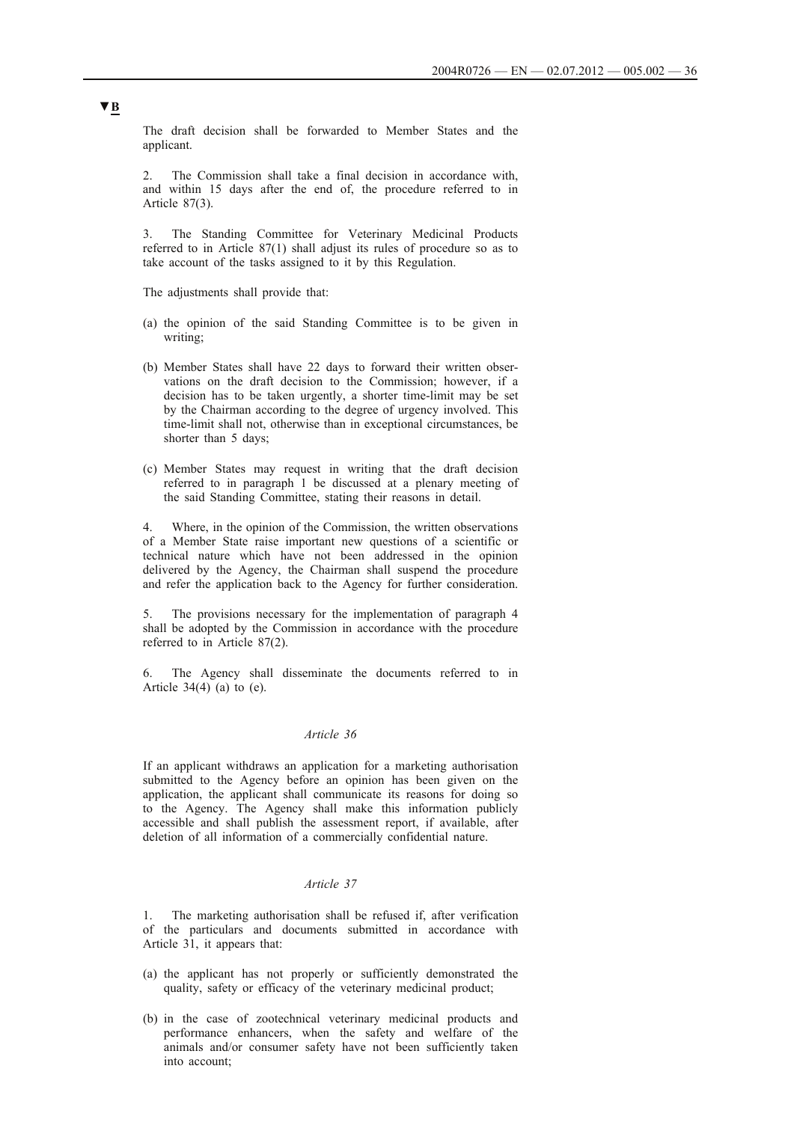The draft decision shall be forwarded to Member States and the applicant.

2. The Commission shall take a final decision in accordance with, and within 15 days after the end of, the procedure referred to in Article 87(3).

3. The Standing Committee for Veterinary Medicinal Products referred to in Article 87(1) shall adjust its rules of procedure so as to take account of the tasks assigned to it by this Regulation.

The adjustments shall provide that:

- (a) the opinion of the said Standing Committee is to be given in writing;
- (b) Member States shall have 22 days to forward their written observations on the draft decision to the Commission; however, if a decision has to be taken urgently, a shorter time-limit may be set by the Chairman according to the degree of urgency involved. This time-limit shall not, otherwise than in exceptional circumstances, be shorter than 5 days;
- (c) Member States may request in writing that the draft decision referred to in paragraph 1 be discussed at a plenary meeting of the said Standing Committee, stating their reasons in detail.

Where, in the opinion of the Commission, the written observations of a Member State raise important new questions of a scientific or technical nature which have not been addressed in the opinion delivered by the Agency, the Chairman shall suspend the procedure and refer the application back to the Agency for further consideration.

5. The provisions necessary for the implementation of paragraph 4 shall be adopted by the Commission in accordance with the procedure referred to in Article 87(2).

6. The Agency shall disseminate the documents referred to in Article  $34(4)$  (a) to (e).

### *Article 36*

If an applicant withdraws an application for a marketing authorisation submitted to the Agency before an opinion has been given on the application, the applicant shall communicate its reasons for doing so to the Agency. The Agency shall make this information publicly accessible and shall publish the assessment report, if available, after deletion of all information of a commercially confidential nature.

## *Article 37*

1. The marketing authorisation shall be refused if, after verification of the particulars and documents submitted in accordance with Article 31, it appears that:

- (a) the applicant has not properly or sufficiently demonstrated the quality, safety or efficacy of the veterinary medicinal product;
- (b) in the case of zootechnical veterinary medicinal products and performance enhancers, when the safety and welfare of the animals and/or consumer safety have not been sufficiently taken into account;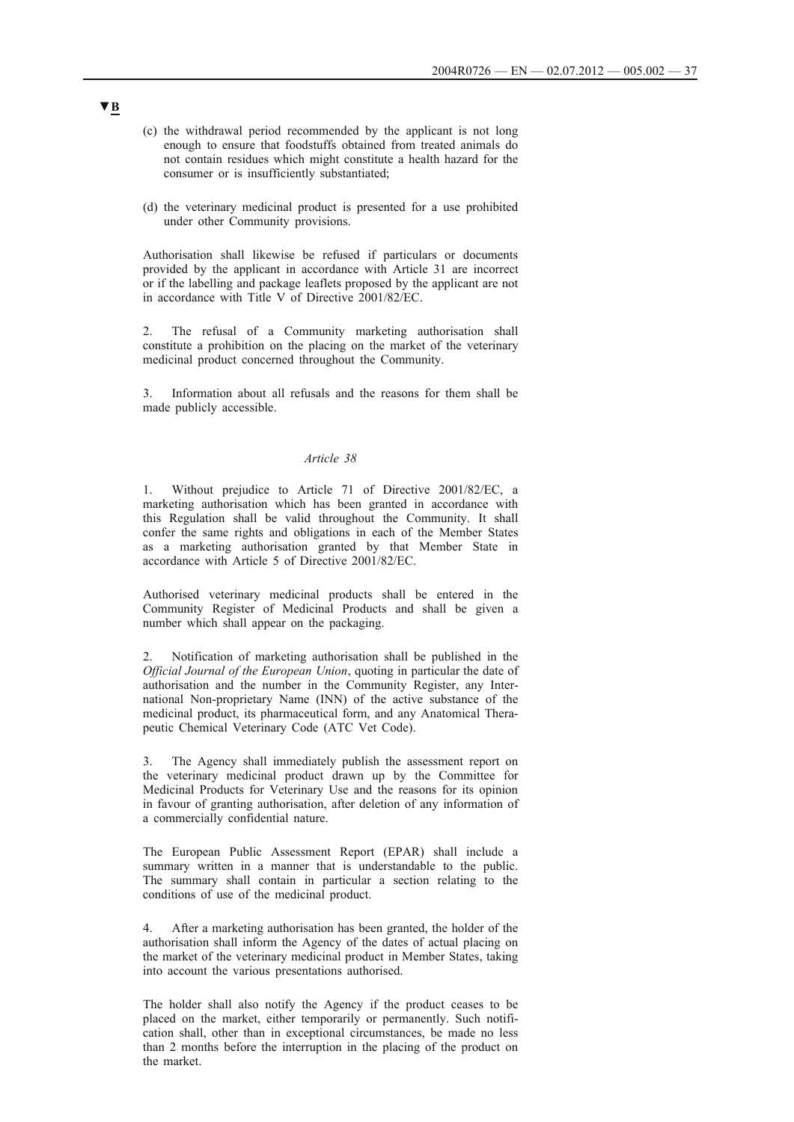- (c) the withdrawal period recommended by the applicant is not long enough to ensure that foodstuffs obtained from treated animals do not contain residues which might constitute a health hazard for the consumer or is insufficiently substantiated;
- (d) the veterinary medicinal product is presented for a use prohibited under other Community provisions.

Authorisation shall likewise be refused if particulars or documents provided by the applicant in accordance with Article 31 are incorrect or if the labelling and package leaflets proposed by the applicant are not in accordance with Title V of Directive 2001/82/EC.

2. The refusal of a Community marketing authorisation shall constitute a prohibition on the placing on the market of the veterinary medicinal product concerned throughout the Community.

3. Information about all refusals and the reasons for them shall be made publicly accessible.

## *Article 38*

1. Without prejudice to Article 71 of Directive 2001/82/EC, a marketing authorisation which has been granted in accordance with this Regulation shall be valid throughout the Community. It shall confer the same rights and obligations in each of the Member States as a marketing authorisation granted by that Member State in accordance with Article 5 of Directive 2001/82/EC.

Authorised veterinary medicinal products shall be entered in the Community Register of Medicinal Products and shall be given a number which shall appear on the packaging.

2. Notification of marketing authorisation shall be published in the *Official Journal of the European Union*, quoting in particular the date of authorisation and the number in the Community Register, any International Non-proprietary Name (INN) of the active substance of the medicinal product, its pharmaceutical form, and any Anatomical Therapeutic Chemical Veterinary Code (ATC Vet Code).

3. The Agency shall immediately publish the assessment report on the veterinary medicinal product drawn up by the Committee for Medicinal Products for Veterinary Use and the reasons for its opinion in favour of granting authorisation, after deletion of any information of a commercially confidential nature.

The European Public Assessment Report (EPAR) shall include a summary written in a manner that is understandable to the public. The summary shall contain in particular a section relating to the conditions of use of the medicinal product.

4. After a marketing authorisation has been granted, the holder of the authorisation shall inform the Agency of the dates of actual placing on the market of the veterinary medicinal product in Member States, taking into account the various presentations authorised.

The holder shall also notify the Agency if the product ceases to be placed on the market, either temporarily or permanently. Such notification shall, other than in exceptional circumstances, be made no less than 2 months before the interruption in the placing of the product on the market.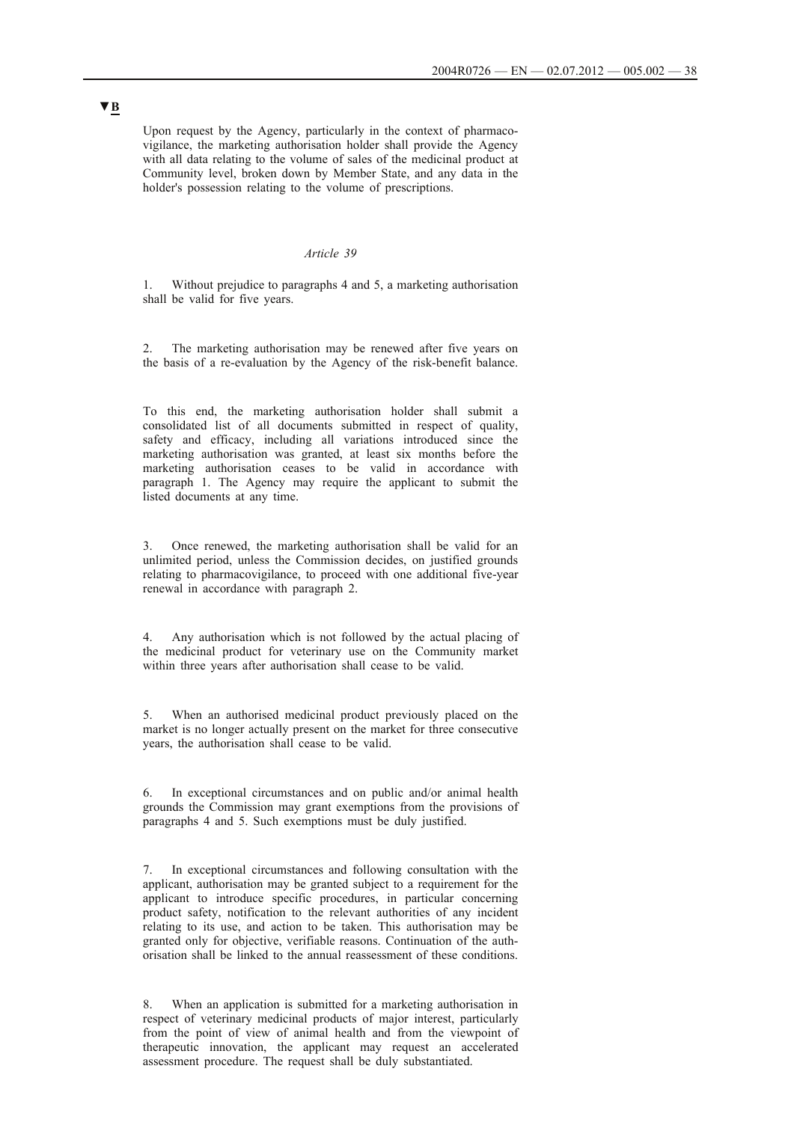Upon request by the Agency, particularly in the context of pharmacovigilance, the marketing authorisation holder shall provide the Agency with all data relating to the volume of sales of the medicinal product at Community level, broken down by Member State, and any data in the holder's possession relating to the volume of prescriptions.

#### *Article 39*

1. Without prejudice to paragraphs 4 and 5, a marketing authorisation shall be valid for five years.

2. The marketing authorisation may be renewed after five years on the basis of a re-evaluation by the Agency of the risk-benefit balance.

To this end, the marketing authorisation holder shall submit a consolidated list of all documents submitted in respect of quality, safety and efficacy, including all variations introduced since the marketing authorisation was granted, at least six months before the marketing authorisation ceases to be valid in accordance with paragraph 1. The Agency may require the applicant to submit the listed documents at any time.

3. Once renewed, the marketing authorisation shall be valid for an unlimited period, unless the Commission decides, on justified grounds relating to pharmacovigilance, to proceed with one additional five-year renewal in accordance with paragraph 2.

4. Any authorisation which is not followed by the actual placing of the medicinal product for veterinary use on the Community market within three years after authorisation shall cease to be valid.

5. When an authorised medicinal product previously placed on the market is no longer actually present on the market for three consecutive years, the authorisation shall cease to be valid.

6. In exceptional circumstances and on public and/or animal health grounds the Commission may grant exemptions from the provisions of paragraphs 4 and 5. Such exemptions must be duly justified.

7. In exceptional circumstances and following consultation with the applicant, authorisation may be granted subject to a requirement for the applicant to introduce specific procedures, in particular concerning product safety, notification to the relevant authorities of any incident relating to its use, and action to be taken. This authorisation may be granted only for objective, verifiable reasons. Continuation of the authorisation shall be linked to the annual reassessment of these conditions.

8. When an application is submitted for a marketing authorisation in respect of veterinary medicinal products of major interest, particularly from the point of view of animal health and from the viewpoint of therapeutic innovation, the applicant may request an accelerated assessment procedure. The request shall be duly substantiated.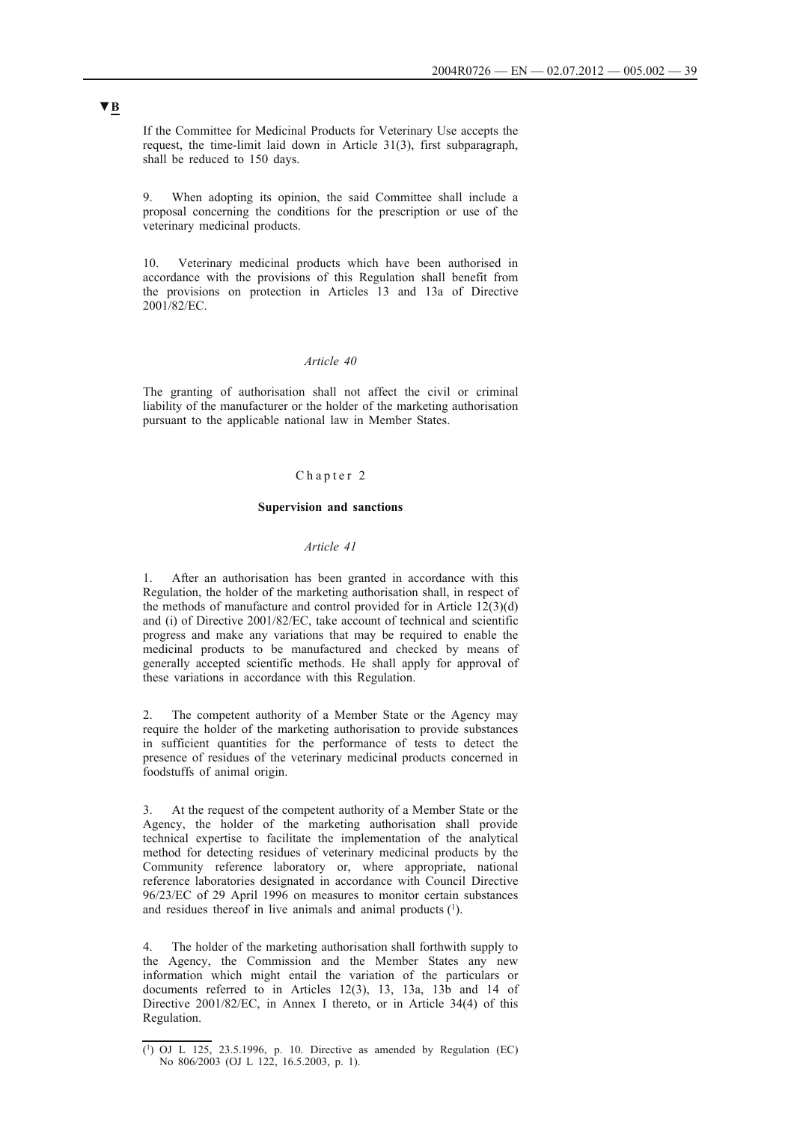If the Committee for Medicinal Products for Veterinary Use accepts the request, the time-limit laid down in Article 31(3), first subparagraph, shall be reduced to 150 days.

9. When adopting its opinion, the said Committee shall include a proposal concerning the conditions for the prescription or use of the veterinary medicinal products.

10. Veterinary medicinal products which have been authorised in accordance with the provisions of this Regulation shall benefit from the provisions on protection in Articles 13 and 13a of Directive 2001/82/EC.

## *Article 40*

The granting of authorisation shall not affect the civil or criminal liability of the manufacturer or the holder of the marketing authorisation pursuant to the applicable national law in Member States.

### Chapter 2

#### **Supervision and sanctions**

## *Article 41*

1. After an authorisation has been granted in accordance with this Regulation, the holder of the marketing authorisation shall, in respect of the methods of manufacture and control provided for in Article 12(3)(d) and (i) of Directive 2001/82/EC, take account of technical and scientific progress and make any variations that may be required to enable the medicinal products to be manufactured and checked by means of generally accepted scientific methods. He shall apply for approval of these variations in accordance with this Regulation.

2. The competent authority of a Member State or the Agency may require the holder of the marketing authorisation to provide substances in sufficient quantities for the performance of tests to detect the presence of residues of the veterinary medicinal products concerned in foodstuffs of animal origin.

3. At the request of the competent authority of a Member State or the Agency, the holder of the marketing authorisation shall provide technical expertise to facilitate the implementation of the analytical method for detecting residues of veterinary medicinal products by the Community reference laboratory or, where appropriate, national reference laboratories designated in accordance with Council Directive 96/23/EC of 29 April 1996 on measures to monitor certain substances and residues thereof in live animals and animal products  $(1)$ .

4. The holder of the marketing authorisation shall forthwith supply to the Agency, the Commission and the Member States any new information which might entail the variation of the particulars or documents referred to in Articles 12(3), 13, 13a, 13b and 14 of Directive 2001/82/EC, in Annex I thereto, or in Article 34(4) of this Regulation.

<sup>(1)</sup> OJ L 125, 23.5.1996, p. 10. Directive as amended by Regulation (EC) No 806/2003 (OJ L 122, 16.5.2003, p. 1).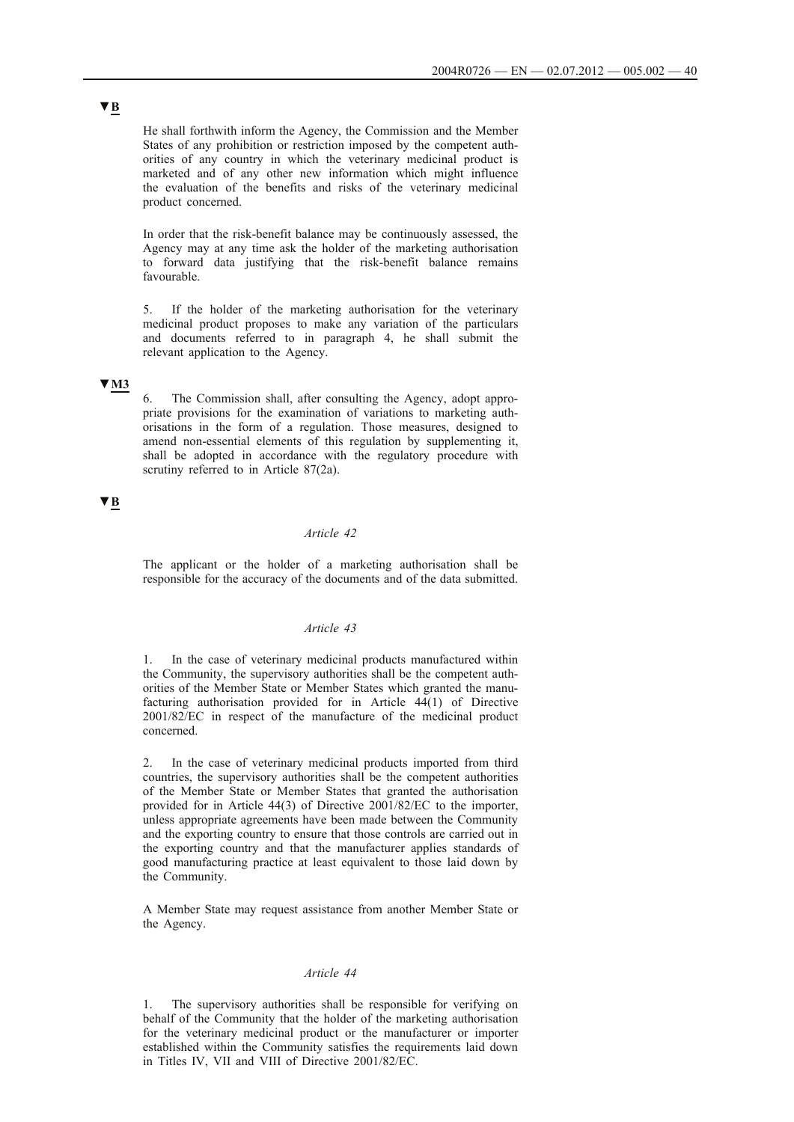He shall forthwith inform the Agency, the Commission and the Member States of any prohibition or restriction imposed by the competent authorities of any country in which the veterinary medicinal product is marketed and of any other new information which might influence the evaluation of the benefits and risks of the veterinary medicinal product concerned.

In order that the risk-benefit balance may be continuously assessed, the Agency may at any time ask the holder of the marketing authorisation to forward data justifying that the risk-benefit balance remains favourable.

5. If the holder of the marketing authorisation for the veterinary medicinal product proposes to make any variation of the particulars and documents referred to in paragraph 4, he shall submit the relevant application to the Agency.

## **▼M3**

6. The Commission shall, after consulting the Agency, adopt appropriate provisions for the examination of variations to marketing authorisations in the form of a regulation. Those measures, designed to amend non-essential elements of this regulation by supplementing it, shall be adopted in accordance with the regulatory procedure with scrutiny referred to in Article 87(2a).

# **▼B**

## *Article 42*

The applicant or the holder of a marketing authorisation shall be responsible for the accuracy of the documents and of the data submitted.

### *Article 43*

1. In the case of veterinary medicinal products manufactured within the Community, the supervisory authorities shall be the competent authorities of the Member State or Member States which granted the manufacturing authorisation provided for in Article 44(1) of Directive 2001/82/EC in respect of the manufacture of the medicinal product concerned.

2. In the case of veterinary medicinal products imported from third countries, the supervisory authorities shall be the competent authorities of the Member State or Member States that granted the authorisation provided for in Article 44(3) of Directive 2001/82/EC to the importer, unless appropriate agreements have been made between the Community and the exporting country to ensure that those controls are carried out in the exporting country and that the manufacturer applies standards of good manufacturing practice at least equivalent to those laid down by the Community.

A Member State may request assistance from another Member State or the Agency.

## *Article 44*

1. The supervisory authorities shall be responsible for verifying on behalf of the Community that the holder of the marketing authorisation for the veterinary medicinal product or the manufacturer or importer established within the Community satisfies the requirements laid down in Titles IV, VII and VIII of Directive 2001/82/EC.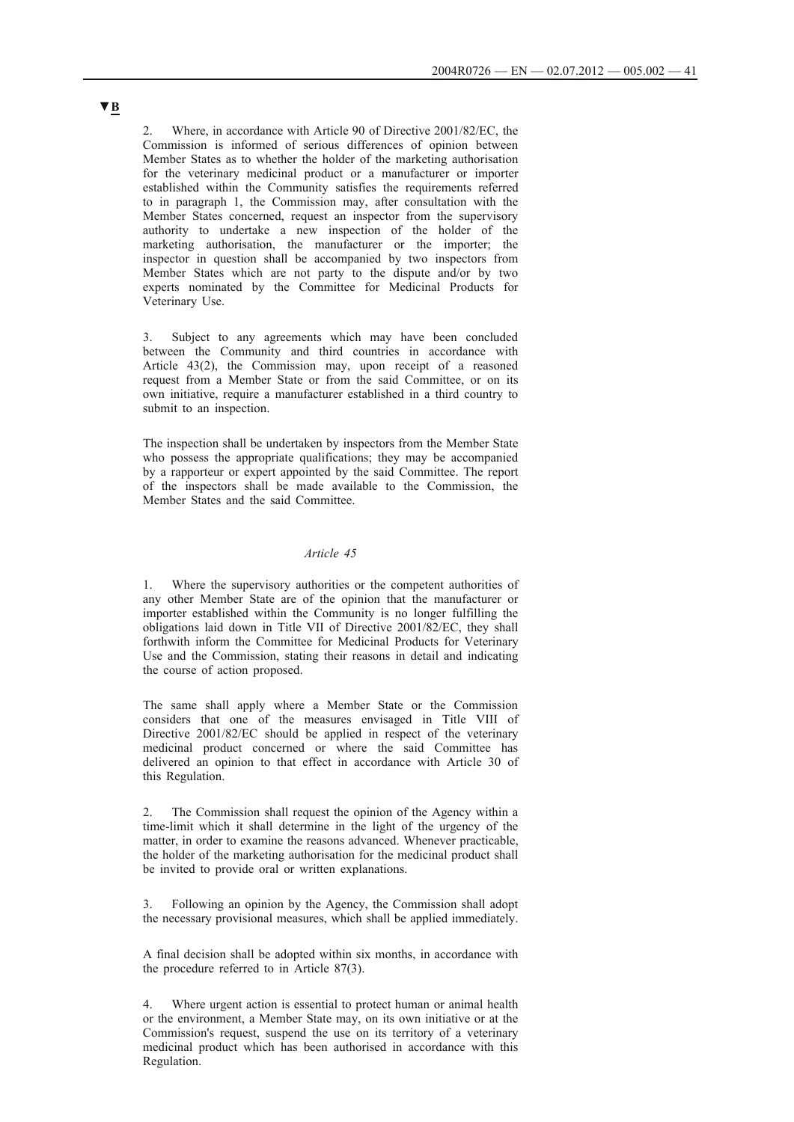2. Where, in accordance with Article 90 of Directive 2001/82/EC, the Commission is informed of serious differences of opinion between Member States as to whether the holder of the marketing authorisation for the veterinary medicinal product or a manufacturer or importer established within the Community satisfies the requirements referred to in paragraph 1, the Commission may, after consultation with the Member States concerned, request an inspector from the supervisory authority to undertake a new inspection of the holder of the marketing authorisation, the manufacturer or the importer; the inspector in question shall be accompanied by two inspectors from Member States which are not party to the dispute and/or by two experts nominated by the Committee for Medicinal Products for Veterinary Use.

3. Subject to any agreements which may have been concluded between the Community and third countries in accordance with Article 43(2), the Commission may, upon receipt of a reasoned request from a Member State or from the said Committee, or on its own initiative, require a manufacturer established in a third country to submit to an inspection.

The inspection shall be undertaken by inspectors from the Member State who possess the appropriate qualifications; they may be accompanied by a rapporteur or expert appointed by the said Committee. The report of the inspectors shall be made available to the Commission, the Member States and the said Committee.

## *Article 45*

1. Where the supervisory authorities or the competent authorities of any other Member State are of the opinion that the manufacturer or importer established within the Community is no longer fulfilling the obligations laid down in Title VII of Directive 2001/82/EC, they shall forthwith inform the Committee for Medicinal Products for Veterinary Use and the Commission, stating their reasons in detail and indicating the course of action proposed.

The same shall apply where a Member State or the Commission considers that one of the measures envisaged in Title VIII of Directive 2001/82/EC should be applied in respect of the veterinary medicinal product concerned or where the said Committee has delivered an opinion to that effect in accordance with Article 30 of this Regulation.

2. The Commission shall request the opinion of the Agency within a time-limit which it shall determine in the light of the urgency of the matter, in order to examine the reasons advanced. Whenever practicable, the holder of the marketing authorisation for the medicinal product shall be invited to provide oral or written explanations.

3. Following an opinion by the Agency, the Commission shall adopt the necessary provisional measures, which shall be applied immediately.

A final decision shall be adopted within six months, in accordance with the procedure referred to in Article 87(3).

4. Where urgent action is essential to protect human or animal health or the environment, a Member State may, on its own initiative or at the Commission's request, suspend the use on its territory of a veterinary medicinal product which has been authorised in accordance with this Regulation.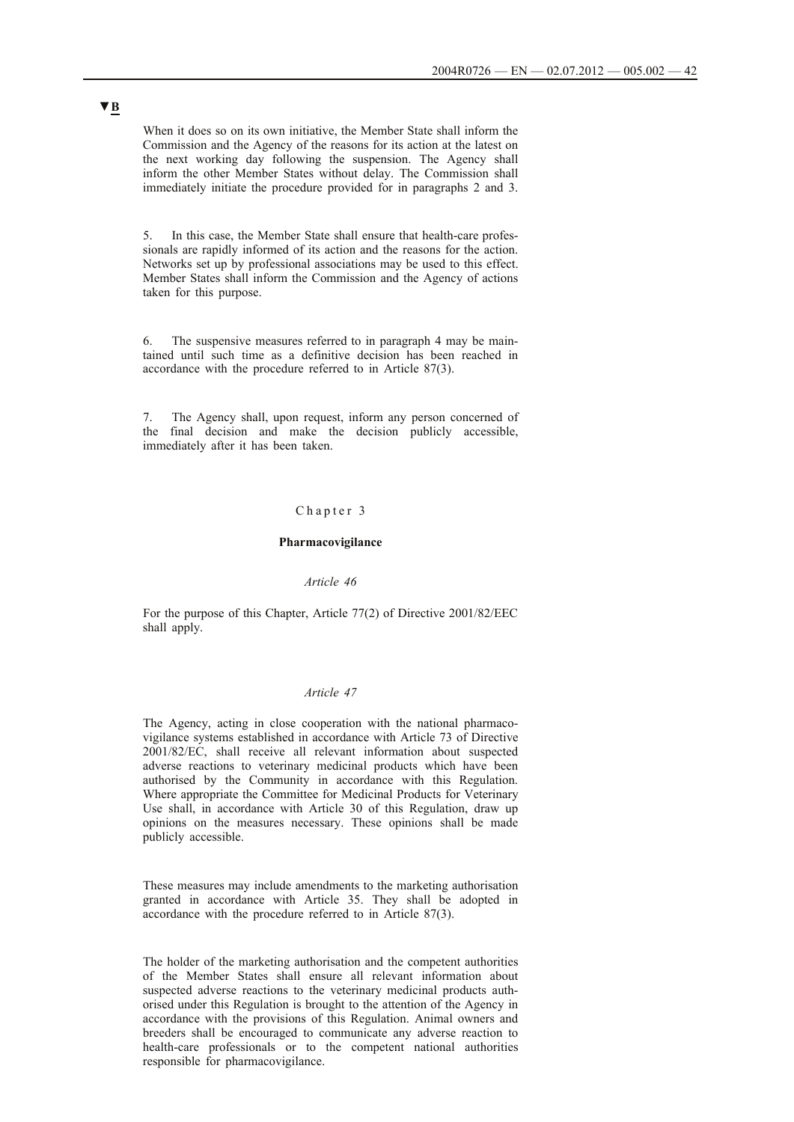When it does so on its own initiative, the Member State shall inform the Commission and the Agency of the reasons for its action at the latest on the next working day following the suspension. The Agency shall inform the other Member States without delay. The Commission shall immediately initiate the procedure provided for in paragraphs 2 and 3.

5. In this case, the Member State shall ensure that health-care professionals are rapidly informed of its action and the reasons for the action. Networks set up by professional associations may be used to this effect. Member States shall inform the Commission and the Agency of actions taken for this purpose.

6. The suspensive measures referred to in paragraph 4 may be maintained until such time as a definitive decision has been reached in accordance with the procedure referred to in Article 87(3).

7. The Agency shall, upon request, inform any person concerned of the final decision and make the decision publicly accessible, immediately after it has been taken.

### Chapter 3

### **Pharmacovigilance**

### *Article 46*

For the purpose of this Chapter, Article 77(2) of Directive 2001/82/EEC shall apply.

### *Article 47*

The Agency, acting in close cooperation with the national pharmacovigilance systems established in accordance with Article 73 of Directive 2001/82/EC, shall receive all relevant information about suspected adverse reactions to veterinary medicinal products which have been authorised by the Community in accordance with this Regulation. Where appropriate the Committee for Medicinal Products for Veterinary Use shall, in accordance with Article 30 of this Regulation, draw up opinions on the measures necessary. These opinions shall be made publicly accessible.

These measures may include amendments to the marketing authorisation granted in accordance with Article 35. They shall be adopted in accordance with the procedure referred to in Article 87(3).

The holder of the marketing authorisation and the competent authorities of the Member States shall ensure all relevant information about suspected adverse reactions to the veterinary medicinal products authorised under this Regulation is brought to the attention of the Agency in accordance with the provisions of this Regulation. Animal owners and breeders shall be encouraged to communicate any adverse reaction to health-care professionals or to the competent national authorities responsible for pharmacovigilance.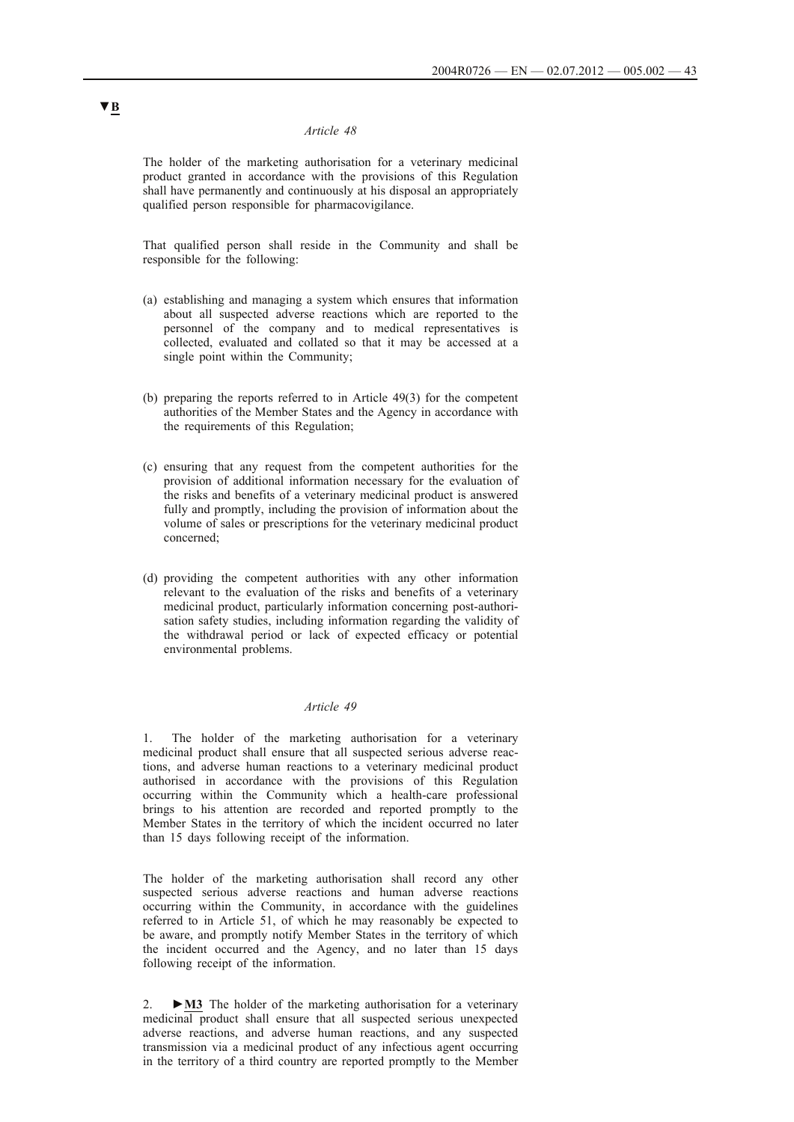#### *Article 48*

The holder of the marketing authorisation for a veterinary medicinal product granted in accordance with the provisions of this Regulation shall have permanently and continuously at his disposal an appropriately qualified person responsible for pharmacovigilance.

That qualified person shall reside in the Community and shall be responsible for the following:

- (a) establishing and managing a system which ensures that information about all suspected adverse reactions which are reported to the personnel of the company and to medical representatives is collected, evaluated and collated so that it may be accessed at a single point within the Community;
- (b) preparing the reports referred to in Article 49(3) for the competent authorities of the Member States and the Agency in accordance with the requirements of this Regulation;
- (c) ensuring that any request from the competent authorities for the provision of additional information necessary for the evaluation of the risks and benefits of a veterinary medicinal product is answered fully and promptly, including the provision of information about the volume of sales or prescriptions for the veterinary medicinal product concerned;
- (d) providing the competent authorities with any other information relevant to the evaluation of the risks and benefits of a veterinary medicinal product, particularly information concerning post-authorisation safety studies, including information regarding the validity of the withdrawal period or lack of expected efficacy or potential environmental problems.

## *Article 49*

1. The holder of the marketing authorisation for a veterinary medicinal product shall ensure that all suspected serious adverse reactions, and adverse human reactions to a veterinary medicinal product authorised in accordance with the provisions of this Regulation occurring within the Community which a health-care professional brings to his attention are recorded and reported promptly to the Member States in the territory of which the incident occurred no later than 15 days following receipt of the information.

The holder of the marketing authorisation shall record any other suspected serious adverse reactions and human adverse reactions occurring within the Community, in accordance with the guidelines referred to in Article 51, of which he may reasonably be expected to be aware, and promptly notify Member States in the territory of which the incident occurred and the Agency, and no later than 15 days following receipt of the information.

2. **►M3** The holder of the marketing authorisation for a veterinary medicinal product shall ensure that all suspected serious unexpected adverse reactions, and adverse human reactions, and any suspected transmission via a medicinal product of any infectious agent occurring in the territory of a third country are reported promptly to the Member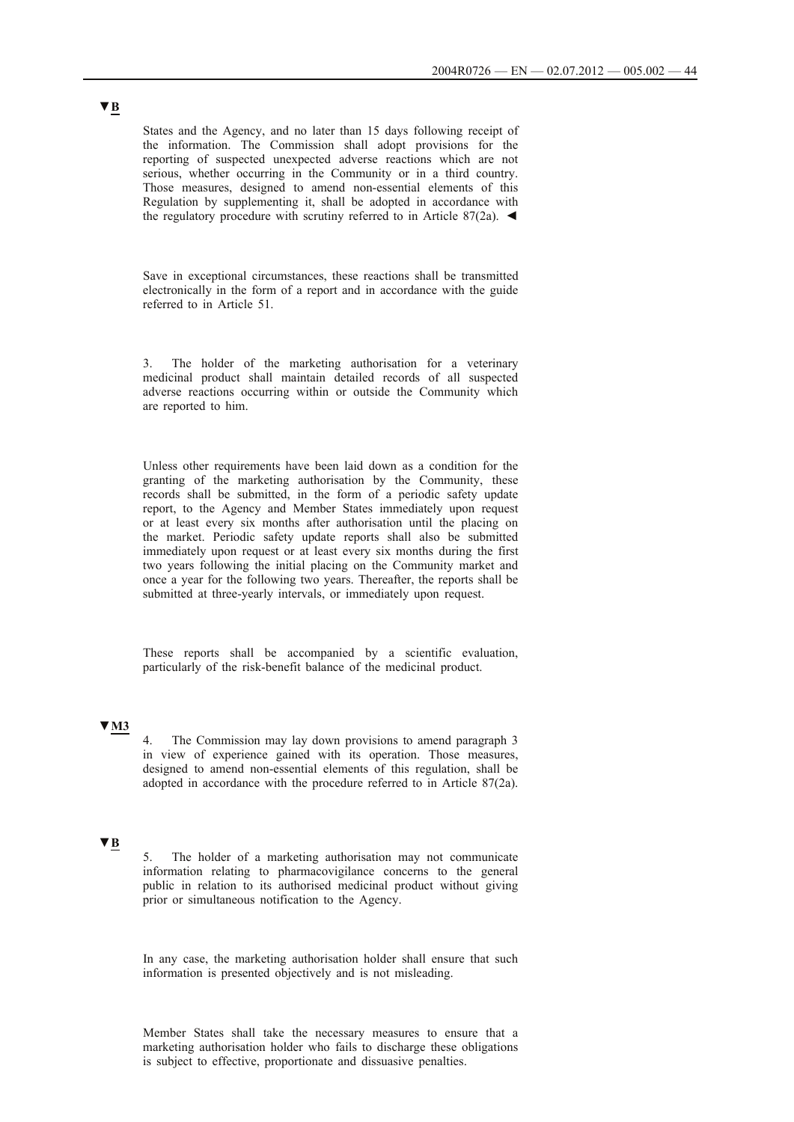States and the Agency, and no later than 15 days following receipt of the information. The Commission shall adopt provisions for the reporting of suspected unexpected adverse reactions which are not serious, whether occurring in the Community or in a third country. Those measures, designed to amend non-essential elements of this Regulation by supplementing it, shall be adopted in accordance with the regulatory procedure with scrutiny referred to in Article 87(2a).  $\blacktriangleleft$ 

Save in exceptional circumstances, these reactions shall be transmitted electronically in the form of a report and in accordance with the guide referred to in Article 51.

3. The holder of the marketing authorisation for a veterinary medicinal product shall maintain detailed records of all suspected adverse reactions occurring within or outside the Community which are reported to him.

Unless other requirements have been laid down as a condition for the granting of the marketing authorisation by the Community, these records shall be submitted, in the form of a periodic safety update report, to the Agency and Member States immediately upon request or at least every six months after authorisation until the placing on the market. Periodic safety update reports shall also be submitted immediately upon request or at least every six months during the first two years following the initial placing on the Community market and once a year for the following two years. Thereafter, the reports shall be submitted at three-yearly intervals, or immediately upon request.

These reports shall be accompanied by a scientific evaluation, particularly of the risk-benefit balance of the medicinal product.

# **▼M3**

4. The Commission may lay down provisions to amend paragraph 3 in view of experience gained with its operation. Those measures, designed to amend non-essential elements of this regulation, shall be adopted in accordance with the procedure referred to in Article 87(2a).

# **▼B**

5. The holder of a marketing authorisation may not communicate information relating to pharmacovigilance concerns to the general public in relation to its authorised medicinal product without giving prior or simultaneous notification to the Agency.

In any case, the marketing authorisation holder shall ensure that such information is presented objectively and is not misleading.

Member States shall take the necessary measures to ensure that a marketing authorisation holder who fails to discharge these obligations is subject to effective, proportionate and dissuasive penalties.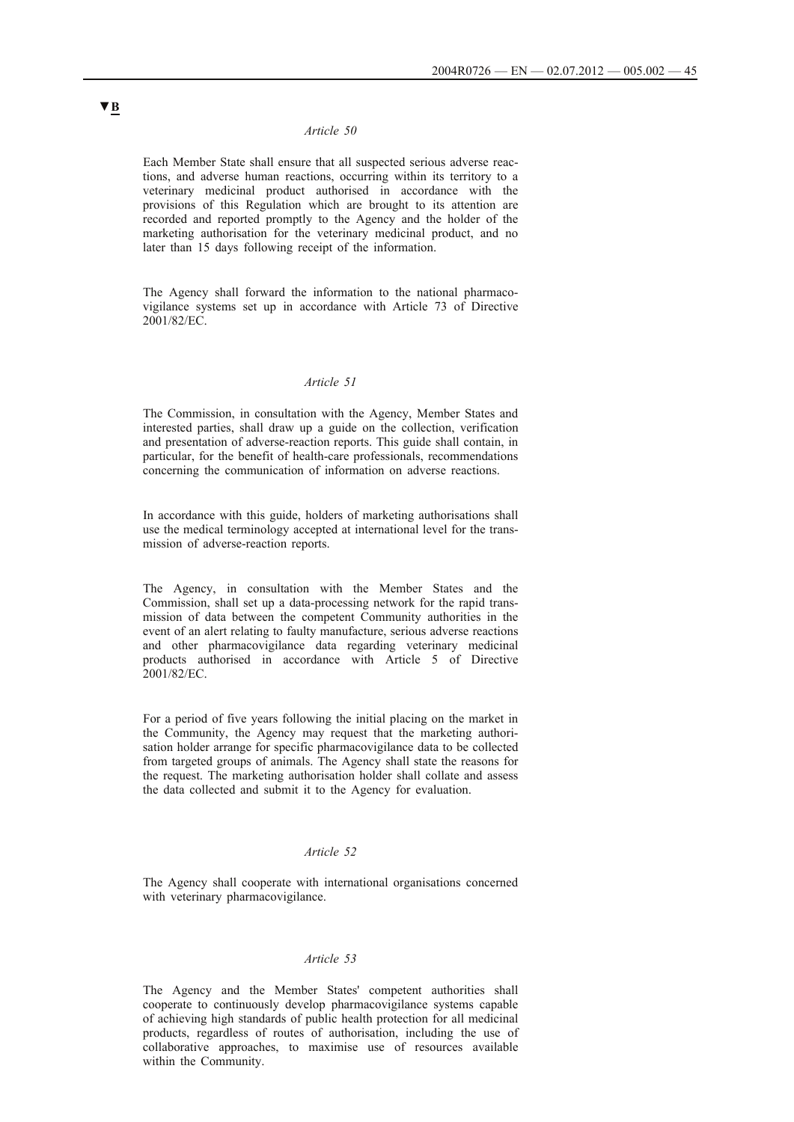### *Article 50*

Each Member State shall ensure that all suspected serious adverse reactions, and adverse human reactions, occurring within its territory to a veterinary medicinal product authorised in accordance with the provisions of this Regulation which are brought to its attention are recorded and reported promptly to the Agency and the holder of the marketing authorisation for the veterinary medicinal product, and no later than 15 days following receipt of the information.

The Agency shall forward the information to the national pharmacovigilance systems set up in accordance with Article 73 of Directive 2001/82/EC.

### *Article 51*

The Commission, in consultation with the Agency, Member States and interested parties, shall draw up a guide on the collection, verification and presentation of adverse-reaction reports. This guide shall contain, in particular, for the benefit of health-care professionals, recommendations concerning the communication of information on adverse reactions.

In accordance with this guide, holders of marketing authorisations shall use the medical terminology accepted at international level for the transmission of adverse-reaction reports.

The Agency, in consultation with the Member States and the Commission, shall set up a data-processing network for the rapid transmission of data between the competent Community authorities in the event of an alert relating to faulty manufacture, serious adverse reactions and other pharmacovigilance data regarding veterinary medicinal products authorised in accordance with Article 5 of Directive 2001/82/EC.

For a period of five years following the initial placing on the market in the Community, the Agency may request that the marketing authorisation holder arrange for specific pharmacovigilance data to be collected from targeted groups of animals. The Agency shall state the reasons for the request. The marketing authorisation holder shall collate and assess the data collected and submit it to the Agency for evaluation.

## *Article 52*

The Agency shall cooperate with international organisations concerned with veterinary pharmacovigilance.

## *Article 53*

The Agency and the Member States' competent authorities shall cooperate to continuously develop pharmacovigilance systems capable of achieving high standards of public health protection for all medicinal products, regardless of routes of authorisation, including the use of collaborative approaches, to maximise use of resources available within the Community.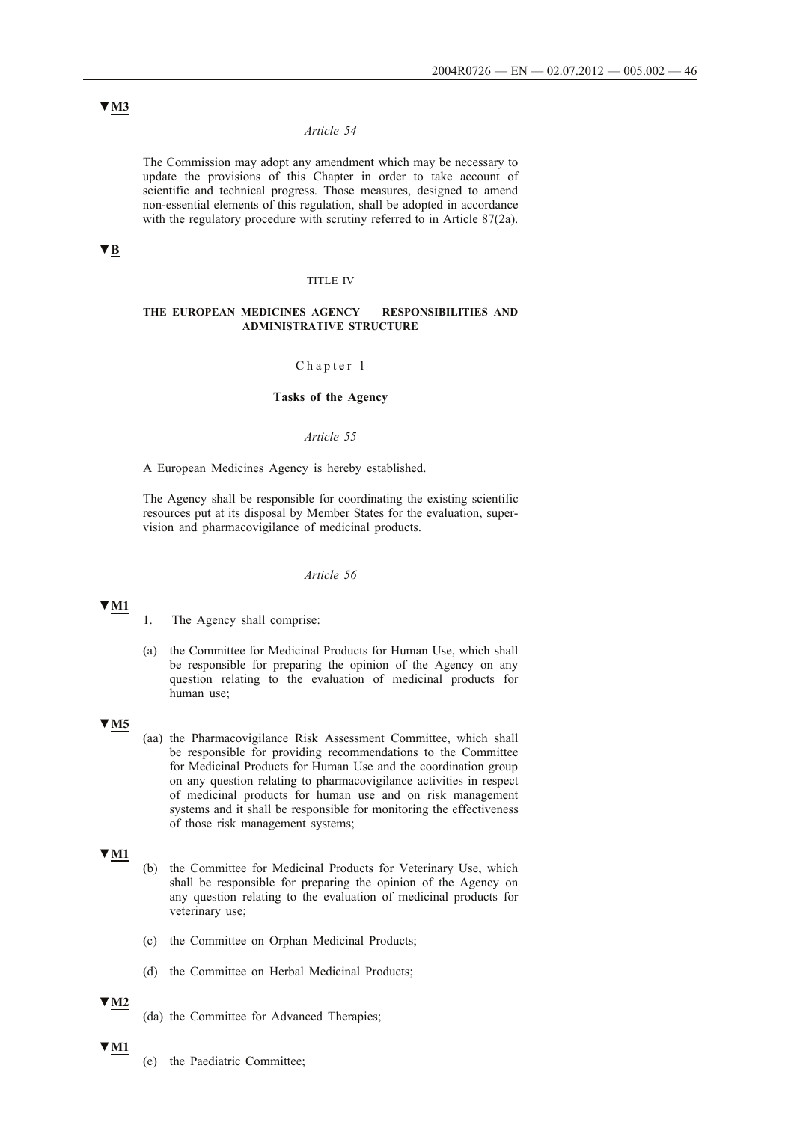## *Article 54*

The Commission may adopt any amendment which may be necessary to update the provisions of this Chapter in order to take account of scientific and technical progress. Those measures, designed to amend non-essential elements of this regulation, shall be adopted in accordance with the regulatory procedure with scrutiny referred to in Article 87(2a).

## **▼B**

### TITLE IV

### **THE EUROPEAN MEDICINES AGENCY — RESPONSIBILITIES AND ADMINISTRATIVE STRUCTURE**

### Chapter 1

## **Tasks of the Agency**

#### *Article 55*

A European Medicines Agency is hereby established.

The Agency shall be responsible for coordinating the existing scientific resources put at its disposal by Member States for the evaluation, supervision and pharmacovigilance of medicinal products.

### *Article 56*

## **▼M1**

(a) the Committee for Medicinal Products for Human Use, which shall be responsible for preparing the opinion of the Agency on any question relating to the evaluation of medicinal products for human use;

## **▼M5**

(aa) the Pharmacovigilance Risk Assessment Committee, which shall be responsible for providing recommendations to the Committee for Medicinal Products for Human Use and the coordination group on any question relating to pharmacovigilance activities in respect of medicinal products for human use and on risk management systems and it shall be responsible for monitoring the effectiveness of those risk management systems;

# **▼M1**

- (b) the Committee for Medicinal Products for Veterinary Use, which shall be responsible for preparing the opinion of the Agency on any question relating to the evaluation of medicinal products for veterinary use;
- (c) the Committee on Orphan Medicinal Products;
- (d) the Committee on Herbal Medicinal Products;

## **▼M2**

(da) the Committee for Advanced Therapies;

#### **▼M1**

(e) the Paediatric Committee;

<sup>1.</sup> The Agency shall comprise: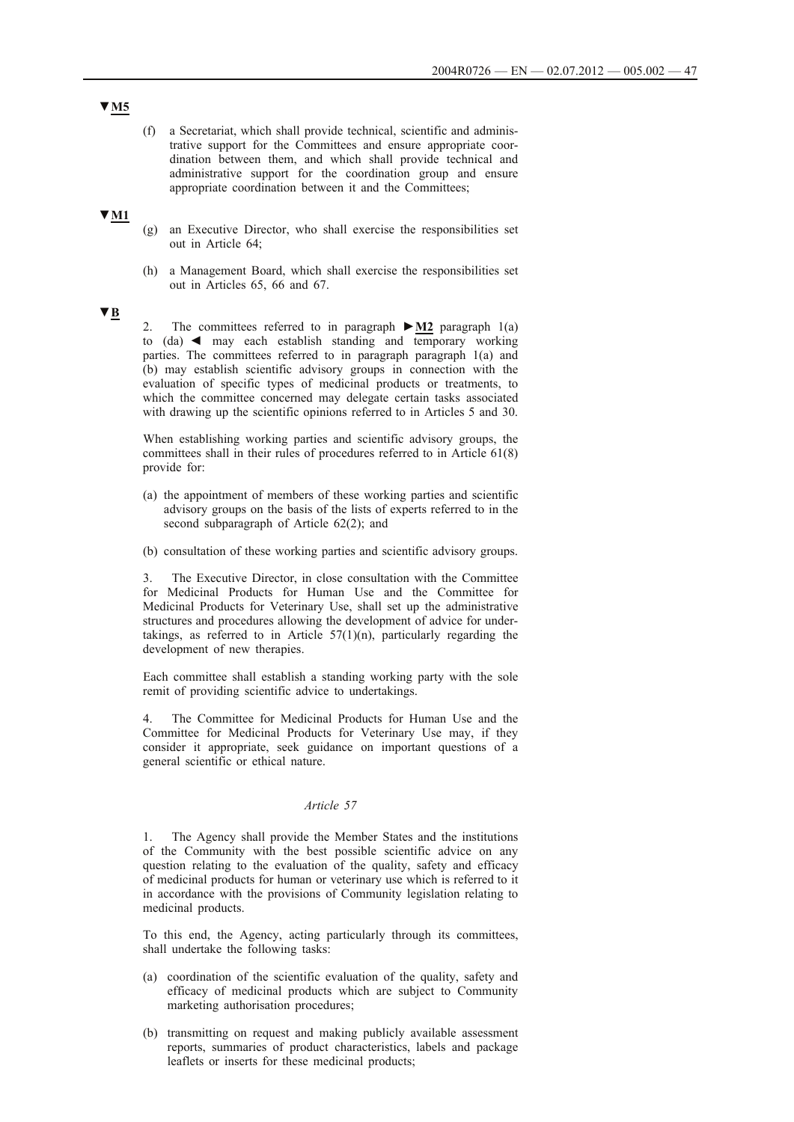(f) a Secretariat, which shall provide technical, scientific and administrative support for the Committees and ensure appropriate coordination between them, and which shall provide technical and administrative support for the coordination group and ensure appropriate coordination between it and the Committees;

## **▼M1**

- (g) an Executive Director, who shall exercise the responsibilities set out in Article 64;
- (h) a Management Board, which shall exercise the responsibilities set out in Articles 65, 66 and 67.

# **▼B**

2. The committees referred to in paragraph **►M2** paragraph 1(a) to  $(da)$   $\blacktriangleleft$  may each establish standing and temporary working parties. The committees referred to in paragraph paragraph 1(a) and (b) may establish scientific advisory groups in connection with the evaluation of specific types of medicinal products or treatments, to which the committee concerned may delegate certain tasks associated with drawing up the scientific opinions referred to in Articles 5 and 30.

When establishing working parties and scientific advisory groups, the committees shall in their rules of procedures referred to in Article 61(8) provide for:

- (a) the appointment of members of these working parties and scientific advisory groups on the basis of the lists of experts referred to in the second subparagraph of Article 62(2); and
- (b) consultation of these working parties and scientific advisory groups.

3. The Executive Director, in close consultation with the Committee for Medicinal Products for Human Use and the Committee for Medicinal Products for Veterinary Use, shall set up the administrative structures and procedures allowing the development of advice for undertakings, as referred to in Article  $57(1)(n)$ , particularly regarding the development of new therapies.

Each committee shall establish a standing working party with the sole remit of providing scientific advice to undertakings.

4. The Committee for Medicinal Products for Human Use and the Committee for Medicinal Products for Veterinary Use may, if they consider it appropriate, seek guidance on important questions of a general scientific or ethical nature.

### *Article 57*

1. The Agency shall provide the Member States and the institutions of the Community with the best possible scientific advice on any question relating to the evaluation of the quality, safety and efficacy of medicinal products for human or veterinary use which is referred to it in accordance with the provisions of Community legislation relating to medicinal products.

To this end, the Agency, acting particularly through its committees, shall undertake the following tasks:

- (a) coordination of the scientific evaluation of the quality, safety and efficacy of medicinal products which are subject to Community marketing authorisation procedures;
- (b) transmitting on request and making publicly available assessment reports, summaries of product characteristics, labels and package leaflets or inserts for these medicinal products;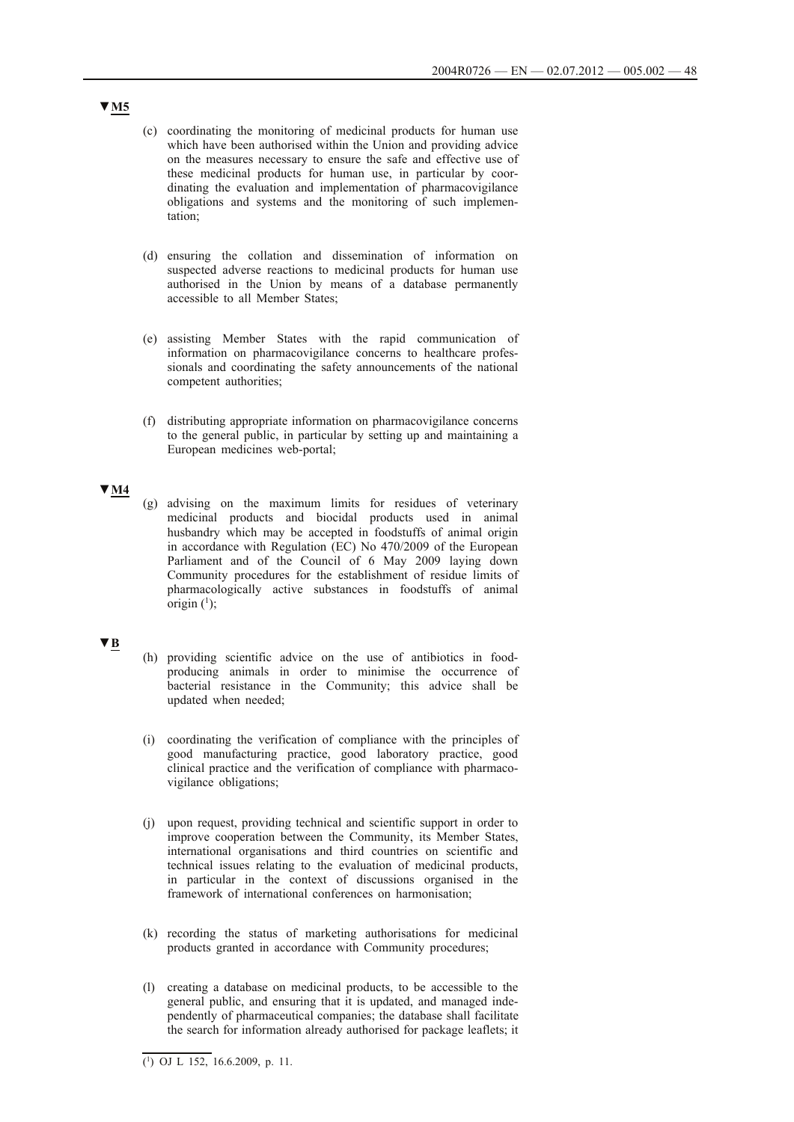- (c) coordinating the monitoring of medicinal products for human use which have been authorised within the Union and providing advice on the measures necessary to ensure the safe and effective use of these medicinal products for human use, in particular by coordinating the evaluation and implementation of pharmacovigilance obligations and systems and the monitoring of such implementation;
- (d) ensuring the collation and dissemination of information on suspected adverse reactions to medicinal products for human use authorised in the Union by means of a database permanently accessible to all Member States;
- (e) assisting Member States with the rapid communication of information on pharmacovigilance concerns to healthcare professionals and coordinating the safety announcements of the national competent authorities;
- (f) distributing appropriate information on pharmacovigilance concerns to the general public, in particular by setting up and maintaining a European medicines web-portal;

## **▼M4**

(g) advising on the maximum limits for residues of veterinary medicinal products and biocidal products used in animal husbandry which may be accepted in foodstuffs of animal origin in accordance with Regulation (EC) No 470/2009 of the European Parliament and of the Council of 6 May 2009 laying down Community procedures for the establishment of residue limits of pharmacologically active substances in foodstuffs of animal origin  $(1)$ ;

## **▼B**

- (h) providing scientific advice on the use of antibiotics in foodproducing animals in order to minimise the occurrence of bacterial resistance in the Community; this advice shall be updated when needed;
- (i) coordinating the verification of compliance with the principles of good manufacturing practice, good laboratory practice, good clinical practice and the verification of compliance with pharmacovigilance obligations;
- (j) upon request, providing technical and scientific support in order to improve cooperation between the Community, its Member States, international organisations and third countries on scientific and technical issues relating to the evaluation of medicinal products, in particular in the context of discussions organised in the framework of international conferences on harmonisation;
- (k) recording the status of marketing authorisations for medicinal products granted in accordance with Community procedures;
- (l) creating a database on medicinal products, to be accessible to the general public, and ensuring that it is updated, and managed independently of pharmaceutical companies; the database shall facilitate the search for information already authorised for package leaflets; it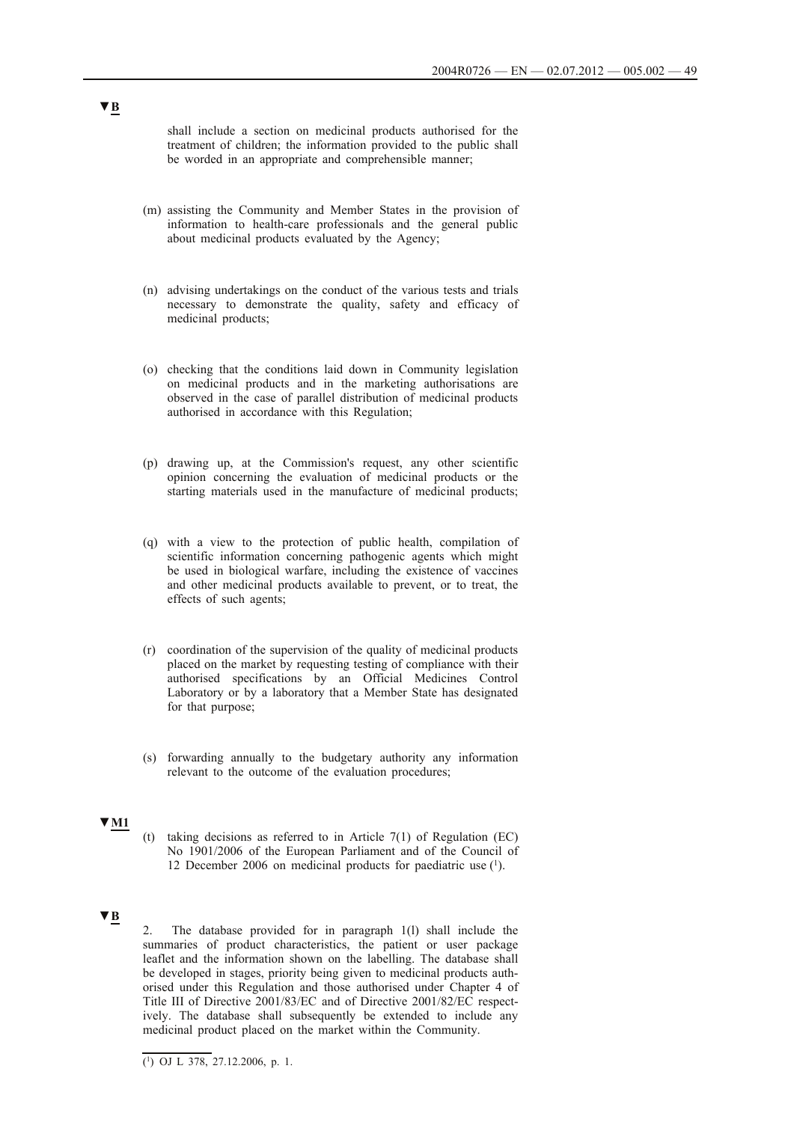shall include a section on medicinal products authorised for the treatment of children; the information provided to the public shall be worded in an appropriate and comprehensible manner;

- (m) assisting the Community and Member States in the provision of information to health-care professionals and the general public about medicinal products evaluated by the Agency;
- (n) advising undertakings on the conduct of the various tests and trials necessary to demonstrate the quality, safety and efficacy of medicinal products;
- (o) checking that the conditions laid down in Community legislation on medicinal products and in the marketing authorisations are observed in the case of parallel distribution of medicinal products authorised in accordance with this Regulation;
- (p) drawing up, at the Commission's request, any other scientific opinion concerning the evaluation of medicinal products or the starting materials used in the manufacture of medicinal products;
- (q) with a view to the protection of public health, compilation of scientific information concerning pathogenic agents which might be used in biological warfare, including the existence of vaccines and other medicinal products available to prevent, or to treat, the effects of such agents;
- (r) coordination of the supervision of the quality of medicinal products placed on the market by requesting testing of compliance with their authorised specifications by an Official Medicines Control Laboratory or by a laboratory that a Member State has designated for that purpose;
- (s) forwarding annually to the budgetary authority any information relevant to the outcome of the evaluation procedures;

# **▼M1**

(t) taking decisions as referred to in Article  $7(1)$  of Regulation (EC) No 1901/2006 of the European Parliament and of the Council of 12 December 2006 on medicinal products for paediatric use (1).

# **▼B**

2. The database provided for in paragraph 1(l) shall include the summaries of product characteristics, the patient or user package leaflet and the information shown on the labelling. The database shall be developed in stages, priority being given to medicinal products authorised under this Regulation and those authorised under Chapter 4 of Title III of Directive 2001/83/EC and of Directive 2001/82/EC respectively. The database shall subsequently be extended to include any medicinal product placed on the market within the Community.

 $\overline{(^1)}$  OJ L 378, 27.12.2006, p. 1.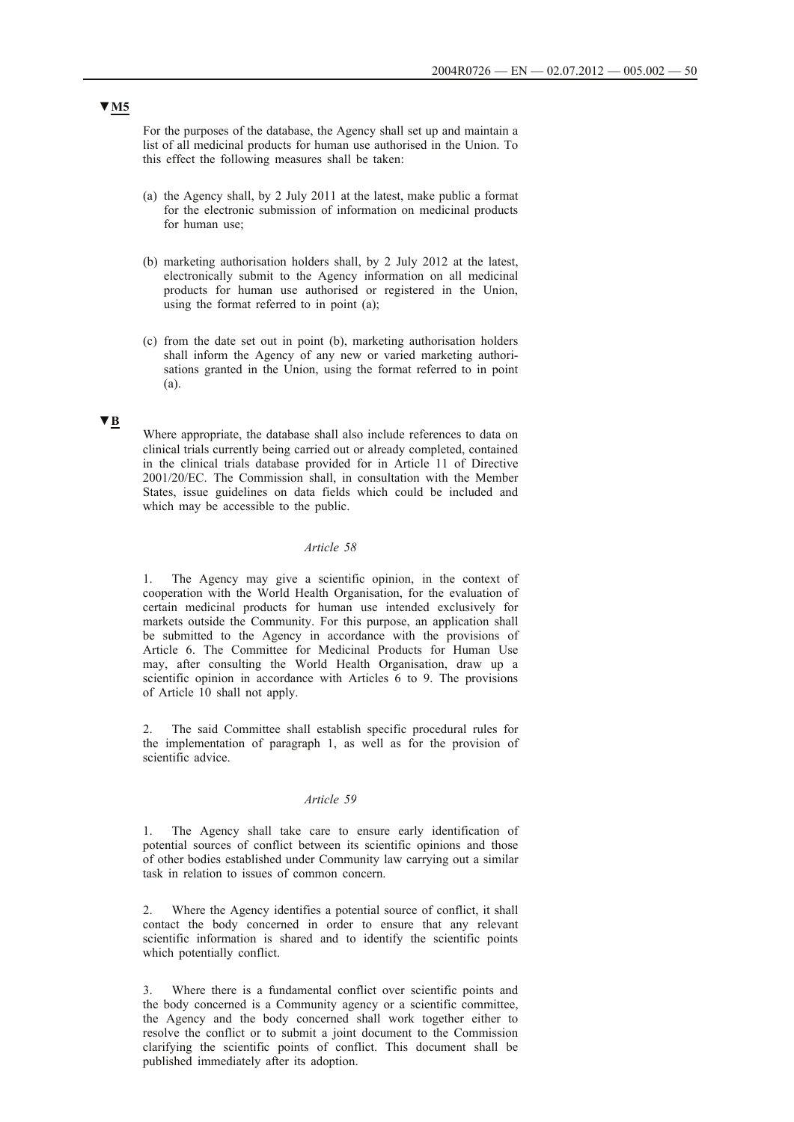For the purposes of the database, the Agency shall set up and maintain a list of all medicinal products for human use authorised in the Union. To this effect the following measures shall be taken:

- (a) the Agency shall, by 2 July 2011 at the latest, make public a format for the electronic submission of information on medicinal products for human use;
- (b) marketing authorisation holders shall, by 2 July 2012 at the latest, electronically submit to the Agency information on all medicinal products for human use authorised or registered in the Union, using the format referred to in point (a);
- (c) from the date set out in point (b), marketing authorisation holders shall inform the Agency of any new or varied marketing authorisations granted in the Union, using the format referred to in point (a).

### **▼B**

Where appropriate, the database shall also include references to data on clinical trials currently being carried out or already completed, contained in the clinical trials database provided for in Article 11 of Directive 2001/20/EC. The Commission shall, in consultation with the Member States, issue guidelines on data fields which could be included and which may be accessible to the public.

## *Article 58*

1. The Agency may give a scientific opinion, in the context of cooperation with the World Health Organisation, for the evaluation of certain medicinal products for human use intended exclusively for markets outside the Community. For this purpose, an application shall be submitted to the Agency in accordance with the provisions of Article 6. The Committee for Medicinal Products for Human Use may, after consulting the World Health Organisation, draw up a scientific opinion in accordance with Articles 6 to 9. The provisions of Article 10 shall not apply.

2. The said Committee shall establish specific procedural rules for the implementation of paragraph 1, as well as for the provision of scientific advice.

### *Article 59*

1. The Agency shall take care to ensure early identification of potential sources of conflict between its scientific opinions and those of other bodies established under Community law carrying out a similar task in relation to issues of common concern.

2. Where the Agency identifies a potential source of conflict, it shall contact the body concerned in order to ensure that any relevant scientific information is shared and to identify the scientific points which potentially conflict.

3. Where there is a fundamental conflict over scientific points and the body concerned is a Community agency or a scientific committee, the Agency and the body concerned shall work together either to resolve the conflict or to submit a joint document to the Commission clarifying the scientific points of conflict. This document shall be published immediately after its adoption.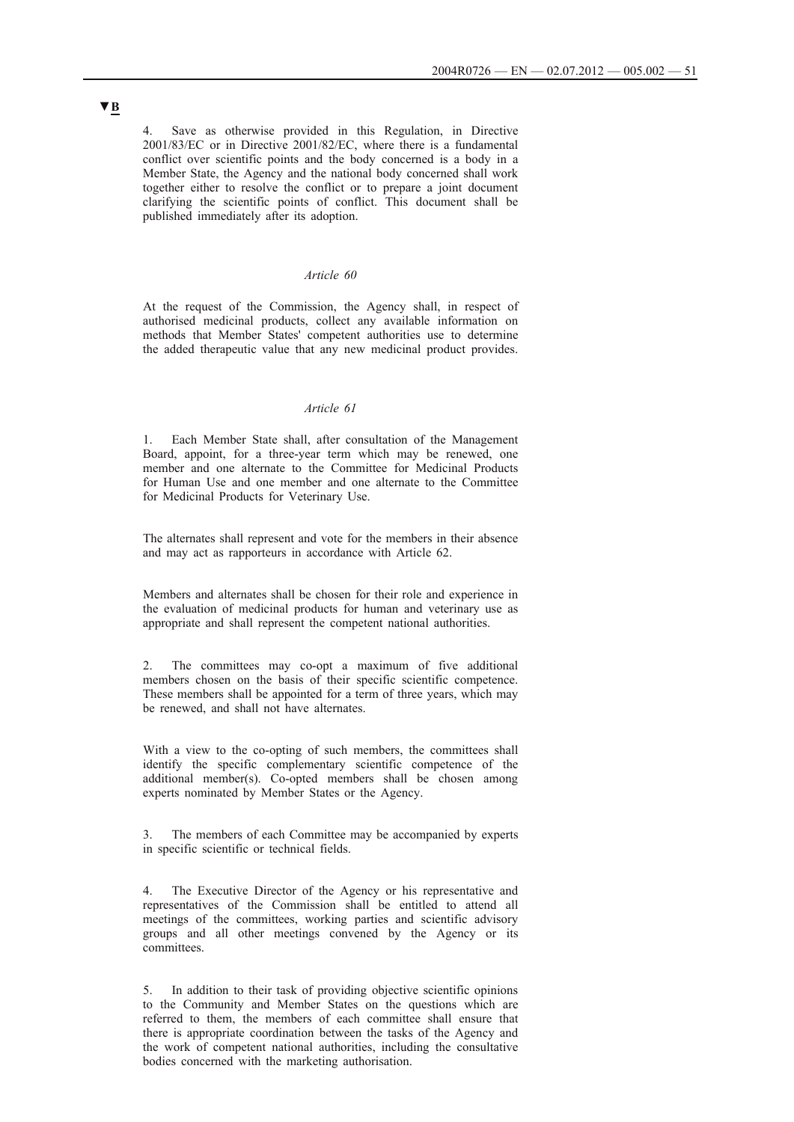Save as otherwise provided in this Regulation, in Directive 2001/83/EC or in Directive 2001/82/EC, where there is a fundamental conflict over scientific points and the body concerned is a body in a Member State, the Agency and the national body concerned shall work together either to resolve the conflict or to prepare a joint document clarifying the scientific points of conflict. This document shall be published immediately after its adoption.

## *Article 60*

At the request of the Commission, the Agency shall, in respect of authorised medicinal products, collect any available information on methods that Member States' competent authorities use to determine the added therapeutic value that any new medicinal product provides.

## *Article 61*

1. Each Member State shall, after consultation of the Management Board, appoint, for a three-year term which may be renewed, one member and one alternate to the Committee for Medicinal Products for Human Use and one member and one alternate to the Committee for Medicinal Products for Veterinary Use.

The alternates shall represent and vote for the members in their absence and may act as rapporteurs in accordance with Article 62.

Members and alternates shall be chosen for their role and experience in the evaluation of medicinal products for human and veterinary use as appropriate and shall represent the competent national authorities.

2. The committees may co-opt a maximum of five additional members chosen on the basis of their specific scientific competence. These members shall be appointed for a term of three years, which may be renewed, and shall not have alternates.

With a view to the co-opting of such members, the committees shall identify the specific complementary scientific competence of the additional member(s). Co-opted members shall be chosen among experts nominated by Member States or the Agency.

3. The members of each Committee may be accompanied by experts in specific scientific or technical fields.

4. The Executive Director of the Agency or his representative and representatives of the Commission shall be entitled to attend all meetings of the committees, working parties and scientific advisory groups and all other meetings convened by the Agency or its committees.

5. In addition to their task of providing objective scientific opinions to the Community and Member States on the questions which are referred to them, the members of each committee shall ensure that there is appropriate coordination between the tasks of the Agency and the work of competent national authorities, including the consultative bodies concerned with the marketing authorisation.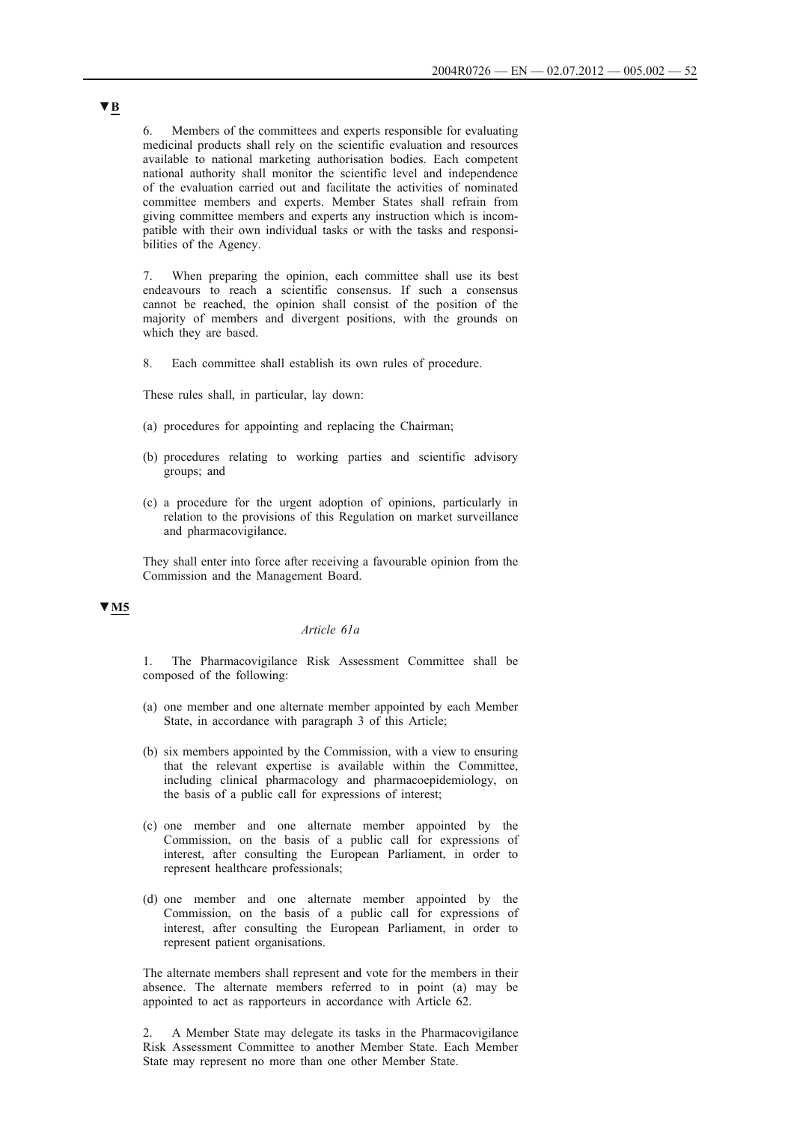6. Members of the committees and experts responsible for evaluating medicinal products shall rely on the scientific evaluation and resources available to national marketing authorisation bodies. Each competent national authority shall monitor the scientific level and independence of the evaluation carried out and facilitate the activities of nominated committee members and experts. Member States shall refrain from giving committee members and experts any instruction which is incompatible with their own individual tasks or with the tasks and responsibilities of the Agency.

When preparing the opinion, each committee shall use its best endeavours to reach a scientific consensus. If such a consensus cannot be reached, the opinion shall consist of the position of the majority of members and divergent positions, with the grounds on which they are based.

8. Each committee shall establish its own rules of procedure.

These rules shall, in particular, lay down:

- (a) procedures for appointing and replacing the Chairman;
- (b) procedures relating to working parties and scientific advisory groups; and
- (c) a procedure for the urgent adoption of opinions, particularly in relation to the provisions of this Regulation on market surveillance and pharmacovigilance.

They shall enter into force after receiving a favourable opinion from the Commission and the Management Board.

## **▼M5**

#### *Article 61a*

1. The Pharmacovigilance Risk Assessment Committee shall be composed of the following:

- (a) one member and one alternate member appointed by each Member State, in accordance with paragraph 3 of this Article;
- (b) six members appointed by the Commission, with a view to ensuring that the relevant expertise is available within the Committee, including clinical pharmacology and pharmacoepidemiology, on the basis of a public call for expressions of interest;
- (c) one member and one alternate member appointed by the Commission, on the basis of a public call for expressions of interest, after consulting the European Parliament, in order to represent healthcare professionals;
- (d) one member and one alternate member appointed by the Commission, on the basis of a public call for expressions of interest, after consulting the European Parliament, in order to represent patient organisations.

The alternate members shall represent and vote for the members in their absence. The alternate members referred to in point (a) may be appointed to act as rapporteurs in accordance with Article 62.

2. A Member State may delegate its tasks in the Pharmacovigilance Risk Assessment Committee to another Member State. Each Member State may represent no more than one other Member State.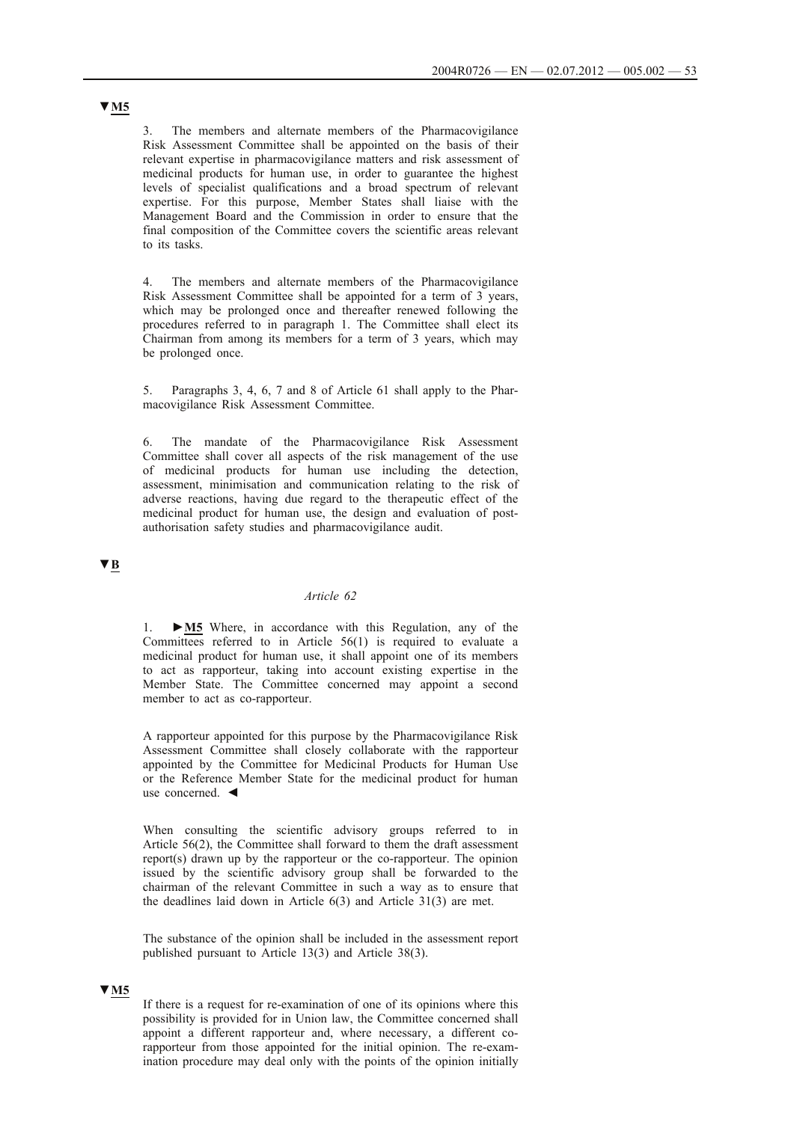The members and alternate members of the Pharmacovigilance Risk Assessment Committee shall be appointed on the basis of their relevant expertise in pharmacovigilance matters and risk assessment of medicinal products for human use, in order to guarantee the highest levels of specialist qualifications and a broad spectrum of relevant expertise. For this purpose, Member States shall liaise with the Management Board and the Commission in order to ensure that the final composition of the Committee covers the scientific areas relevant to its tasks.

4. The members and alternate members of the Pharmacovigilance Risk Assessment Committee shall be appointed for a term of 3 years, which may be prolonged once and thereafter renewed following the procedures referred to in paragraph 1. The Committee shall elect its Chairman from among its members for a term of 3 years, which may be prolonged once.

5. Paragraphs 3, 4, 6, 7 and 8 of Article 61 shall apply to the Pharmacovigilance Risk Assessment Committee.

6. The mandate of the Pharmacovigilance Risk Assessment Committee shall cover all aspects of the risk management of the use of medicinal products for human use including the detection, assessment, minimisation and communication relating to the risk of adverse reactions, having due regard to the therapeutic effect of the medicinal product for human use, the design and evaluation of postauthorisation safety studies and pharmacovigilance audit.

# **▼B**

## *Article 62*

1. **►M5** Where, in accordance with this Regulation, any of the Committees referred to in Article 56(1) is required to evaluate a medicinal product for human use, it shall appoint one of its members to act as rapporteur, taking into account existing expertise in the Member State. The Committee concerned may appoint a second member to act as co-rapporteur.

A rapporteur appointed for this purpose by the Pharmacovigilance Risk Assessment Committee shall closely collaborate with the rapporteur appointed by the Committee for Medicinal Products for Human Use or the Reference Member State for the medicinal product for human use concerned. ◄

When consulting the scientific advisory groups referred to in Article 56(2), the Committee shall forward to them the draft assessment report(s) drawn up by the rapporteur or the co-rapporteur. The opinion issued by the scientific advisory group shall be forwarded to the chairman of the relevant Committee in such a way as to ensure that the deadlines laid down in Article 6(3) and Article 31(3) are met.

The substance of the opinion shall be included in the assessment report published pursuant to Article 13(3) and Article 38(3).

### **▼M5**

If there is a request for re-examination of one of its opinions where this possibility is provided for in Union law, the Committee concerned shall appoint a different rapporteur and, where necessary, a different corapporteur from those appointed for the initial opinion. The re-examination procedure may deal only with the points of the opinion initially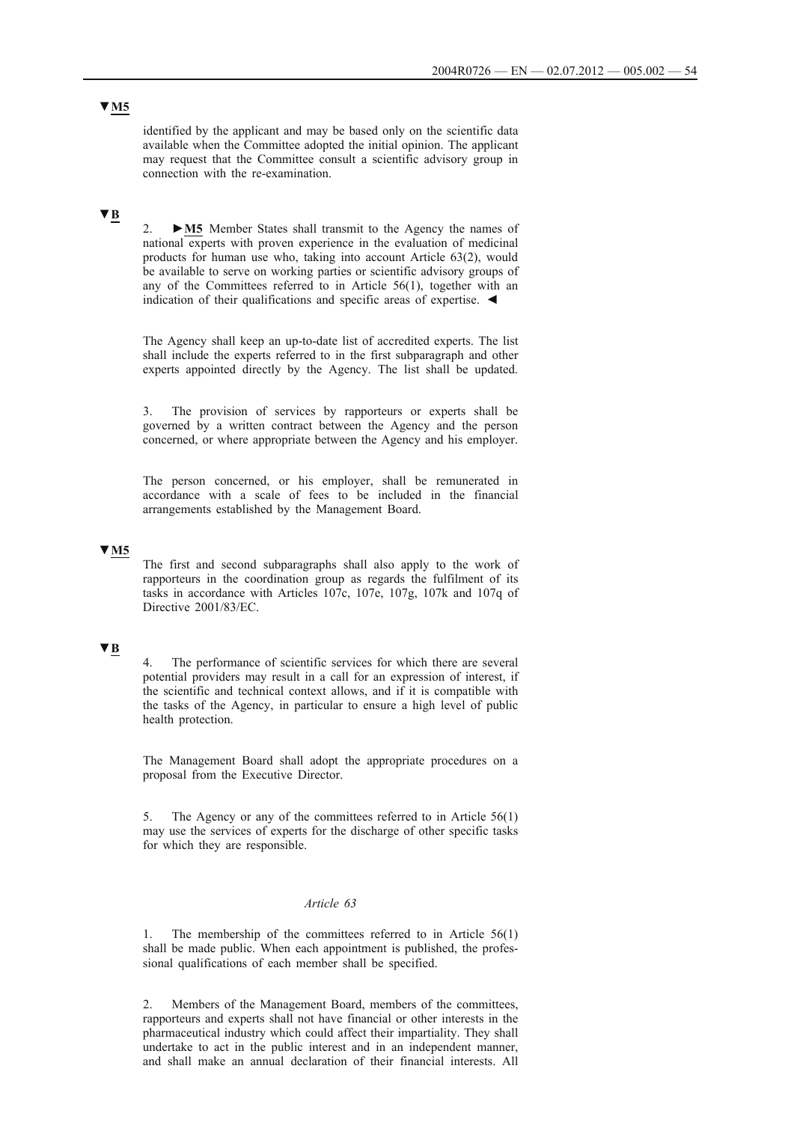identified by the applicant and may be based only on the scientific data available when the Committee adopted the initial opinion. The applicant may request that the Committee consult a scientific advisory group in connection with the re-examination.

# **▼B**

2. **►M5** Member States shall transmit to the Agency the names of national experts with proven experience in the evaluation of medicinal products for human use who, taking into account Article 63(2), would be available to serve on working parties or scientific advisory groups of any of the Committees referred to in Article 56(1), together with an indication of their qualifications and specific areas of expertise. ◄

The Agency shall keep an up-to-date list of accredited experts. The list shall include the experts referred to in the first subparagraph and other experts appointed directly by the Agency. The list shall be updated.

3. The provision of services by rapporteurs or experts shall be governed by a written contract between the Agency and the person concerned, or where appropriate between the Agency and his employer.

The person concerned, or his employer, shall be remunerated in accordance with a scale of fees to be included in the financial arrangements established by the Management Board.

## **▼M5**

The first and second subparagraphs shall also apply to the work of rapporteurs in the coordination group as regards the fulfilment of its tasks in accordance with Articles 107c, 107e, 107g, 107k and 107q of Directive 2001/83/EC.

## **▼B**

4. The performance of scientific services for which there are several potential providers may result in a call for an expression of interest, if the scientific and technical context allows, and if it is compatible with the tasks of the Agency, in particular to ensure a high level of public health protection.

The Management Board shall adopt the appropriate procedures on a proposal from the Executive Director.

5. The Agency or any of the committees referred to in Article 56(1) may use the services of experts for the discharge of other specific tasks for which they are responsible.

### *Article 63*

1. The membership of the committees referred to in Article 56(1) shall be made public. When each appointment is published, the professional qualifications of each member shall be specified.

2. Members of the Management Board, members of the committees, rapporteurs and experts shall not have financial or other interests in the pharmaceutical industry which could affect their impartiality. They shall undertake to act in the public interest and in an independent manner, and shall make an annual declaration of their financial interests. All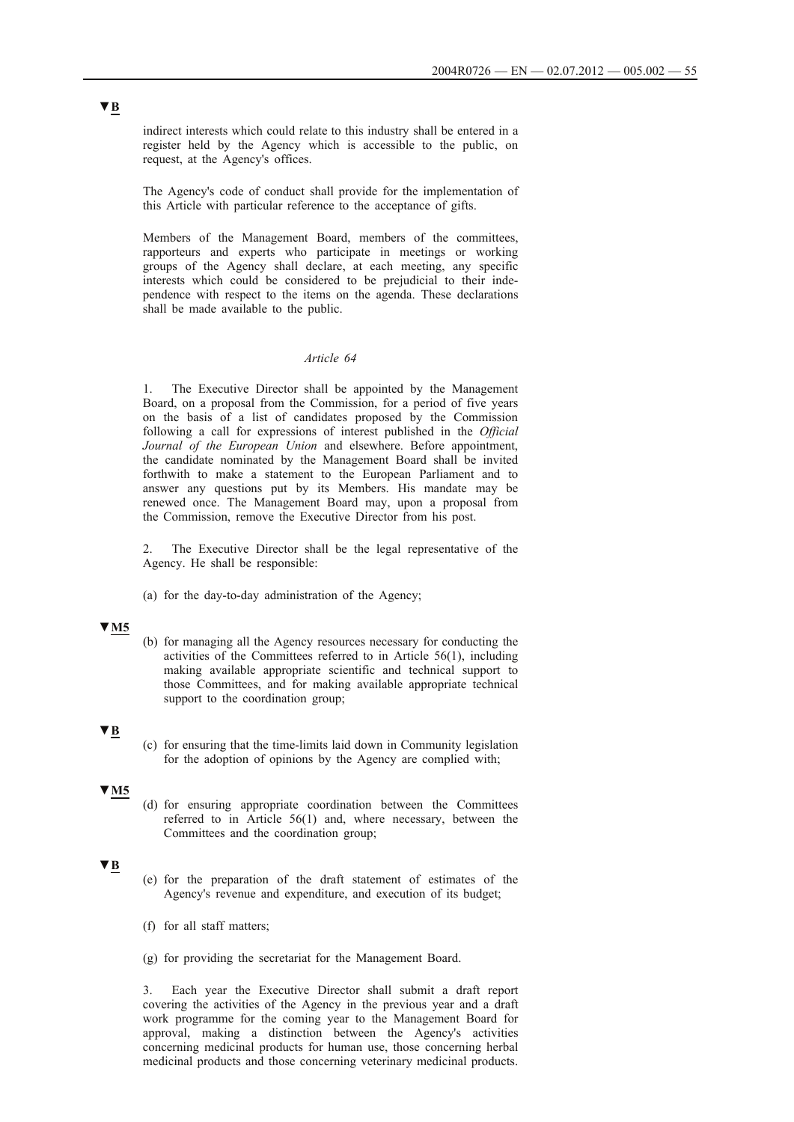indirect interests which could relate to this industry shall be entered in a register held by the Agency which is accessible to the public, on request, at the Agency's offices.

The Agency's code of conduct shall provide for the implementation of this Article with particular reference to the acceptance of gifts.

Members of the Management Board, members of the committees, rapporteurs and experts who participate in meetings or working groups of the Agency shall declare, at each meeting, any specific interests which could be considered to be prejudicial to their independence with respect to the items on the agenda. These declarations shall be made available to the public.

## *Article 64*

1. The Executive Director shall be appointed by the Management Board, on a proposal from the Commission, for a period of five years on the basis of a list of candidates proposed by the Commission following a call for expressions of interest published in the *Official Journal of the European Union* and elsewhere. Before appointment, the candidate nominated by the Management Board shall be invited forthwith to make a statement to the European Parliament and to answer any questions put by its Members. His mandate may be renewed once. The Management Board may, upon a proposal from the Commission, remove the Executive Director from his post.

2. The Executive Director shall be the legal representative of the Agency. He shall be responsible:

(a) for the day-to-day administration of the Agency;

### **▼M5**

(b) for managing all the Agency resources necessary for conducting the activities of the Committees referred to in Article 56(1), including making available appropriate scientific and technical support to those Committees, and for making available appropriate technical support to the coordination group;

### **▼B**

(c) for ensuring that the time-limits laid down in Community legislation for the adoption of opinions by the Agency are complied with;

#### **▼M5**

(d) for ensuring appropriate coordination between the Committees referred to in Article 56(1) and, where necessary, between the Committees and the coordination group;

# **▼B**

- (e) for the preparation of the draft statement of estimates of the Agency's revenue and expenditure, and execution of its budget;
- (f) for all staff matters;
- (g) for providing the secretariat for the Management Board.

3. Each year the Executive Director shall submit a draft report covering the activities of the Agency in the previous year and a draft work programme for the coming year to the Management Board for approval, making a distinction between the Agency's activities concerning medicinal products for human use, those concerning herbal medicinal products and those concerning veterinary medicinal products.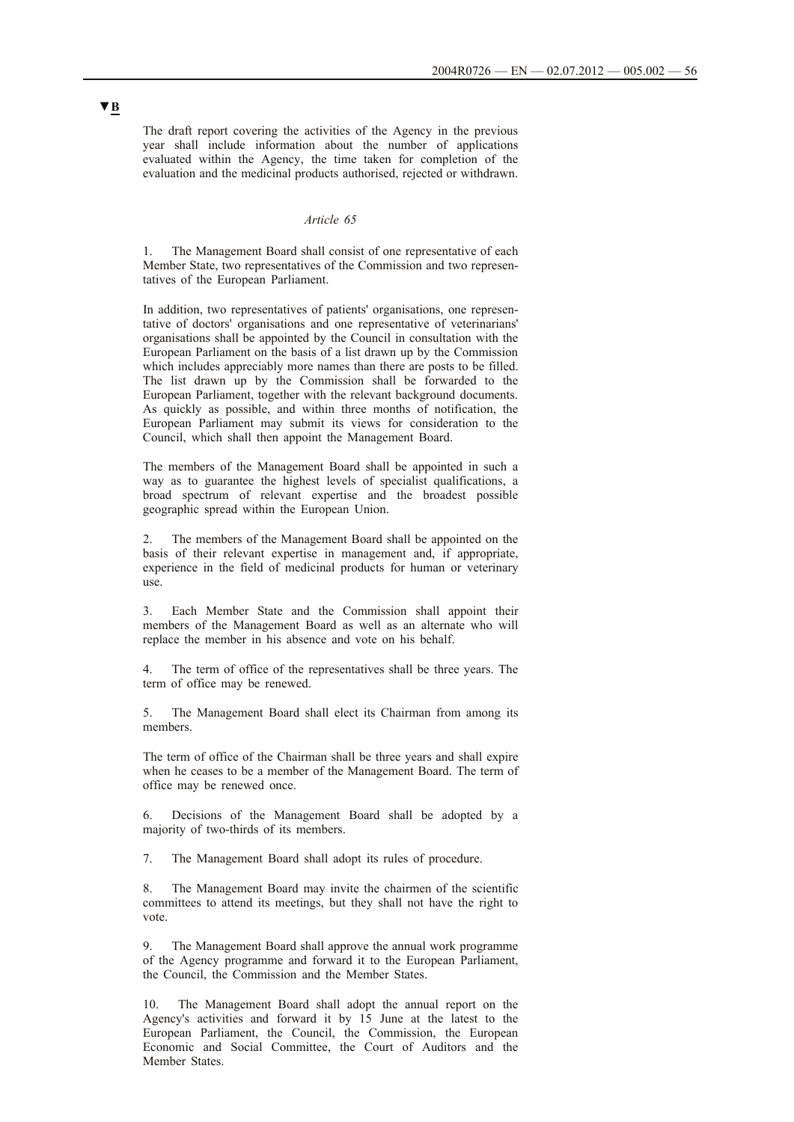The draft report covering the activities of the Agency in the previous year shall include information about the number of applications evaluated within the Agency, the time taken for completion of the evaluation and the medicinal products authorised, rejected or withdrawn.

#### *Article 65*

The Management Board shall consist of one representative of each Member State, two representatives of the Commission and two representatives of the European Parliament.

In addition, two representatives of patients' organisations, one representative of doctors' organisations and one representative of veterinarians' organisations shall be appointed by the Council in consultation with the European Parliament on the basis of a list drawn up by the Commission which includes appreciably more names than there are posts to be filled. The list drawn up by the Commission shall be forwarded to the European Parliament, together with the relevant background documents. As quickly as possible, and within three months of notification, the European Parliament may submit its views for consideration to the Council, which shall then appoint the Management Board.

The members of the Management Board shall be appointed in such a way as to guarantee the highest levels of specialist qualifications, a broad spectrum of relevant expertise and the broadest possible geographic spread within the European Union.

2. The members of the Management Board shall be appointed on the basis of their relevant expertise in management and, if appropriate, experience in the field of medicinal products for human or veterinary use.

3. Each Member State and the Commission shall appoint their members of the Management Board as well as an alternate who will replace the member in his absence and vote on his behalf.

4. The term of office of the representatives shall be three years. The term of office may be renewed.

5. The Management Board shall elect its Chairman from among its members.

The term of office of the Chairman shall be three years and shall expire when he ceases to be a member of the Management Board. The term of office may be renewed once.

6. Decisions of the Management Board shall be adopted by a majority of two-thirds of its members.

7. The Management Board shall adopt its rules of procedure.

8. The Management Board may invite the chairmen of the scientific committees to attend its meetings, but they shall not have the right to vote.

9. The Management Board shall approve the annual work programme of the Agency programme and forward it to the European Parliament, the Council, the Commission and the Member States.

10. The Management Board shall adopt the annual report on the Agency's activities and forward it by 15 June at the latest to the European Parliament, the Council, the Commission, the European Economic and Social Committee, the Court of Auditors and the Member States.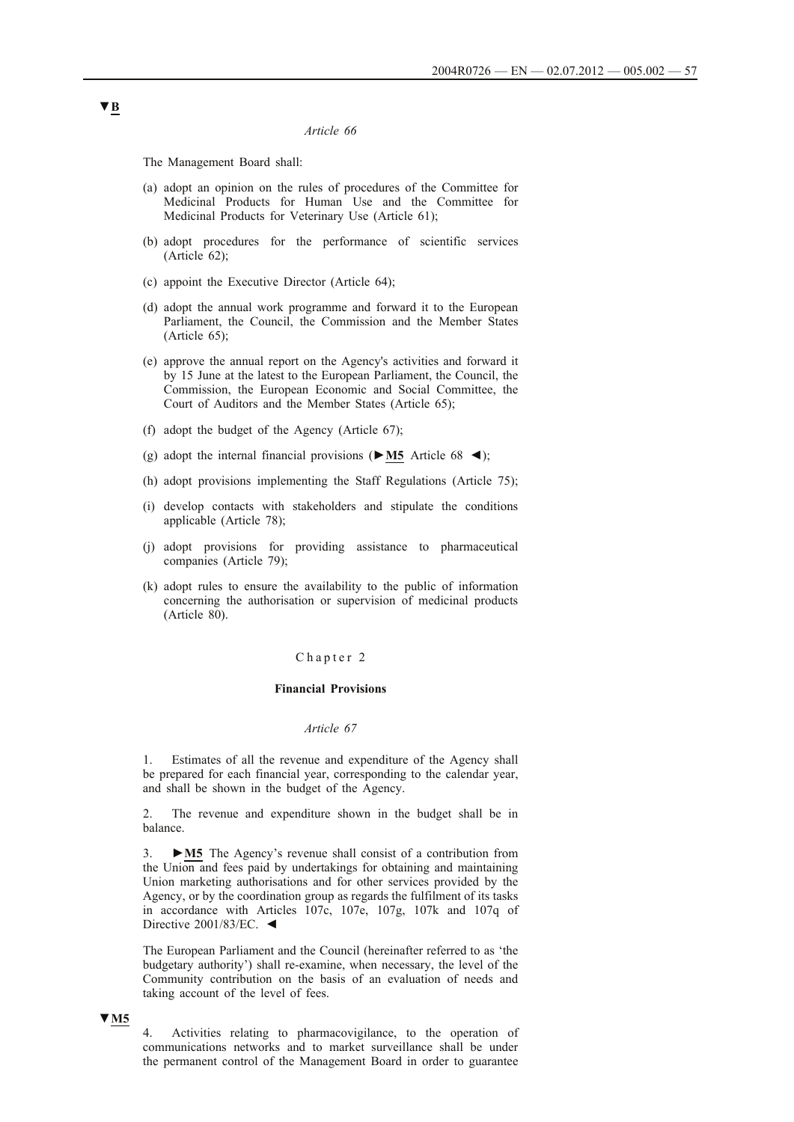#### *Article 66*

The Management Board shall:

- (a) adopt an opinion on the rules of procedures of the Committee for Medicinal Products for Human Use and the Committee for Medicinal Products for Veterinary Use (Article 61);
- (b) adopt procedures for the performance of scientific services (Article 62);
- (c) appoint the Executive Director (Article 64);
- (d) adopt the annual work programme and forward it to the European Parliament, the Council, the Commission and the Member States (Article 65);
- (e) approve the annual report on the Agency's activities and forward it by 15 June at the latest to the European Parliament, the Council, the Commission, the European Economic and Social Committee, the Court of Auditors and the Member States (Article 65);
- (f) adopt the budget of the Agency (Article 67);
- (g) adopt the internal financial provisions (**►M5** Article 68 ◄);
- (h) adopt provisions implementing the Staff Regulations (Article 75);
- (i) develop contacts with stakeholders and stipulate the conditions applicable (Article 78);
- (j) adopt provisions for providing assistance to pharmaceutical companies (Article 79);
- (k) adopt rules to ensure the availability to the public of information concerning the authorisation or supervision of medicinal products (Article 80).

#### Chapter 2

#### **Financial Provisions**

### *Article 67*

1. Estimates of all the revenue and expenditure of the Agency shall be prepared for each financial year, corresponding to the calendar year, and shall be shown in the budget of the Agency.

2. The revenue and expenditure shown in the budget shall be in balance.

3. **►M5** The Agency's revenue shall consist of a contribution from the Union and fees paid by undertakings for obtaining and maintaining Union marketing authorisations and for other services provided by the Agency, or by the coordination group as regards the fulfilment of its tasks in accordance with Articles 107c, 107e, 107g, 107k and 107q of Directive 2001/83/EC. ◄

The European Parliament and the Council (hereinafter referred to as 'the budgetary authority') shall re-examine, when necessary, the level of the Community contribution on the basis of an evaluation of needs and taking account of the level of fees.

#### **▼M5**

4. Activities relating to pharmacovigilance, to the operation of communications networks and to market surveillance shall be under the permanent control of the Management Board in order to guarantee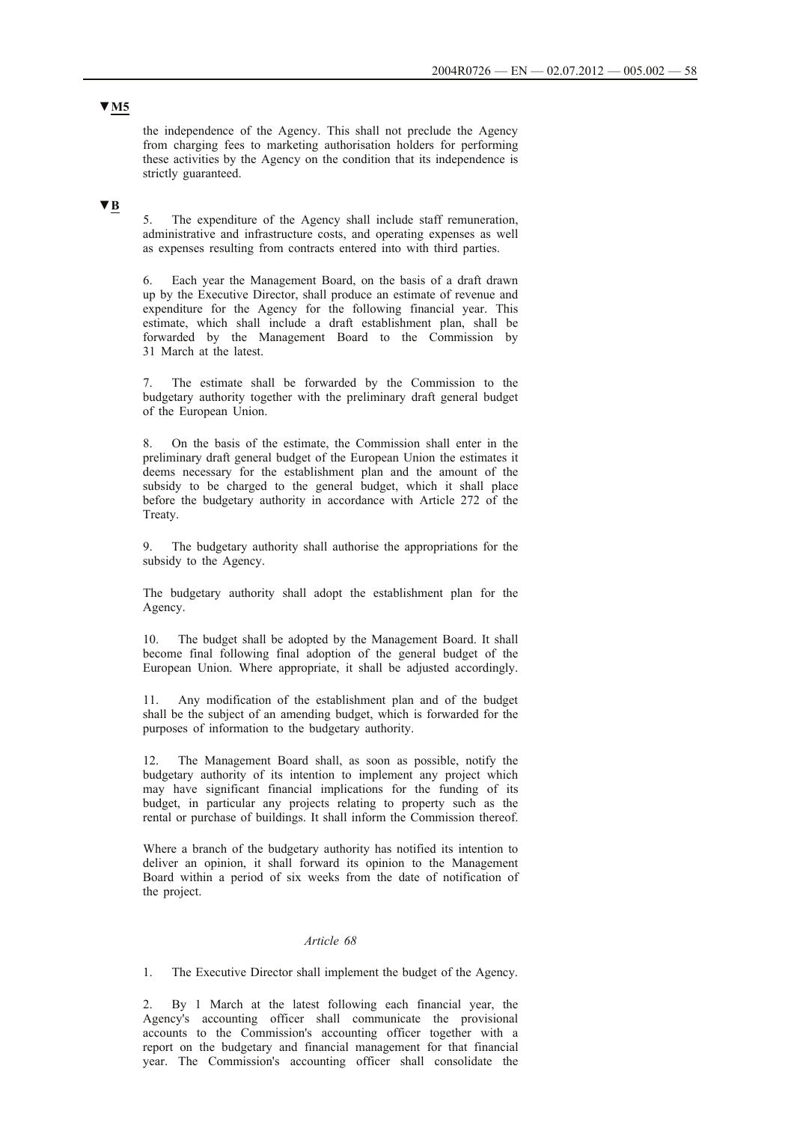the independence of the Agency. This shall not preclude the Agency from charging fees to marketing authorisation holders for performing these activities by the Agency on the condition that its independence is strictly guaranteed.

# **▼B**

5. The expenditure of the Agency shall include staff remuneration, administrative and infrastructure costs, and operating expenses as well as expenses resulting from contracts entered into with third parties.

6. Each year the Management Board, on the basis of a draft drawn up by the Executive Director, shall produce an estimate of revenue and expenditure for the Agency for the following financial year. This estimate, which shall include a draft establishment plan, shall be forwarded by the Management Board to the Commission by 31 March at the latest.

7. The estimate shall be forwarded by the Commission to the budgetary authority together with the preliminary draft general budget of the European Union.

8. On the basis of the estimate, the Commission shall enter in the preliminary draft general budget of the European Union the estimates it deems necessary for the establishment plan and the amount of the subsidy to be charged to the general budget, which it shall place before the budgetary authority in accordance with Article 272 of the Treaty.

9. The budgetary authority shall authorise the appropriations for the subsidy to the Agency.

The budgetary authority shall adopt the establishment plan for the Agency.

10. The budget shall be adopted by the Management Board. It shall become final following final adoption of the general budget of the European Union. Where appropriate, it shall be adjusted accordingly.

11. Any modification of the establishment plan and of the budget shall be the subject of an amending budget, which is forwarded for the purposes of information to the budgetary authority.

12. The Management Board shall, as soon as possible, notify the budgetary authority of its intention to implement any project which may have significant financial implications for the funding of its budget, in particular any projects relating to property such as the rental or purchase of buildings. It shall inform the Commission thereof.

Where a branch of the budgetary authority has notified its intention to deliver an opinion, it shall forward its opinion to the Management Board within a period of six weeks from the date of notification of the project.

## *Article 68*

1. The Executive Director shall implement the budget of the Agency.

2. By 1 March at the latest following each financial year, the Agency's accounting officer shall communicate the provisional accounts to the Commission's accounting officer together with a report on the budgetary and financial management for that financial year. The Commission's accounting officer shall consolidate the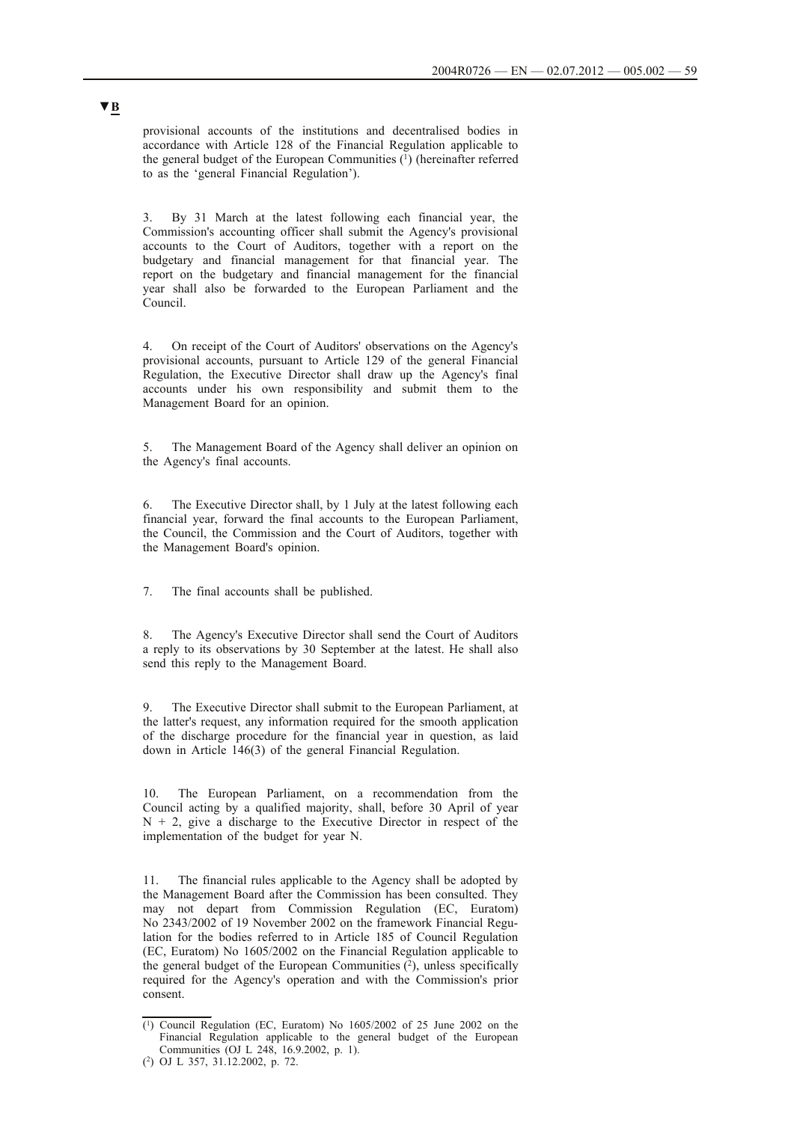provisional accounts of the institutions and decentralised bodies in accordance with Article 128 of the Financial Regulation applicable to the general budget of the European Communities (1) (hereinafter referred to as the 'general Financial Regulation').

3. By 31 March at the latest following each financial year, the Commission's accounting officer shall submit the Agency's provisional accounts to the Court of Auditors, together with a report on the budgetary and financial management for that financial year. The report on the budgetary and financial management for the financial year shall also be forwarded to the European Parliament and the Council.

4. On receipt of the Court of Auditors' observations on the Agency's provisional accounts, pursuant to Article 129 of the general Financial Regulation, the Executive Director shall draw up the Agency's final accounts under his own responsibility and submit them to the Management Board for an opinion.

The Management Board of the Agency shall deliver an opinion on the Agency's final accounts.

6. The Executive Director shall, by 1 July at the latest following each financial year, forward the final accounts to the European Parliament, the Council, the Commission and the Court of Auditors, together with the Management Board's opinion.

7. The final accounts shall be published.

8. The Agency's Executive Director shall send the Court of Auditors a reply to its observations by 30 September at the latest. He shall also send this reply to the Management Board.

The Executive Director shall submit to the European Parliament, at the latter's request, any information required for the smooth application of the discharge procedure for the financial year in question, as laid down in Article 146(3) of the general Financial Regulation.

10. The European Parliament, on a recommendation from the Council acting by a qualified majority, shall, before 30 April of year  $N + 2$ , give a discharge to the Executive Director in respect of the implementation of the budget for year N.

11. The financial rules applicable to the Agency shall be adopted by the Management Board after the Commission has been consulted. They may not depart from Commission Regulation (EC, Euratom) No 2343/2002 of 19 November 2002 on the framework Financial Regulation for the bodies referred to in Article 185 of Council Regulation (EC, Euratom) No 1605/2002 on the Financial Regulation applicable to the general budget of the European Communities  $(2)$ , unless specifically required for the Agency's operation and with the Commission's prior consent.

<sup>(1)</sup> Council Regulation (EC, Euratom) No 1605/2002 of 25 June 2002 on the Financial Regulation applicable to the general budget of the European Communities (OJ L 248, 16.9.2002, p. 1).

<sup>(2)</sup> OJ L 357, 31.12.2002, p. 72.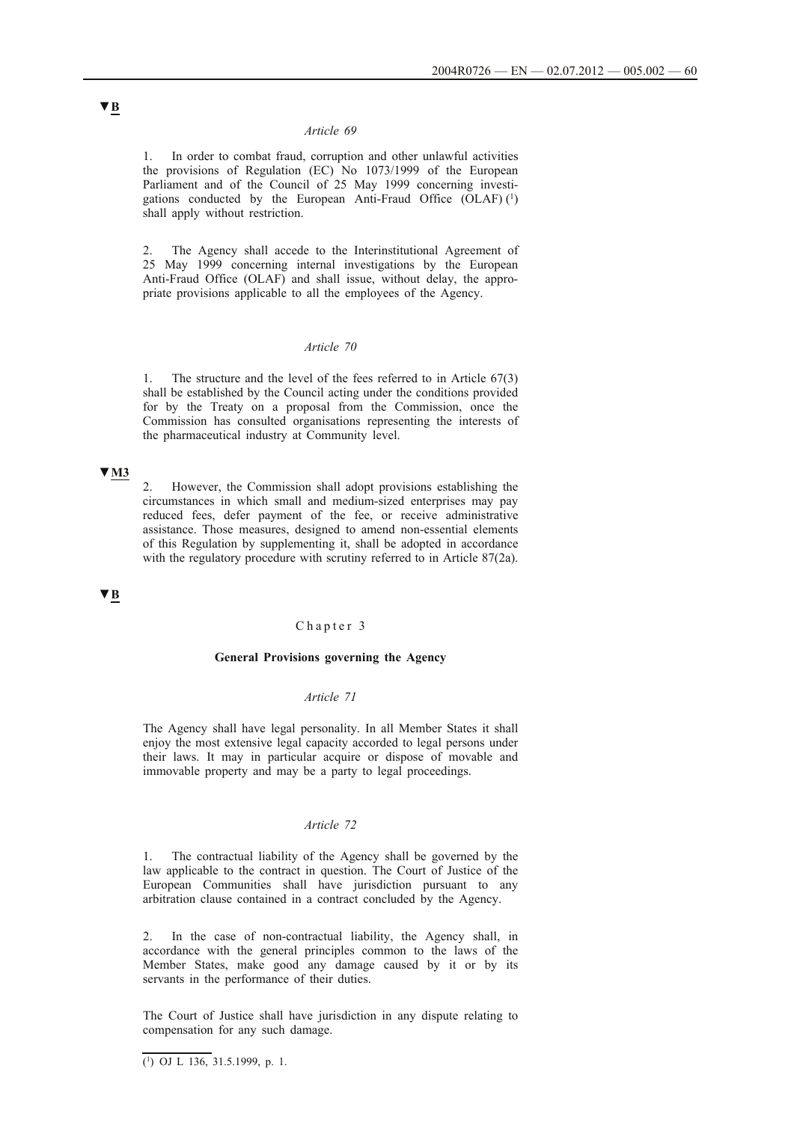### *Article 69*

1. In order to combat fraud, corruption and other unlawful activities the provisions of Regulation (EC) No 1073/1999 of the European Parliament and of the Council of 25 May 1999 concerning investigations conducted by the European Anti-Fraud Office  $(OLAF)$ <sup>(1)</sup> shall apply without restriction.

2. The Agency shall accede to the Interinstitutional Agreement of 25 May 1999 concerning internal investigations by the European Anti-Fraud Office (OLAF) and shall issue, without delay, the appropriate provisions applicable to all the employees of the Agency.

## *Article 70*

1. The structure and the level of the fees referred to in Article 67(3) shall be established by the Council acting under the conditions provided for by the Treaty on a proposal from the Commission, once the Commission has consulted organisations representing the interests of the pharmaceutical industry at Community level.

# **▼M3**

2. However, the Commission shall adopt provisions establishing the circumstances in which small and medium-sized enterprises may pay reduced fees, defer payment of the fee, or receive administrative assistance. Those measures, designed to amend non-essential elements of this Regulation by supplementing it, shall be adopted in accordance with the regulatory procedure with scrutiny referred to in Article 87(2a).

# **▼B**

### Chapter 3

#### **General Provisions governing the Agency**

## *Article 71*

The Agency shall have legal personality. In all Member States it shall enjoy the most extensive legal capacity accorded to legal persons under their laws. It may in particular acquire or dispose of movable and immovable property and may be a party to legal proceedings.

## *Article 72*

1. The contractual liability of the Agency shall be governed by the law applicable to the contract in question. The Court of Justice of the European Communities shall have jurisdiction pursuant to any arbitration clause contained in a contract concluded by the Agency.

2. In the case of non-contractual liability, the Agency shall, in accordance with the general principles common to the laws of the Member States, make good any damage caused by it or by its servants in the performance of their duties.

The Court of Justice shall have jurisdiction in any dispute relating to compensation for any such damage.

 $(1)$  OJ L 136, 31.5.1999, p. 1.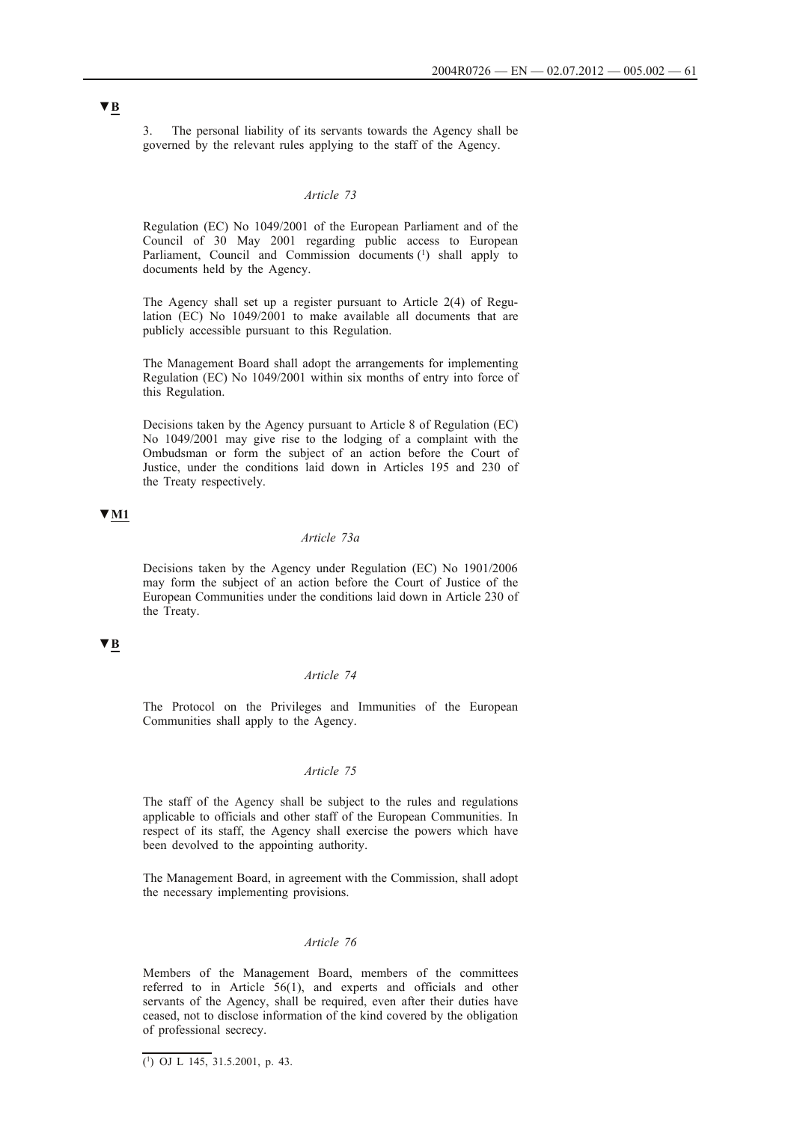3. The personal liability of its servants towards the Agency shall be governed by the relevant rules applying to the staff of the Agency.

## *Article 73*

Regulation (EC) No 1049/2001 of the European Parliament and of the Council of 30 May 2001 regarding public access to European Parliament, Council and Commission documents (1) shall apply to documents held by the Agency.

The Agency shall set up a register pursuant to Article 2(4) of Regulation (EC) No 1049/2001 to make available all documents that are publicly accessible pursuant to this Regulation.

The Management Board shall adopt the arrangements for implementing Regulation (EC) No 1049/2001 within six months of entry into force of this Regulation.

Decisions taken by the Agency pursuant to Article 8 of Regulation (EC) No 1049/2001 may give rise to the lodging of a complaint with the Ombudsman or form the subject of an action before the Court of Justice, under the conditions laid down in Articles 195 and 230 of the Treaty respectively.

## **▼M1**

### *Article 73a*

Decisions taken by the Agency under Regulation (EC) No 1901/2006 may form the subject of an action before the Court of Justice of the European Communities under the conditions laid down in Article 230 of the Treaty.

## **▼B**

#### *Article 74*

The Protocol on the Privileges and Immunities of the European Communities shall apply to the Agency.

## *Article 75*

The staff of the Agency shall be subject to the rules and regulations applicable to officials and other staff of the European Communities. In respect of its staff, the Agency shall exercise the powers which have been devolved to the appointing authority.

The Management Board, in agreement with the Commission, shall adopt the necessary implementing provisions.

## *Article 76*

Members of the Management Board, members of the committees referred to in Article 56(1), and experts and officials and other servants of the Agency, shall be required, even after their duties have ceased, not to disclose information of the kind covered by the obligation of professional secrecy.

 $\overline{(^1)}$  OJ L 145, 31.5.2001, p. 43.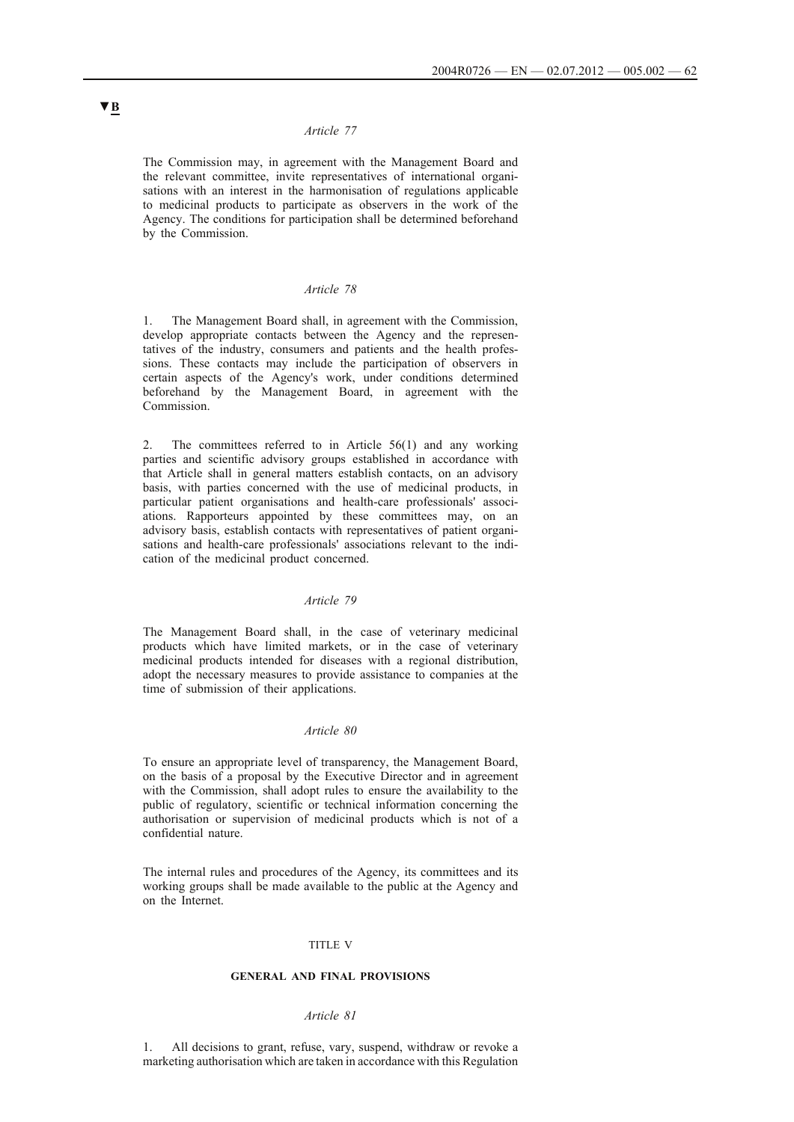## *Article 77*

The Commission may, in agreement with the Management Board and the relevant committee, invite representatives of international organisations with an interest in the harmonisation of regulations applicable to medicinal products to participate as observers in the work of the Agency. The conditions for participation shall be determined beforehand by the Commission.

## *Article 78*

1. The Management Board shall, in agreement with the Commission, develop appropriate contacts between the Agency and the representatives of the industry, consumers and patients and the health professions. These contacts may include the participation of observers in certain aspects of the Agency's work, under conditions determined beforehand by the Management Board, in agreement with the Commission.

2. The committees referred to in Article 56(1) and any working parties and scientific advisory groups established in accordance with that Article shall in general matters establish contacts, on an advisory basis, with parties concerned with the use of medicinal products, in particular patient organisations and health-care professionals' associations. Rapporteurs appointed by these committees may, on an advisory basis, establish contacts with representatives of patient organisations and health-care professionals' associations relevant to the indication of the medicinal product concerned.

#### *Article 79*

The Management Board shall, in the case of veterinary medicinal products which have limited markets, or in the case of veterinary medicinal products intended for diseases with a regional distribution, adopt the necessary measures to provide assistance to companies at the time of submission of their applications.

### *Article 80*

To ensure an appropriate level of transparency, the Management Board, on the basis of a proposal by the Executive Director and in agreement with the Commission, shall adopt rules to ensure the availability to the public of regulatory, scientific or technical information concerning the authorisation or supervision of medicinal products which is not of a confidential nature.

The internal rules and procedures of the Agency, its committees and its working groups shall be made available to the public at the Agency and on the Internet.

#### TITLE V

### **GENERAL AND FINAL PROVISIONS**

#### *Article 81*

1. All decisions to grant, refuse, vary, suspend, withdraw or revoke a marketing authorisation which are taken in accordance with this Regulation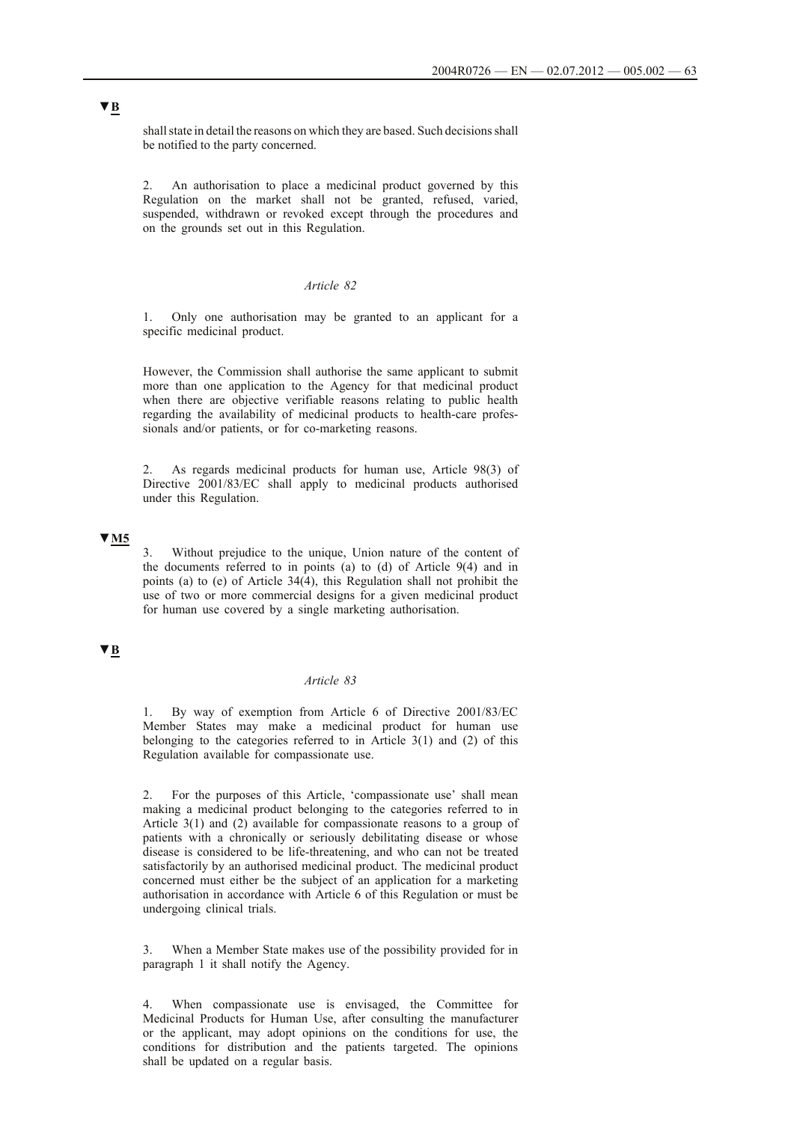shall state in detail the reasons on which they are based. Such decisions shall be notified to the party concerned.

2. An authorisation to place a medicinal product governed by this Regulation on the market shall not be granted, refused, varied, suspended, withdrawn or revoked except through the procedures and on the grounds set out in this Regulation.

### *Article 82*

1. Only one authorisation may be granted to an applicant for a specific medicinal product.

However, the Commission shall authorise the same applicant to submit more than one application to the Agency for that medicinal product when there are objective verifiable reasons relating to public health regarding the availability of medicinal products to health-care professionals and/or patients, or for co-marketing reasons.

2. As regards medicinal products for human use, Article 98(3) of Directive 2001/83/EC shall apply to medicinal products authorised under this Regulation.

# **▼M5**

3. Without prejudice to the unique, Union nature of the content of the documents referred to in points (a) to (d) of Article 9(4) and in points (a) to (e) of Article 34(4), this Regulation shall not prohibit the use of two or more commercial designs for a given medicinal product for human use covered by a single marketing authorisation.

## **▼B**

### *Article 83*

1. By way of exemption from Article 6 of Directive 2001/83/EC Member States may make a medicinal product for human use belonging to the categories referred to in Article 3(1) and (2) of this Regulation available for compassionate use.

2. For the purposes of this Article, 'compassionate use' shall mean making a medicinal product belonging to the categories referred to in Article 3(1) and (2) available for compassionate reasons to a group of patients with a chronically or seriously debilitating disease or whose disease is considered to be life-threatening, and who can not be treated satisfactorily by an authorised medicinal product. The medicinal product concerned must either be the subject of an application for a marketing authorisation in accordance with Article 6 of this Regulation or must be undergoing clinical trials.

3. When a Member State makes use of the possibility provided for in paragraph 1 it shall notify the Agency.

4. When compassionate use is envisaged, the Committee for Medicinal Products for Human Use, after consulting the manufacturer or the applicant, may adopt opinions on the conditions for use, the conditions for distribution and the patients targeted. The opinions shall be updated on a regular basis.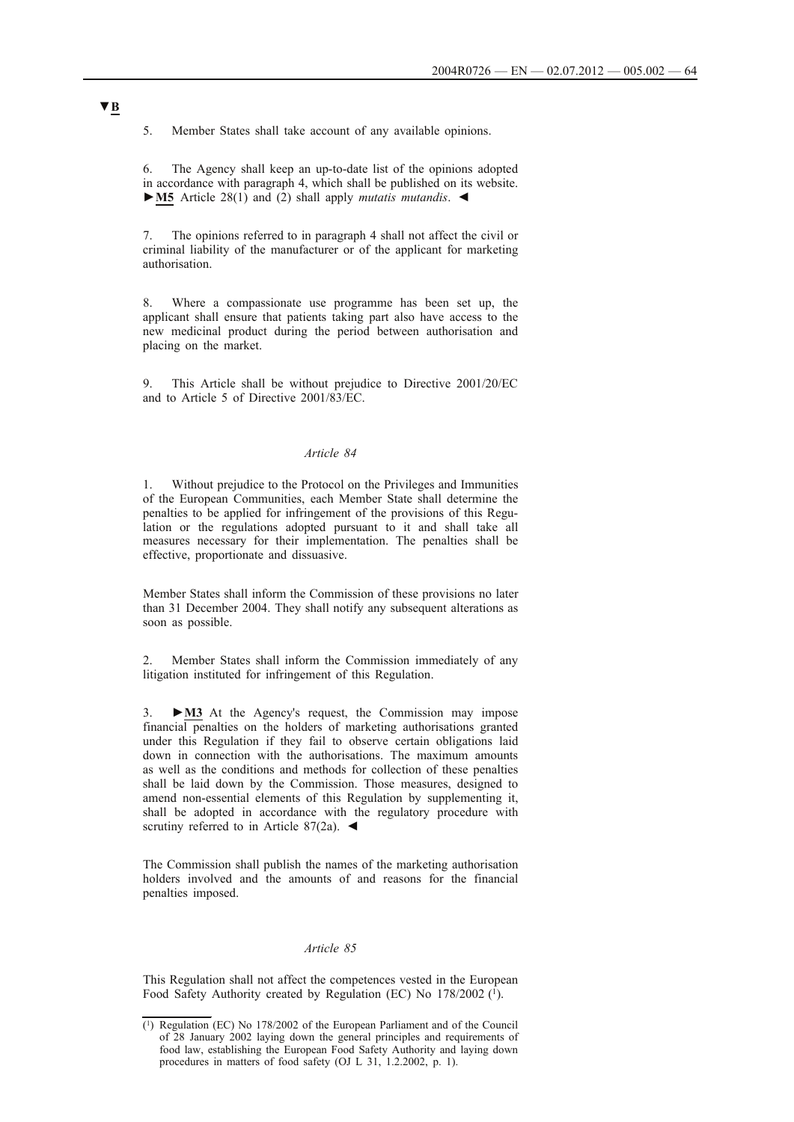5. Member States shall take account of any available opinions.

6. The Agency shall keep an up-to-date list of the opinions adopted in accordance with paragraph 4, which shall be published on its website. **►M5** Article 28(1) and (2) shall apply *mutatis mutandis*. ◄

7. The opinions referred to in paragraph 4 shall not affect the civil or criminal liability of the manufacturer or of the applicant for marketing authorisation.

8. Where a compassionate use programme has been set up, the applicant shall ensure that patients taking part also have access to the new medicinal product during the period between authorisation and placing on the market.

9. This Article shall be without prejudice to Directive 2001/20/EC and to Article 5 of Directive 2001/83/EC.

### *Article 84*

1. Without prejudice to the Protocol on the Privileges and Immunities of the European Communities, each Member State shall determine the penalties to be applied for infringement of the provisions of this Regulation or the regulations adopted pursuant to it and shall take all measures necessary for their implementation. The penalties shall be effective, proportionate and dissuasive.

Member States shall inform the Commission of these provisions no later than 31 December 2004. They shall notify any subsequent alterations as soon as possible.

2. Member States shall inform the Commission immediately of any litigation instituted for infringement of this Regulation.

3. **►M3** At the Agency's request, the Commission may impose financial penalties on the holders of marketing authorisations granted under this Regulation if they fail to observe certain obligations laid down in connection with the authorisations. The maximum amounts as well as the conditions and methods for collection of these penalties shall be laid down by the Commission. Those measures, designed to amend non-essential elements of this Regulation by supplementing it, shall be adopted in accordance with the regulatory procedure with scrutiny referred to in Article 87(2a). <

The Commission shall publish the names of the marketing authorisation holders involved and the amounts of and reasons for the financial penalties imposed.

#### *Article 85*

This Regulation shall not affect the competences vested in the European Food Safety Authority created by Regulation (EC) No 178/2002 (1).

<sup>(1)</sup> Regulation (EC) No 178/2002 of the European Parliament and of the Council of 28 January 2002 laying down the general principles and requirements of food law, establishing the European Food Safety Authority and laying down procedures in matters of food safety (OJ L 31, 1.2.2002, p. 1).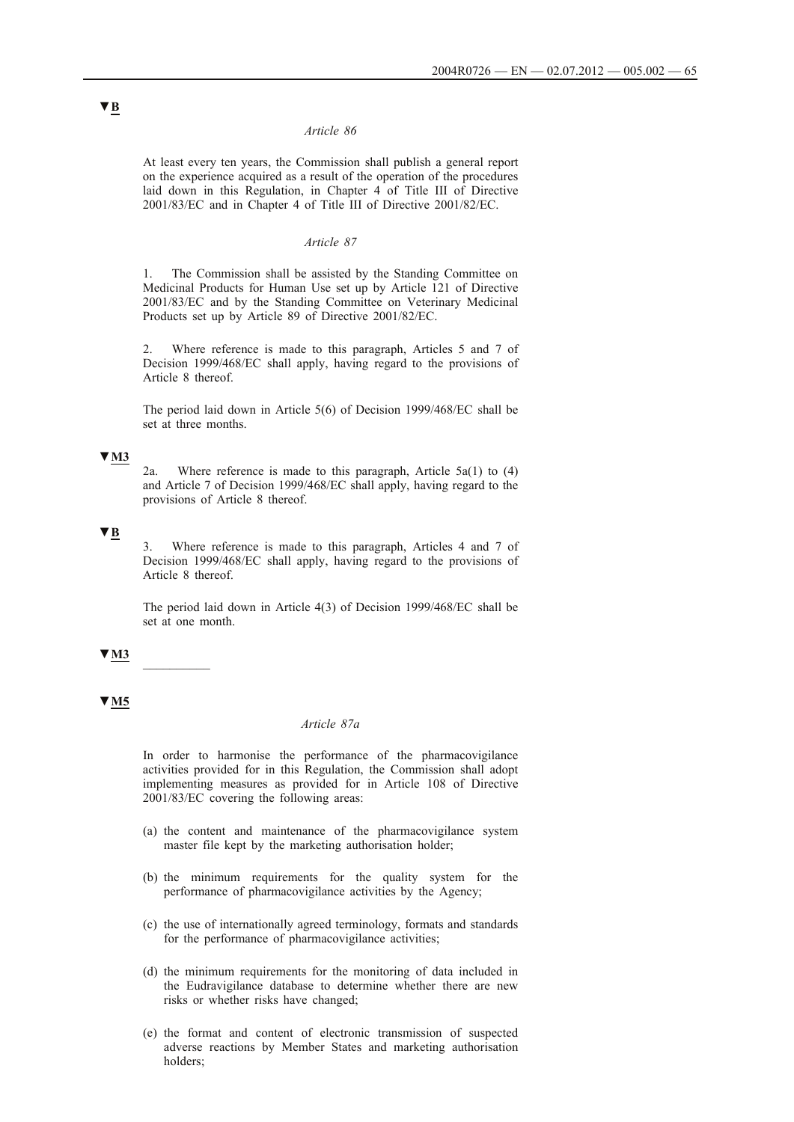#### *Article 86*

At least every ten years, the Commission shall publish a general report on the experience acquired as a result of the operation of the procedures laid down in this Regulation, in Chapter 4 of Title III of Directive 2001/83/EC and in Chapter 4 of Title III of Directive 2001/82/EC.

### *Article 87*

The Commission shall be assisted by the Standing Committee on Medicinal Products for Human Use set up by Article 121 of Directive 2001/83/EC and by the Standing Committee on Veterinary Medicinal Products set up by Article 89 of Directive 2001/82/EC.

2. Where reference is made to this paragraph, Articles 5 and 7 of Decision 1999/468/EC shall apply, having regard to the provisions of Article 8 thereof.

The period laid down in Article 5(6) of Decision 1999/468/EC shall be set at three months.

## **▼M3**

2a. Where reference is made to this paragraph, Article 5a(1) to (4) and Article 7 of Decision 1999/468/EC shall apply, having regard to the provisions of Article 8 thereof.

# **▼B**

3. Where reference is made to this paragraph, Articles 4 and 7 of Decision 1999/468/EC shall apply, having regard to the provisions of Article 8 thereof.

The period laid down in Article 4(3) of Decision 1999/468/EC shall be set at one month.

#### **▼M3** \_\_\_\_\_\_\_\_\_\_

### **▼M5**

## *Article 87a*

In order to harmonise the performance of the pharmacovigilance activities provided for in this Regulation, the Commission shall adopt implementing measures as provided for in Article 108 of Directive 2001/83/EC covering the following areas:

- (a) the content and maintenance of the pharmacovigilance system master file kept by the marketing authorisation holder;
- (b) the minimum requirements for the quality system for the performance of pharmacovigilance activities by the Agency;
- (c) the use of internationally agreed terminology, formats and standards for the performance of pharmacovigilance activities;
- (d) the minimum requirements for the monitoring of data included in the Eudravigilance database to determine whether there are new risks or whether risks have changed;
- (e) the format and content of electronic transmission of suspected adverse reactions by Member States and marketing authorisation holders;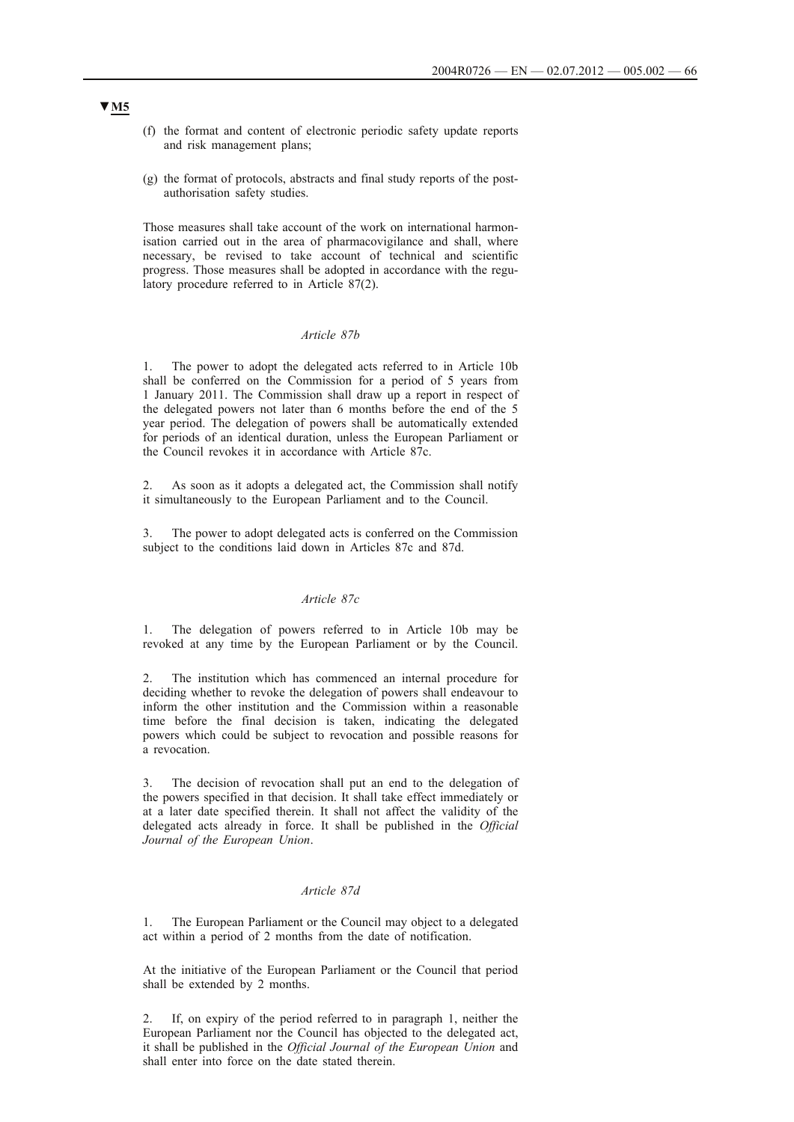- (f) the format and content of electronic periodic safety update reports and risk management plans;
- (g) the format of protocols, abstracts and final study reports of the postauthorisation safety studies.

Those measures shall take account of the work on international harmonisation carried out in the area of pharmacovigilance and shall, where necessary, be revised to take account of technical and scientific progress. Those measures shall be adopted in accordance with the regulatory procedure referred to in Article 87(2).

## *Article 87b*

1. The power to adopt the delegated acts referred to in Article 10b shall be conferred on the Commission for a period of 5 years from 1 January 2011. The Commission shall draw up a report in respect of the delegated powers not later than 6 months before the end of the 5 year period. The delegation of powers shall be automatically extended for periods of an identical duration, unless the European Parliament or the Council revokes it in accordance with Article 87c.

As soon as it adopts a delegated act, the Commission shall notify it simultaneously to the European Parliament and to the Council.

3. The power to adopt delegated acts is conferred on the Commission subject to the conditions laid down in Articles 87c and 87d.

#### *Article 87c*

1. The delegation of powers referred to in Article 10b may be revoked at any time by the European Parliament or by the Council.

The institution which has commenced an internal procedure for deciding whether to revoke the delegation of powers shall endeavour to inform the other institution and the Commission within a reasonable time before the final decision is taken, indicating the delegated powers which could be subject to revocation and possible reasons for a revocation.

The decision of revocation shall put an end to the delegation of the powers specified in that decision. It shall take effect immediately or at a later date specified therein. It shall not affect the validity of the delegated acts already in force. It shall be published in the *Official Journal of the European Union*.

### *Article 87d*

1. The European Parliament or the Council may object to a delegated act within a period of 2 months from the date of notification.

At the initiative of the European Parliament or the Council that period shall be extended by 2 months.

2. If, on expiry of the period referred to in paragraph 1, neither the European Parliament nor the Council has objected to the delegated act, it shall be published in the *Official Journal of the European Union* and shall enter into force on the date stated therein.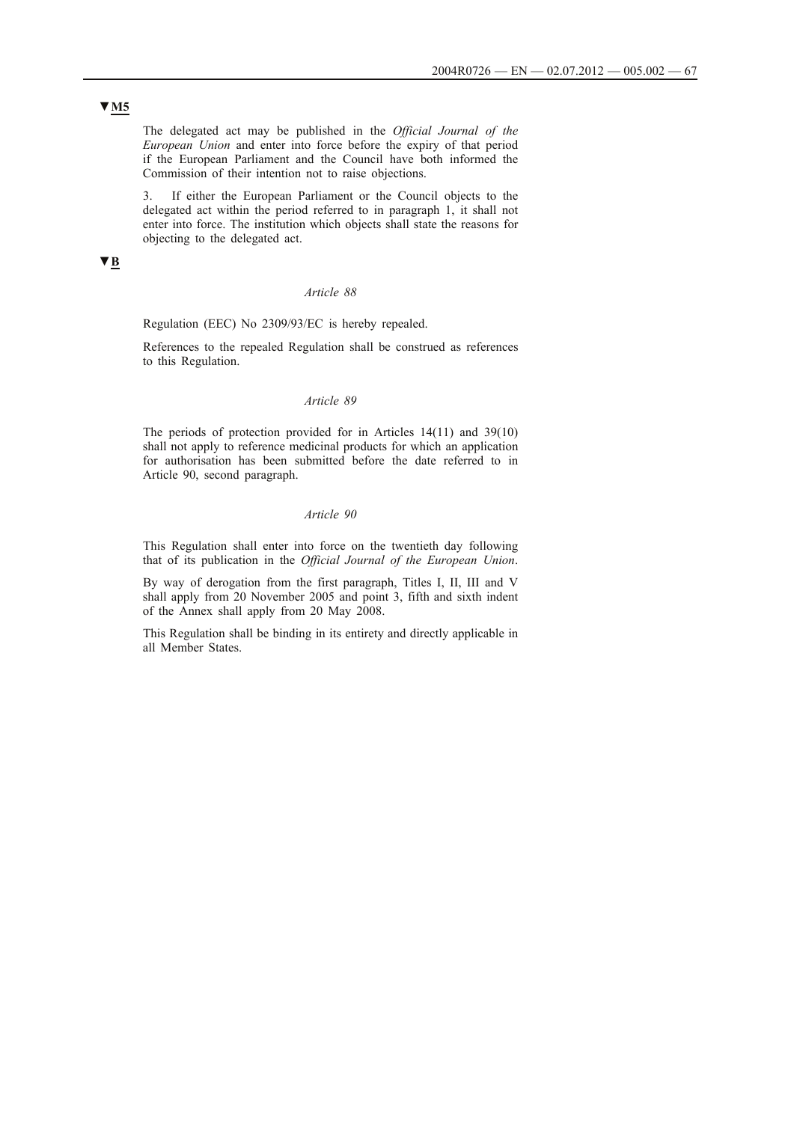The delegated act may be published in the *Official Journal of the European Union* and enter into force before the expiry of that period if the European Parliament and the Council have both informed the Commission of their intention not to raise objections.

3. If either the European Parliament or the Council objects to the delegated act within the period referred to in paragraph 1, it shall not enter into force. The institution which objects shall state the reasons for objecting to the delegated act.

# **▼B**

### *Article 88*

### Regulation (EEC) No 2309/93/EC is hereby repealed.

References to the repealed Regulation shall be construed as references to this Regulation.

# *Article 89*

The periods of protection provided for in Articles 14(11) and 39(10) shall not apply to reference medicinal products for which an application for authorisation has been submitted before the date referred to in Article 90, second paragraph.

### *Article 90*

This Regulation shall enter into force on the twentieth day following that of its publication in the *Official Journal of the European Union*.

By way of derogation from the first paragraph, Titles I, II, III and V shall apply from 20 November 2005 and point 3, fifth and sixth indent of the Annex shall apply from 20 May 2008.

This Regulation shall be binding in its entirety and directly applicable in all Member States.